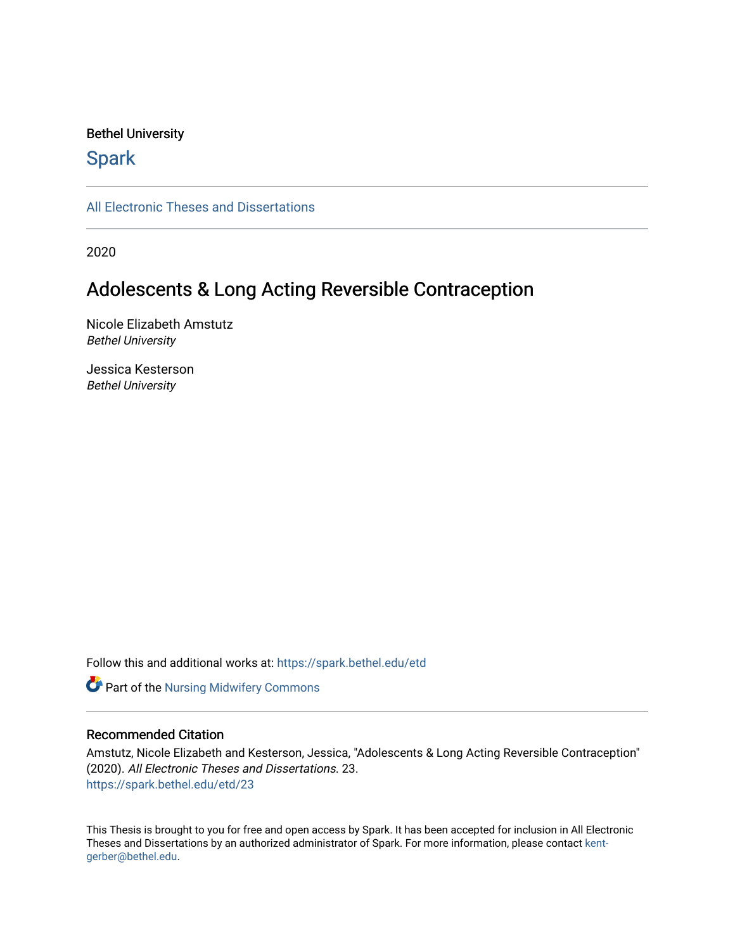# Bethel University

# **Spark**

[All Electronic Theses and Dissertations](https://spark.bethel.edu/etd) 

2020

# Adolescents & Long Acting Reversible Contraception

Nicole Elizabeth Amstutz Bethel University

Jessica Kesterson Bethel University

Follow this and additional works at: [https://spark.bethel.edu/etd](https://spark.bethel.edu/etd?utm_source=spark.bethel.edu%2Fetd%2F23&utm_medium=PDF&utm_campaign=PDFCoverPages)

**Part of the Nursing Midwifery Commons** 

# Recommended Citation

Amstutz, Nicole Elizabeth and Kesterson, Jessica, "Adolescents & Long Acting Reversible Contraception" (2020). All Electronic Theses and Dissertations. 23. [https://spark.bethel.edu/etd/23](https://spark.bethel.edu/etd/23?utm_source=spark.bethel.edu%2Fetd%2F23&utm_medium=PDF&utm_campaign=PDFCoverPages) 

This Thesis is brought to you for free and open access by Spark. It has been accepted for inclusion in All Electronic Theses and Dissertations by an authorized administrator of Spark. For more information, please contact [kent](mailto:kent-gerber@bethel.edu)[gerber@bethel.edu.](mailto:kent-gerber@bethel.edu)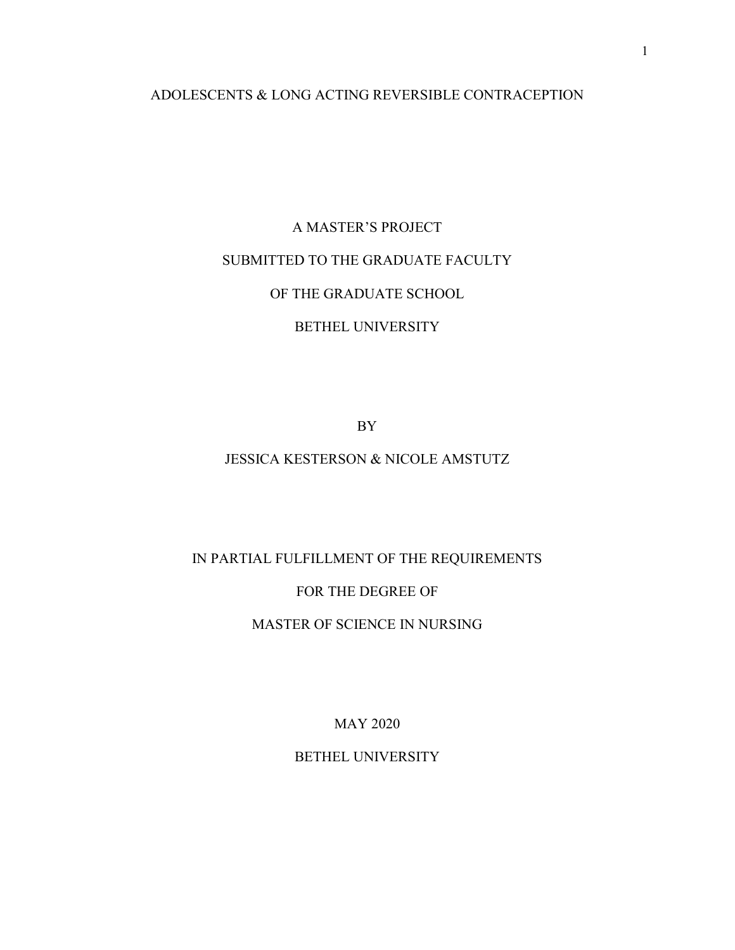# ADOLESCENTS & LONG ACTING REVERSIBLE CONTRACEPTION

# A MASTER'S PROJECT SUBMITTED TO THE GRADUATE FACULTY OF THE GRADUATE SCHOOL BETHEL UNIVERSITY

BY

# JESSICA KESTERSON & NICOLE AMSTUTZ

# IN PARTIAL FULFILLMENT OF THE REQUIREMENTS

# FOR THE DEGREE OF

# MASTER OF SCIENCE IN NURSING

MAY 2020

BETHEL UNIVERSITY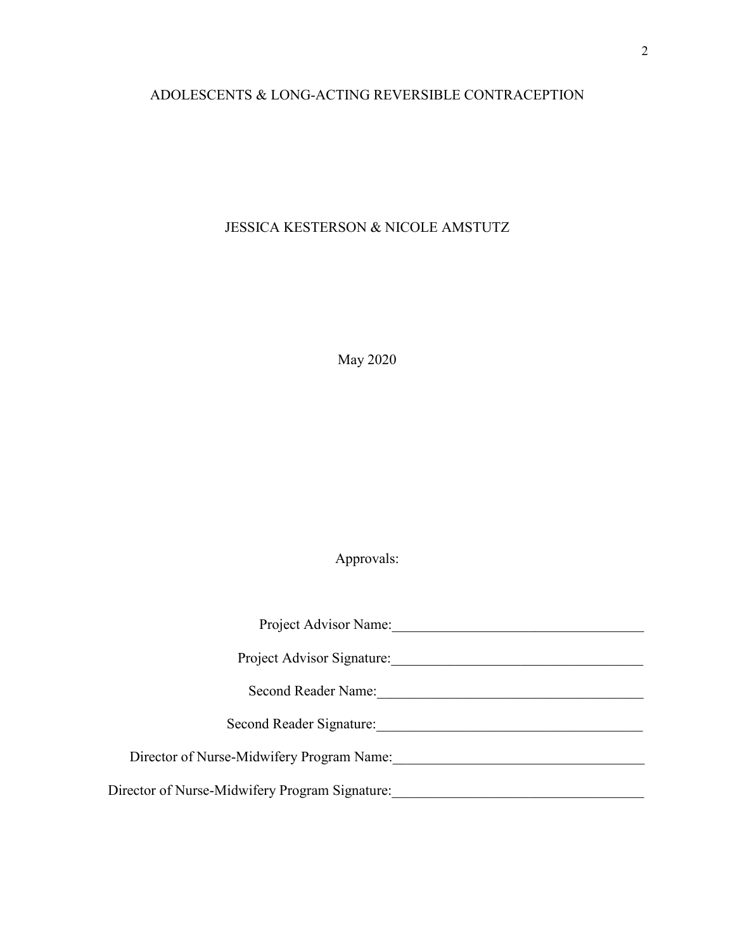# ADOLESCENTS & LONG-ACTING REVERSIBLE CONTRACEPTION

# JESSICA KESTERSON & NICOLE AMSTUTZ

May 2020

Approvals:

| Project Advisor Name:                          |  |
|------------------------------------------------|--|
| Project Advisor Signature:                     |  |
| Second Reader Name:                            |  |
| Second Reader Signature:                       |  |
| Director of Nurse-Midwifery Program Name:      |  |
| Director of Nurse-Midwifery Program Signature: |  |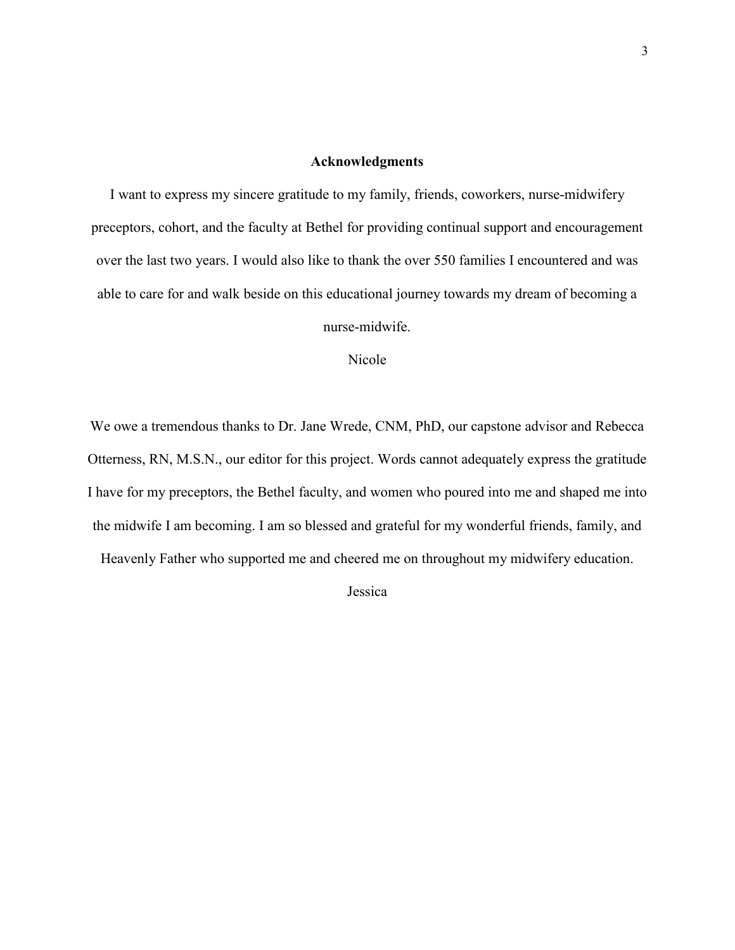# **Acknowledgments**

I want to express my sincere gratitude to my family, friends, coworkers, nurse-midwifery preceptors, cohort, and the faculty at Bethel for providing continual support and encouragement over the last two years. I would also like to thank the over 550 families I encountered and was able to care for and walk beside on this educational journey towards my dream of becoming a

nurse-midwife.

Nicole

We owe a tremendous thanks to Dr. Jane Wrede, CNM, PhD, our capstone advisor and Rebecca Otterness, RN, M.S.N., our editor for this project. Words cannot adequately express the gratitude I have for my preceptors, the Bethel faculty, and women who poured into me and shaped me into the midwife I am becoming. I am so blessed and grateful for my wonderful friends, family, and Heavenly Father who supported me and cheered me on throughout my midwifery education.

Jessica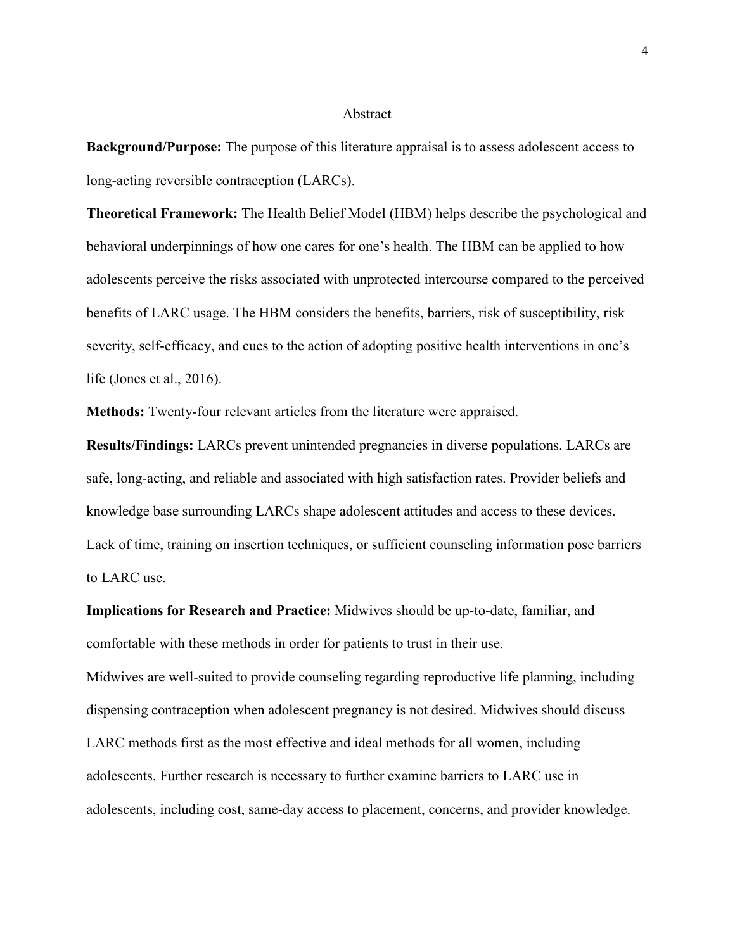## Abstract

**Background/Purpose:** The purpose of this literature appraisal is to assess adolescent access to long-acting reversible contraception (LARCs).

**Theoretical Framework:** The Health Belief Model (HBM) helps describe the psychological and behavioral underpinnings of how one cares for one's health. The HBM can be applied to how adolescents perceive the risks associated with unprotected intercourse compared to the perceived benefits of LARC usage. The HBM considers the benefits, barriers, risk of susceptibility, risk severity, self-efficacy, and cues to the action of adopting positive health interventions in one's life (Jones et al., 2016).

**Methods:** Twenty-four relevant articles from the literature were appraised.

**Results/Findings:** LARCs prevent unintended pregnancies in diverse populations. LARCs are safe, long-acting, and reliable and associated with high satisfaction rates. Provider beliefs and knowledge base surrounding LARCs shape adolescent attitudes and access to these devices. Lack of time, training on insertion techniques, or sufficient counseling information pose barriers to LARC use.

**Implications for Research and Practice:** Midwives should be up-to-date, familiar, and comfortable with these methods in order for patients to trust in their use.

Midwives are well-suited to provide counseling regarding reproductive life planning, including dispensing contraception when adolescent pregnancy is not desired. Midwives should discuss LARC methods first as the most effective and ideal methods for all women, including adolescents. Further research is necessary to further examine barriers to LARC use in adolescents, including cost, same-day access to placement, concerns, and provider knowledge.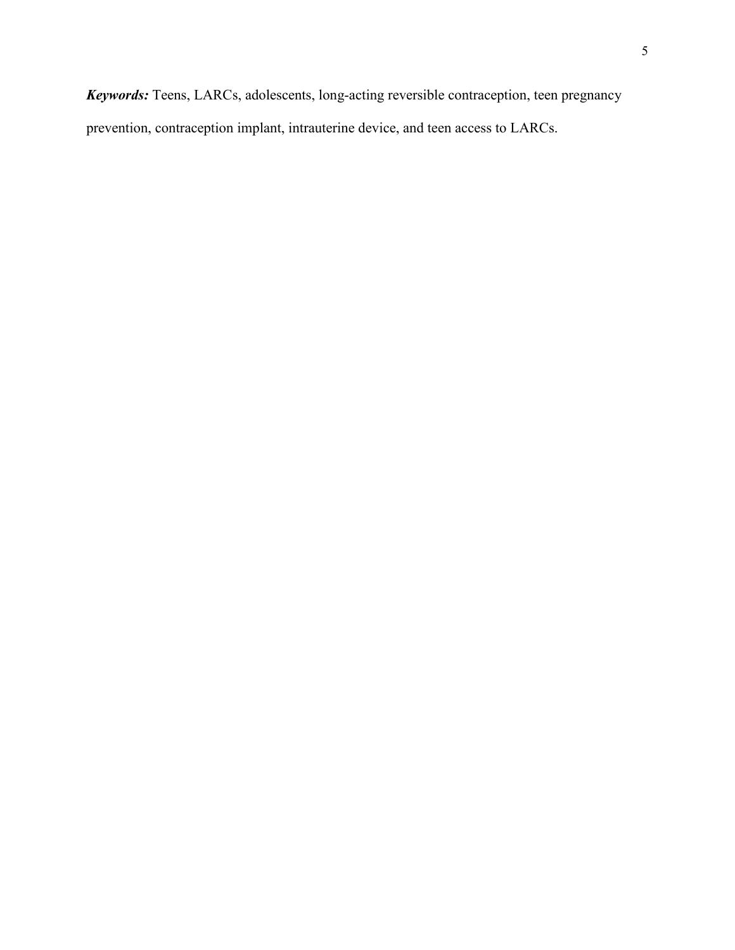*Keywords:* Teens, LARCs, adolescents, long-acting reversible contraception, teen pregnancy prevention, contraception implant, intrauterine device, and teen access to LARCs.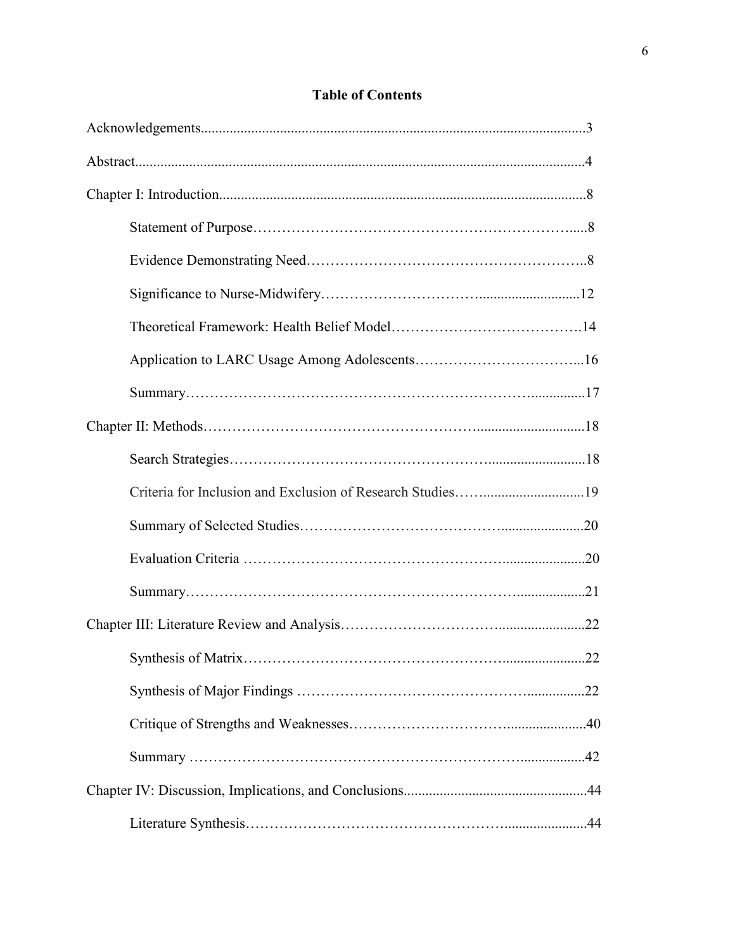# **Table of Contents**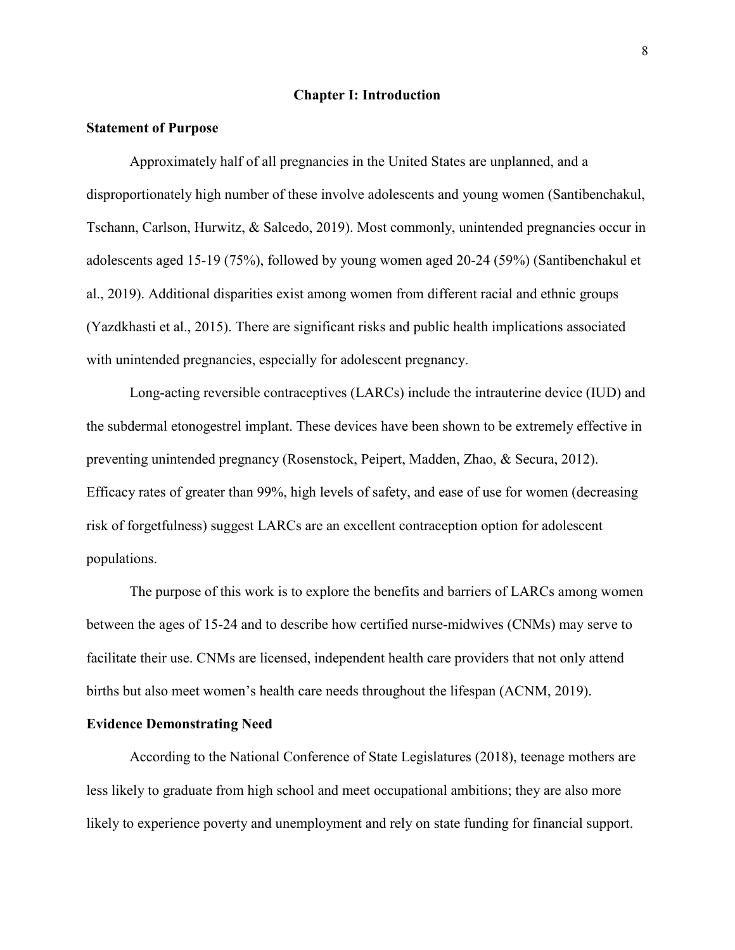# **Chapter I: Introduction**

# **Statement of Purpose**

Approximately half of all pregnancies in the United States are unplanned, and a disproportionately high number of these involve adolescents and young women (Santibenchakul, Tschann, Carlson, Hurwitz, & Salcedo, 2019). Most commonly, unintended pregnancies occur in adolescents aged 15-19 (75%), followed by young women aged 20-24 (59%) (Santibenchakul et al., 2019). Additional disparities exist among women from different racial and ethnic groups (Yazdkhasti et al., 2015). There are significant risks and public health implications associated with unintended pregnancies, especially for adolescent pregnancy.

Long-acting reversible contraceptives (LARCs) include the intrauterine device (IUD) and the subdermal etonogestrel implant. These devices have been shown to be extremely effective in preventing unintended pregnancy (Rosenstock, Peipert, Madden, Zhao, & Secura, 2012). Efficacy rates of greater than 99%, high levels of safety, and ease of use for women (decreasing risk of forgetfulness) suggest LARCs are an excellent contraception option for adolescent populations.

The purpose of this work is to explore the benefits and barriers of LARCs among women between the ages of 15-24 and to describe how certified nurse-midwives (CNMs) may serve to facilitate their use. CNMs are licensed, independent health care providers that not only attend births but also meet women's health care needs throughout the lifespan (ACNM, 2019).

#### **Evidence Demonstrating Need**

According to the National Conference of State Legislatures (2018), teenage mothers are less likely to graduate from high school and meet occupational ambitions; they are also more likely to experience poverty and unemployment and rely on state funding for financial support.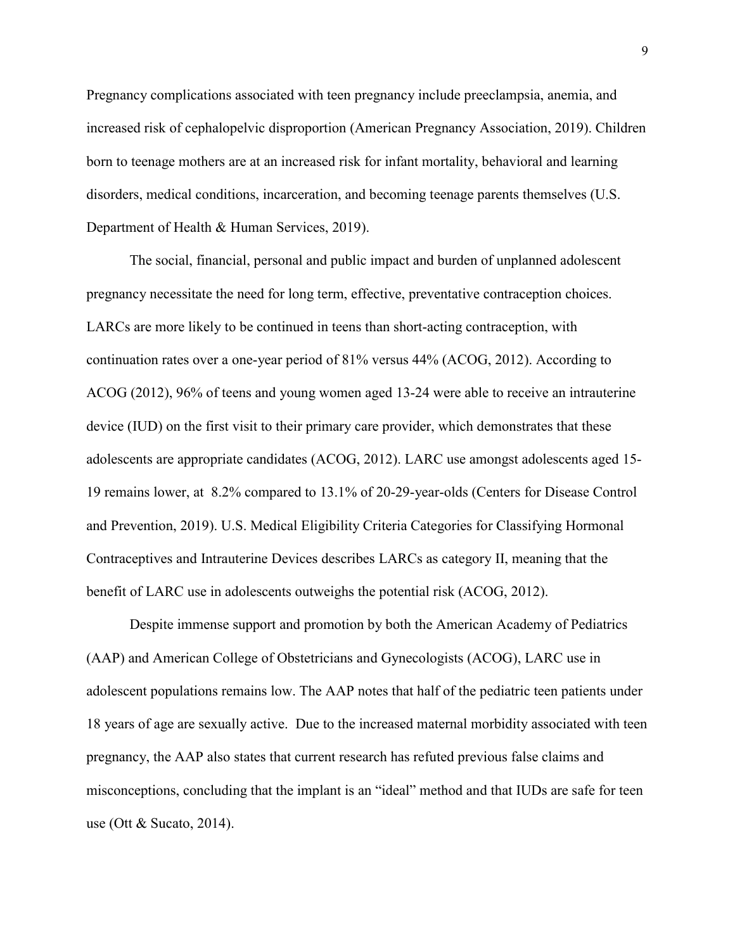Pregnancy complications associated with teen pregnancy include preeclampsia, anemia, and increased risk of cephalopelvic disproportion (American Pregnancy Association, 2019). Children born to teenage mothers are at an increased risk for infant mortality, behavioral and learning disorders, medical conditions, incarceration, and becoming teenage parents themselves (U.S. Department of Health & Human Services, 2019).

The social, financial, personal and public impact and burden of unplanned adolescent pregnancy necessitate the need for long term, effective, preventative contraception choices. LARCs are more likely to be continued in teens than short-acting contraception, with continuation rates over a one-year period of 81% versus 44% (ACOG, 2012). According to ACOG (2012), 96% of teens and young women aged 13-24 were able to receive an intrauterine device (IUD) on the first visit to their primary care provider, which demonstrates that these adolescents are appropriate candidates (ACOG, 2012). LARC use amongst adolescents aged 15- 19 remains lower, at 8.2% compared to 13.1% of 20-29-year-olds (Centers for Disease Control and Prevention, 2019). U.S. Medical Eligibility Criteria Categories for Classifying Hormonal Contraceptives and Intrauterine Devices describes LARCs as category II, meaning that the benefit of LARC use in adolescents outweighs the potential risk (ACOG, 2012).

Despite immense support and promotion by both the American Academy of Pediatrics (AAP) and American College of Obstetricians and Gynecologists (ACOG), LARC use in adolescent populations remains low. The AAP notes that half of the pediatric teen patients under 18 years of age are sexually active. Due to the increased maternal morbidity associated with teen pregnancy, the AAP also states that current research has refuted previous false claims and misconceptions, concluding that the implant is an "ideal" method and that IUDs are safe for teen use (Ott & Sucato, 2014).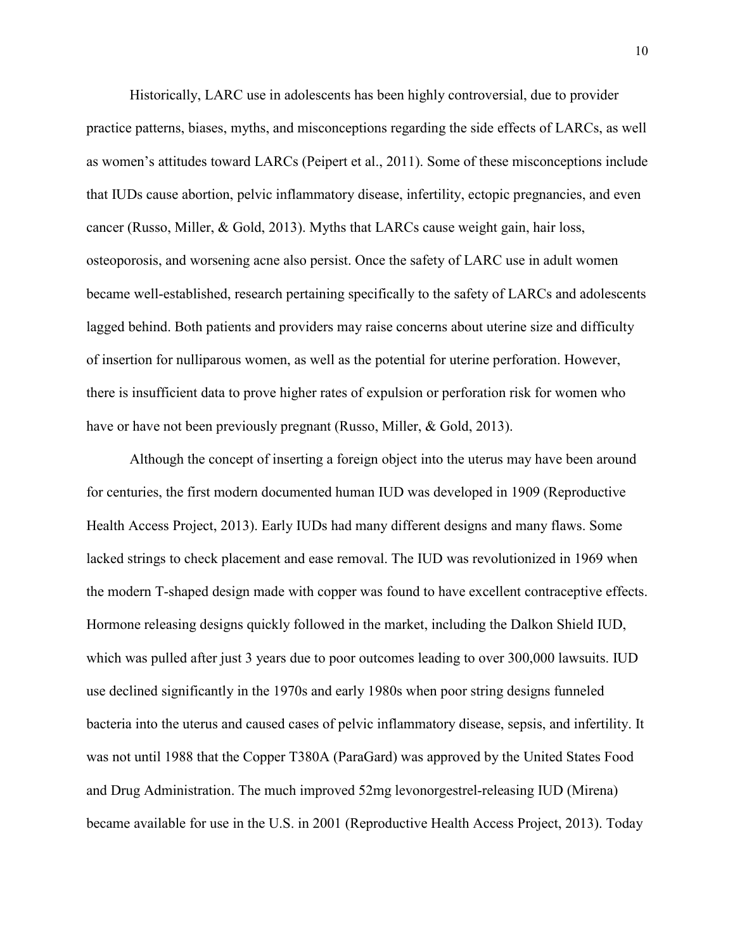Historically, LARC use in adolescents has been highly controversial, due to provider practice patterns, biases, myths, and misconceptions regarding the side effects of LARCs, as well as women's attitudes toward LARCs (Peipert et al., 2011). Some of these misconceptions include that IUDs cause abortion, pelvic inflammatory disease, infertility, ectopic pregnancies, and even cancer (Russo, Miller, & Gold, 2013). Myths that LARCs cause weight gain, hair loss, osteoporosis, and worsening acne also persist. Once the safety of LARC use in adult women became well-established, research pertaining specifically to the safety of LARCs and adolescents lagged behind. Both patients and providers may raise concerns about uterine size and difficulty of insertion for nulliparous women, as well as the potential for uterine perforation. However, there is insufficient data to prove higher rates of expulsion or perforation risk for women who have or have not been previously pregnant (Russo, Miller, & Gold, 2013).

Although the concept of inserting a foreign object into the uterus may have been around for centuries, the first modern documented human IUD was developed in 1909 (Reproductive Health Access Project, 2013). Early IUDs had many different designs and many flaws. Some lacked strings to check placement and ease removal. The IUD was revolutionized in 1969 when the modern T-shaped design made with copper was found to have excellent contraceptive effects. Hormone releasing designs quickly followed in the market, including the Dalkon Shield IUD, which was pulled after just 3 years due to poor outcomes leading to over 300,000 lawsuits. **IUD** use declined significantly in the 1970s and early 1980s when poor string designs funneled bacteria into the uterus and caused cases of pelvic inflammatory disease, sepsis, and infertility. It was not until 1988 that the Copper T380A (ParaGard) was approved by the United States Food and Drug Administration. The much improved 52mg levonorgestrel-releasing IUD (Mirena) became available for use in the U.S. in 2001 (Reproductive Health Access Project, 2013). Today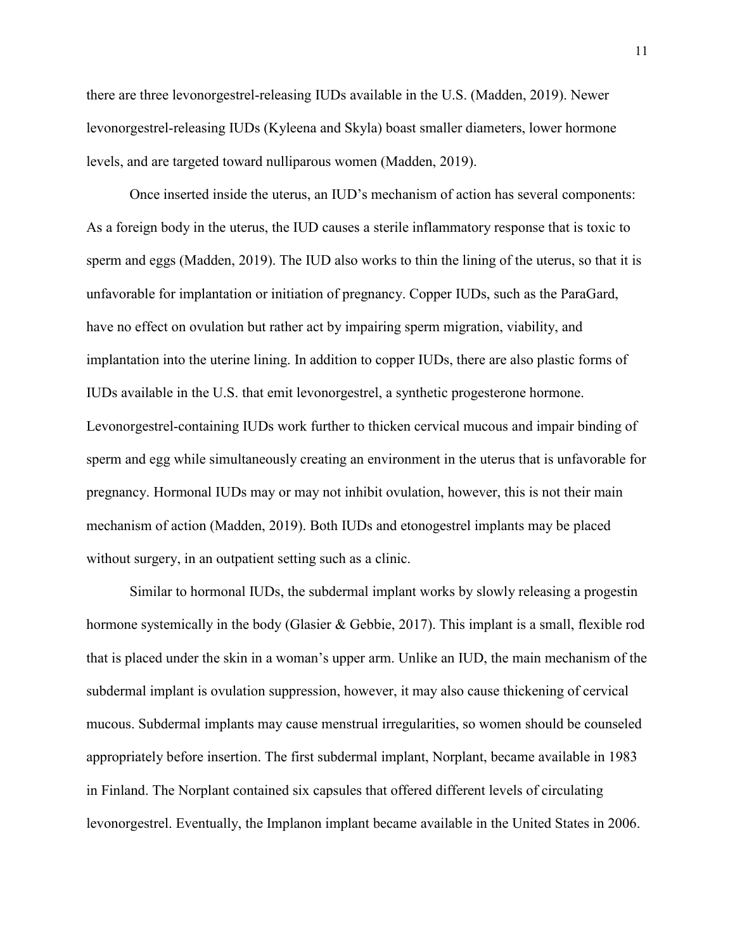there are three levonorgestrel-releasing IUDs available in the U.S. (Madden, 2019). Newer levonorgestrel-releasing IUDs (Kyleena and Skyla) boast smaller diameters, lower hormone levels, and are targeted toward nulliparous women (Madden, 2019).

Once inserted inside the uterus, an IUD's mechanism of action has several components: As a foreign body in the uterus, the IUD causes a sterile inflammatory response that is toxic to sperm and eggs (Madden, 2019). The IUD also works to thin the lining of the uterus, so that it is unfavorable for implantation or initiation of pregnancy. Copper IUDs, such as the ParaGard, have no effect on ovulation but rather act by impairing sperm migration, viability, and implantation into the uterine lining. In addition to copper IUDs, there are also plastic forms of IUDs available in the U.S. that emit levonorgestrel, a synthetic progesterone hormone. Levonorgestrel-containing IUDs work further to thicken cervical mucous and impair binding of sperm and egg while simultaneously creating an environment in the uterus that is unfavorable for pregnancy. Hormonal IUDs may or may not inhibit ovulation, however, this is not their main mechanism of action (Madden, 2019). Both IUDs and etonogestrel implants may be placed without surgery, in an outpatient setting such as a clinic.

Similar to hormonal IUDs, the subdermal implant works by slowly releasing a progestin hormone systemically in the body (Glasier & Gebbie, 2017). This implant is a small, flexible rod that is placed under the skin in a woman's upper arm. Unlike an IUD, the main mechanism of the subdermal implant is ovulation suppression, however, it may also cause thickening of cervical mucous. Subdermal implants may cause menstrual irregularities, so women should be counseled appropriately before insertion. The first subdermal implant, Norplant, became available in 1983 in Finland. The Norplant contained six capsules that offered different levels of circulating levonorgestrel. Eventually, the Implanon implant became available in the United States in 2006.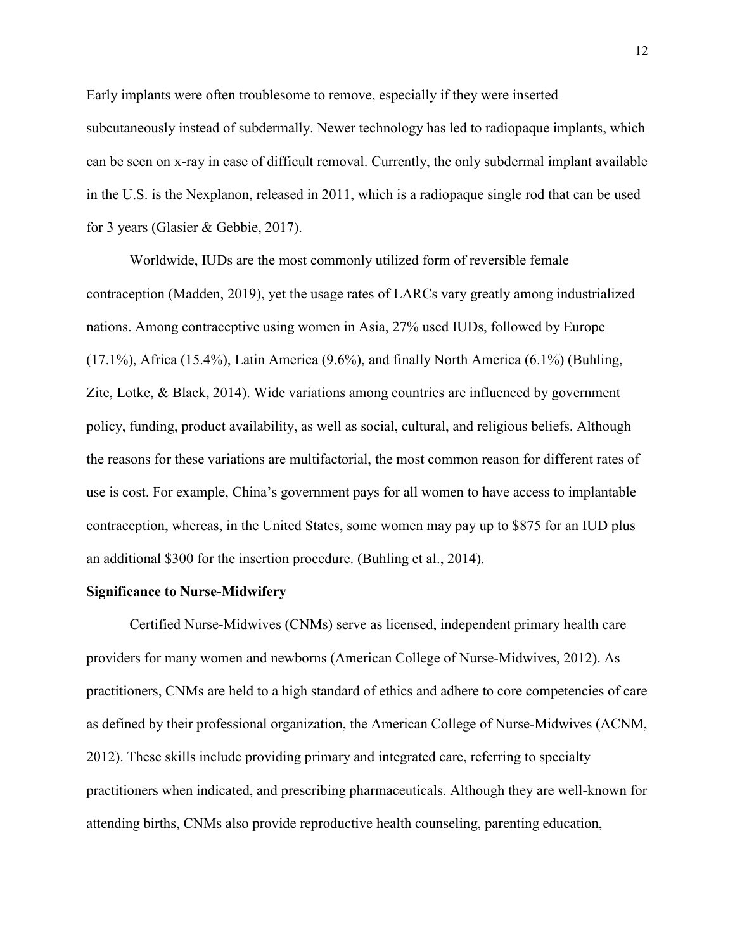Early implants were often troublesome to remove, especially if they were inserted subcutaneously instead of subdermally. Newer technology has led to radiopaque implants, which can be seen on x-ray in case of difficult removal. Currently, the only subdermal implant available in the U.S. is the Nexplanon, released in 2011, which is a radiopaque single rod that can be used for 3 years (Glasier & Gebbie, 2017).

Worldwide, IUDs are the most commonly utilized form of reversible female contraception (Madden, 2019), yet the usage rates of LARCs vary greatly among industrialized nations. Among contraceptive using women in Asia, 27% used IUDs, followed by Europe (17.1%), Africa (15.4%), Latin America (9.6%), and finally North America (6.1%) (Buhling, Zite, Lotke, & Black, 2014). Wide variations among countries are influenced by government policy, funding, product availability, as well as social, cultural, and religious beliefs. Although the reasons for these variations are multifactorial, the most common reason for different rates of use is cost. For example, China's government pays for all women to have access to implantable contraception, whereas, in the United States, some women may pay up to \$875 for an IUD plus an additional \$300 for the insertion procedure. (Buhling et al., 2014).

## **Significance to Nurse-Midwifery**

Certified Nurse-Midwives (CNMs) serve as licensed, independent primary health care providers for many women and newborns (American College of Nurse-Midwives, 2012). As practitioners, CNMs are held to a high standard of ethics and adhere to core competencies of care as defined by their professional organization, the American College of Nurse-Midwives (ACNM, 2012). These skills include providing primary and integrated care, referring to specialty practitioners when indicated, and prescribing pharmaceuticals. Although they are well-known for attending births, CNMs also provide reproductive health counseling, parenting education,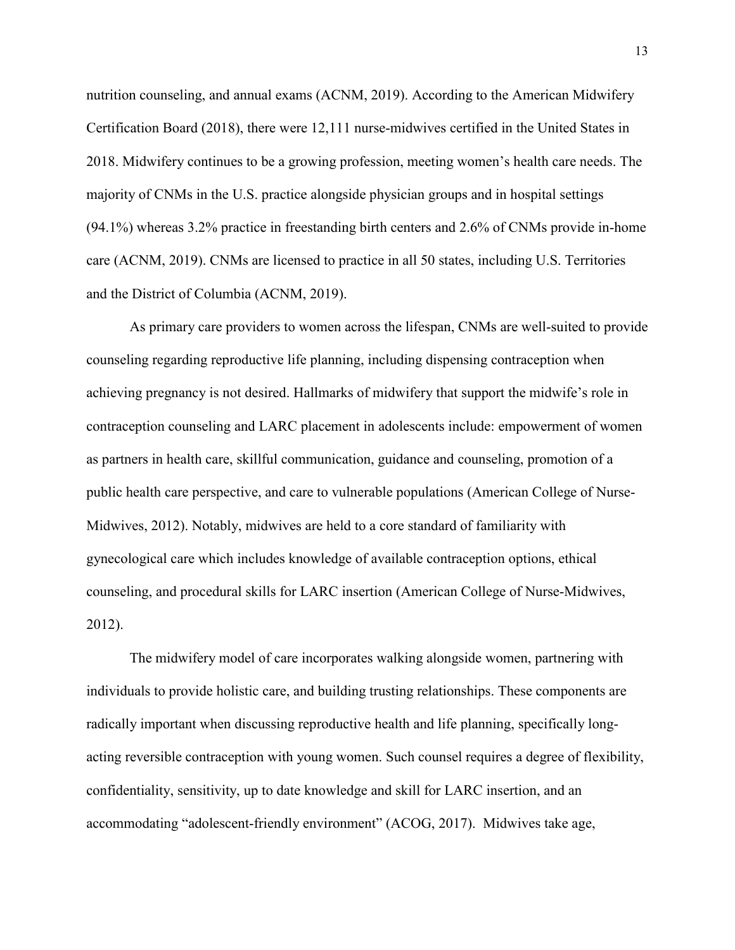nutrition counseling, and annual exams (ACNM, 2019). According to the American Midwifery Certification Board (2018), there were 12,111 nurse-midwives certified in the United States in 2018. Midwifery continues to be a growing profession, meeting women's health care needs. The majority of CNMs in the U.S. practice alongside physician groups and in hospital settings (94.1%) whereas 3.2% practice in freestanding birth centers and 2.6% of CNMs provide in-home care (ACNM, 2019). CNMs are licensed to practice in all 50 states, including U.S. Territories and the District of Columbia (ACNM, 2019).

As primary care providers to women across the lifespan, CNMs are well-suited to provide counseling regarding reproductive life planning, including dispensing contraception when achieving pregnancy is not desired. Hallmarks of midwifery that support the midwife's role in contraception counseling and LARC placement in adolescents include: empowerment of women as partners in health care, skillful communication, guidance and counseling, promotion of a public health care perspective, and care to vulnerable populations (American College of Nurse-Midwives, 2012). Notably, midwives are held to a core standard of familiarity with gynecological care which includes knowledge of available contraception options, ethical counseling, and procedural skills for LARC insertion (American College of Nurse-Midwives, 2012).

The midwifery model of care incorporates walking alongside women, partnering with individuals to provide holistic care, and building trusting relationships. These components are radically important when discussing reproductive health and life planning, specifically longacting reversible contraception with young women. Such counsel requires a degree of flexibility, confidentiality, sensitivity, up to date knowledge and skill for LARC insertion, and an accommodating "adolescent-friendly environment" (ACOG, 2017). Midwives take age,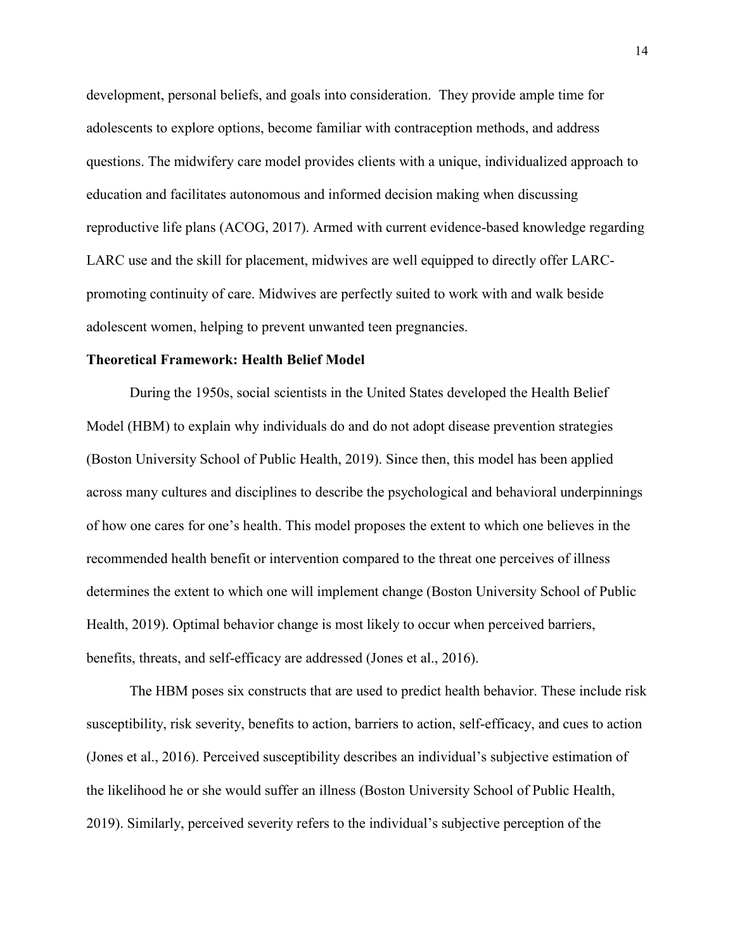development, personal beliefs, and goals into consideration. They provide ample time for adolescents to explore options, become familiar with contraception methods, and address questions. The midwifery care model provides clients with a unique, individualized approach to education and facilitates autonomous and informed decision making when discussing reproductive life plans (ACOG, 2017). Armed with current evidence-based knowledge regarding LARC use and the skill for placement, midwives are well equipped to directly offer LARCpromoting continuity of care. Midwives are perfectly suited to work with and walk beside adolescent women, helping to prevent unwanted teen pregnancies.

# **Theoretical Framework: Health Belief Model**

During the 1950s, social scientists in the United States developed the Health Belief Model (HBM) to explain why individuals do and do not adopt disease prevention strategies (Boston University School of Public Health, 2019). Since then, this model has been applied across many cultures and disciplines to describe the psychological and behavioral underpinnings of how one cares for one's health. This model proposes the extent to which one believes in the recommended health benefit or intervention compared to the threat one perceives of illness determines the extent to which one will implement change (Boston University School of Public Health, 2019). Optimal behavior change is most likely to occur when perceived barriers, benefits, threats, and self-efficacy are addressed (Jones et al., 2016).

The HBM poses six constructs that are used to predict health behavior. These include risk susceptibility, risk severity, benefits to action, barriers to action, self-efficacy, and cues to action (Jones et al., 2016). Perceived susceptibility describes an individual's subjective estimation of the likelihood he or she would suffer an illness (Boston University School of Public Health, 2019). Similarly, perceived severity refers to the individual's subjective perception of the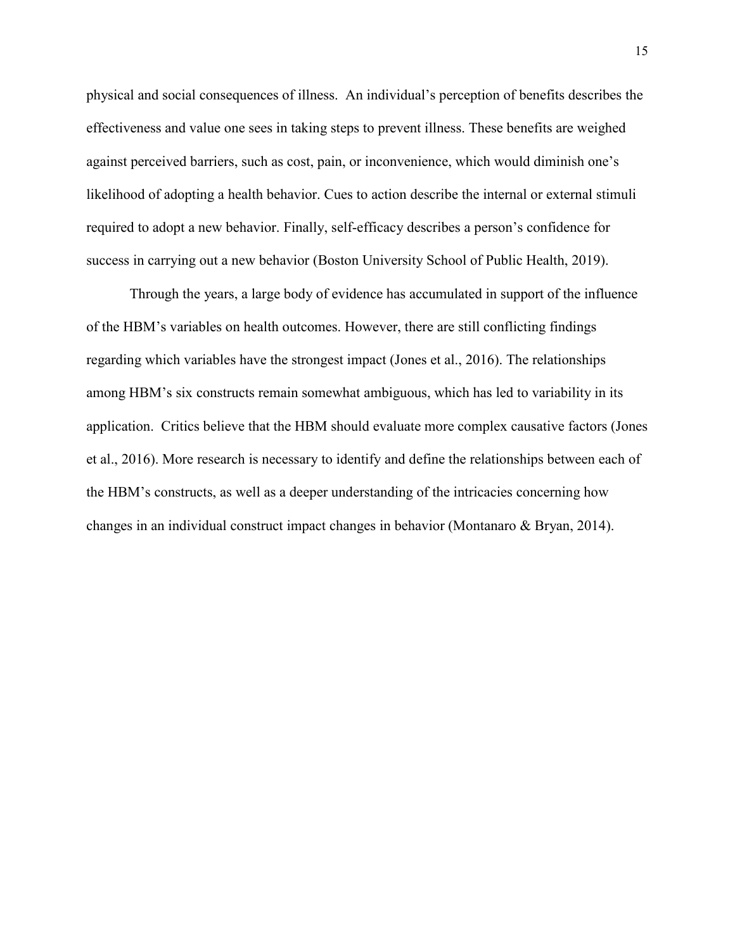physical and social consequences of illness. An individual's perception of benefits describes the effectiveness and value one sees in taking steps to prevent illness. These benefits are weighed against perceived barriers, such as cost, pain, or inconvenience, which would diminish one's likelihood of adopting a health behavior. Cues to action describe the internal or external stimuli required to adopt a new behavior. Finally, self-efficacy describes a person's confidence for success in carrying out a new behavior (Boston University School of Public Health, 2019).

Through the years, a large body of evidence has accumulated in support of the influence of the HBM's variables on health outcomes. However, there are still conflicting findings regarding which variables have the strongest impact (Jones et al., 2016). The relationships among HBM's six constructs remain somewhat ambiguous, which has led to variability in its application. Critics believe that the HBM should evaluate more complex causative factors (Jones et al., 2016). More research is necessary to identify and define the relationships between each of the HBM's constructs, as well as a deeper understanding of the intricacies concerning how changes in an individual construct impact changes in behavior (Montanaro & Bryan, 2014).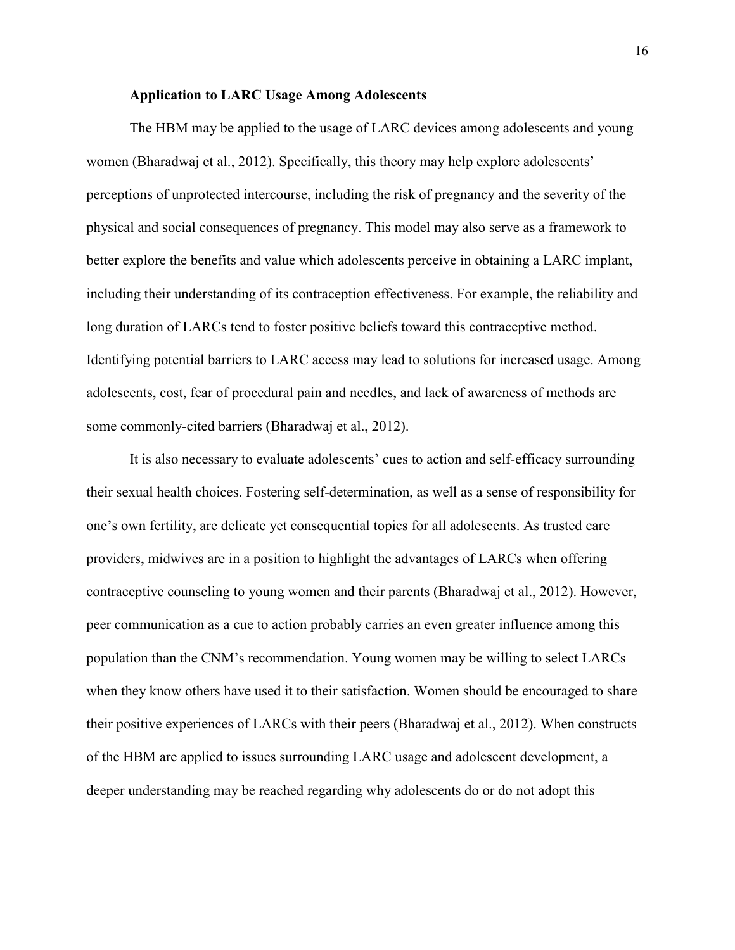# **Application to LARC Usage Among Adolescents**

 The HBM may be applied to the usage of LARC devices among adolescents and young women (Bharadwaj et al., 2012). Specifically, this theory may help explore adolescents' perceptions of unprotected intercourse, including the risk of pregnancy and the severity of the physical and social consequences of pregnancy. This model may also serve as a framework to better explore the benefits and value which adolescents perceive in obtaining a LARC implant, including their understanding of its contraception effectiveness. For example, the reliability and long duration of LARCs tend to foster positive beliefs toward this contraceptive method. Identifying potential barriers to LARC access may lead to solutions for increased usage. Among adolescents, cost, fear of procedural pain and needles, and lack of awareness of methods are some commonly-cited barriers (Bharadwaj et al., 2012).

It is also necessary to evaluate adolescents' cues to action and self-efficacy surrounding their sexual health choices. Fostering self-determination, as well as a sense of responsibility for one's own fertility, are delicate yet consequential topics for all adolescents. As trusted care providers, midwives are in a position to highlight the advantages of LARCs when offering contraceptive counseling to young women and their parents (Bharadwaj et al., 2012). However, peer communication as a cue to action probably carries an even greater influence among this population than the CNM's recommendation. Young women may be willing to select LARCs when they know others have used it to their satisfaction. Women should be encouraged to share their positive experiences of LARCs with their peers (Bharadwaj et al., 2012). When constructs of the HBM are applied to issues surrounding LARC usage and adolescent development, a deeper understanding may be reached regarding why adolescents do or do not adopt this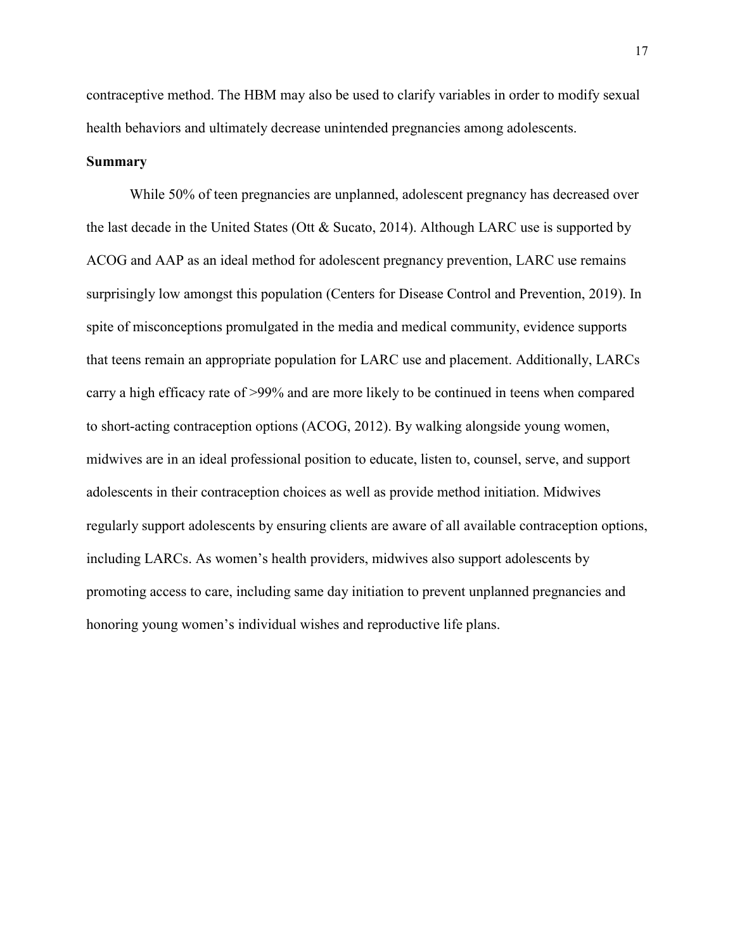contraceptive method. The HBM may also be used to clarify variables in order to modify sexual health behaviors and ultimately decrease unintended pregnancies among adolescents.

### **Summary**

While 50% of teen pregnancies are unplanned, adolescent pregnancy has decreased over the last decade in the United States (Ott & Sucato, 2014). Although LARC use is supported by ACOG and AAP as an ideal method for adolescent pregnancy prevention, LARC use remains surprisingly low amongst this population (Centers for Disease Control and Prevention, 2019). In spite of misconceptions promulgated in the media and medical community, evidence supports that teens remain an appropriate population for LARC use and placement. Additionally, LARCs carry a high efficacy rate of >99% and are more likely to be continued in teens when compared to short-acting contraception options (ACOG, 2012). By walking alongside young women, midwives are in an ideal professional position to educate, listen to, counsel, serve, and support adolescents in their contraception choices as well as provide method initiation. Midwives regularly support adolescents by ensuring clients are aware of all available contraception options, including LARCs. As women's health providers, midwives also support adolescents by promoting access to care, including same day initiation to prevent unplanned pregnancies and honoring young women's individual wishes and reproductive life plans.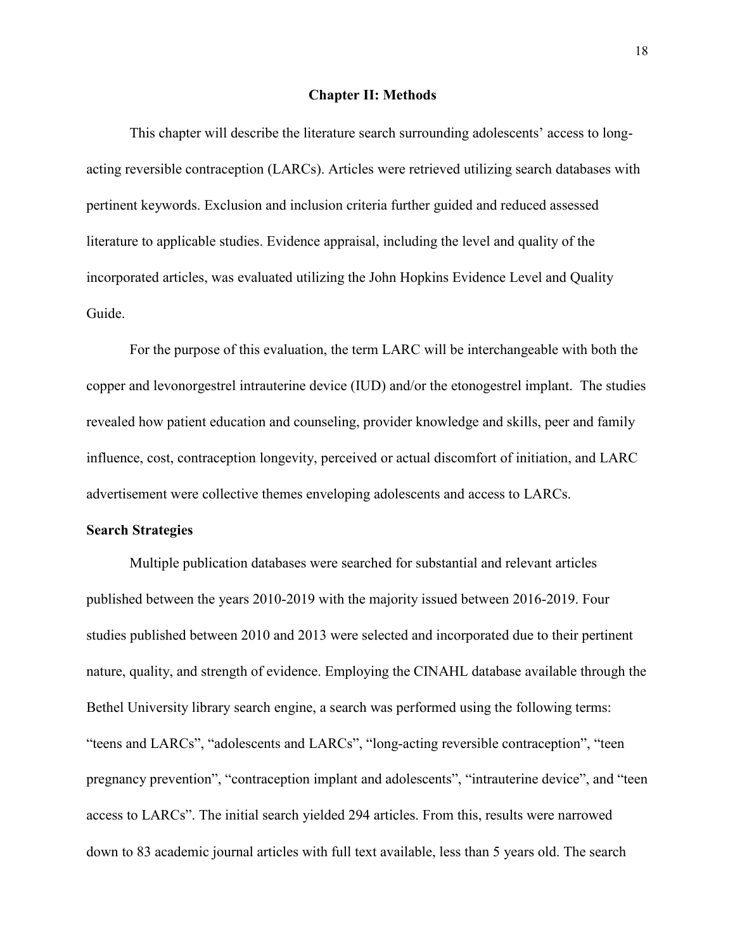#### **Chapter II: Methods**

This chapter will describe the literature search surrounding adolescents' access to longacting reversible contraception (LARCs). Articles were retrieved utilizing search databases with pertinent keywords. Exclusion and inclusion criteria further guided and reduced assessed literature to applicable studies. Evidence appraisal, including the level and quality of the incorporated articles, was evaluated utilizing the John Hopkins Evidence Level and Quality Guide.

For the purpose of this evaluation, the term LARC will be interchangeable with both the copper and levonorgestrel intrauterine device (IUD) and/or the etonogestrel implant. The studies revealed how patient education and counseling, provider knowledge and skills, peer and family influence, cost, contraception longevity, perceived or actual discomfort of initiation, and LARC advertisement were collective themes enveloping adolescents and access to LARCs.

## **Search Strategies**

Multiple publication databases were searched for substantial and relevant articles published between the years 2010-2019 with the majority issued between 2016-2019. Four studies published between 2010 and 2013 were selected and incorporated due to their pertinent nature, quality, and strength of evidence. Employing the CINAHL database available through the Bethel University library search engine, a search was performed using the following terms: "teens and LARCs", "adolescents and LARCs", "long-acting reversible contraception", "teen pregnancy prevention", "contraception implant and adolescents", "intrauterine device", and "teen access to LARCs". The initial search yielded 294 articles. From this, results were narrowed down to 83 academic journal articles with full text available, less than 5 years old. The search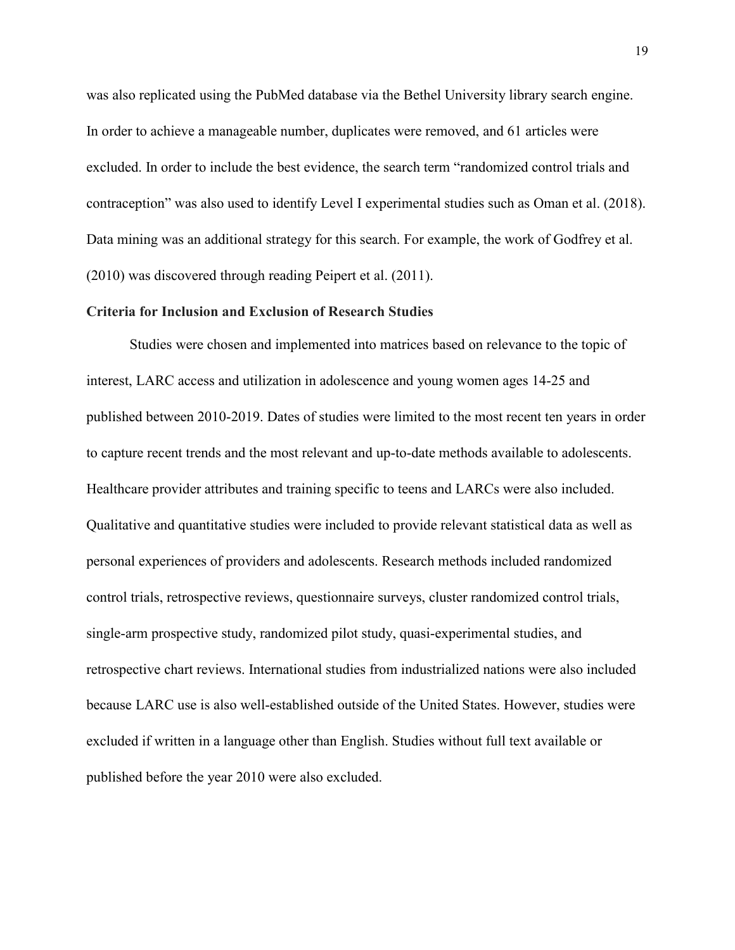was also replicated using the PubMed database via the Bethel University library search engine. In order to achieve a manageable number, duplicates were removed, and 61 articles were excluded. In order to include the best evidence, the search term "randomized control trials and contraception" was also used to identify Level I experimental studies such as Oman et al. (2018). Data mining was an additional strategy for this search. For example, the work of Godfrey et al. (2010) was discovered through reading Peipert et al. (2011).

# **Criteria for Inclusion and Exclusion of Research Studies**

Studies were chosen and implemented into matrices based on relevance to the topic of interest, LARC access and utilization in adolescence and young women ages 14-25 and published between 2010-2019. Dates of studies were limited to the most recent ten years in order to capture recent trends and the most relevant and up-to-date methods available to adolescents. Healthcare provider attributes and training specific to teens and LARCs were also included. Qualitative and quantitative studies were included to provide relevant statistical data as well as personal experiences of providers and adolescents. Research methods included randomized control trials, retrospective reviews, questionnaire surveys, cluster randomized control trials, single-arm prospective study, randomized pilot study, quasi-experimental studies, and retrospective chart reviews. International studies from industrialized nations were also included because LARC use is also well-established outside of the United States. However, studies were excluded if written in a language other than English. Studies without full text available or published before the year 2010 were also excluded.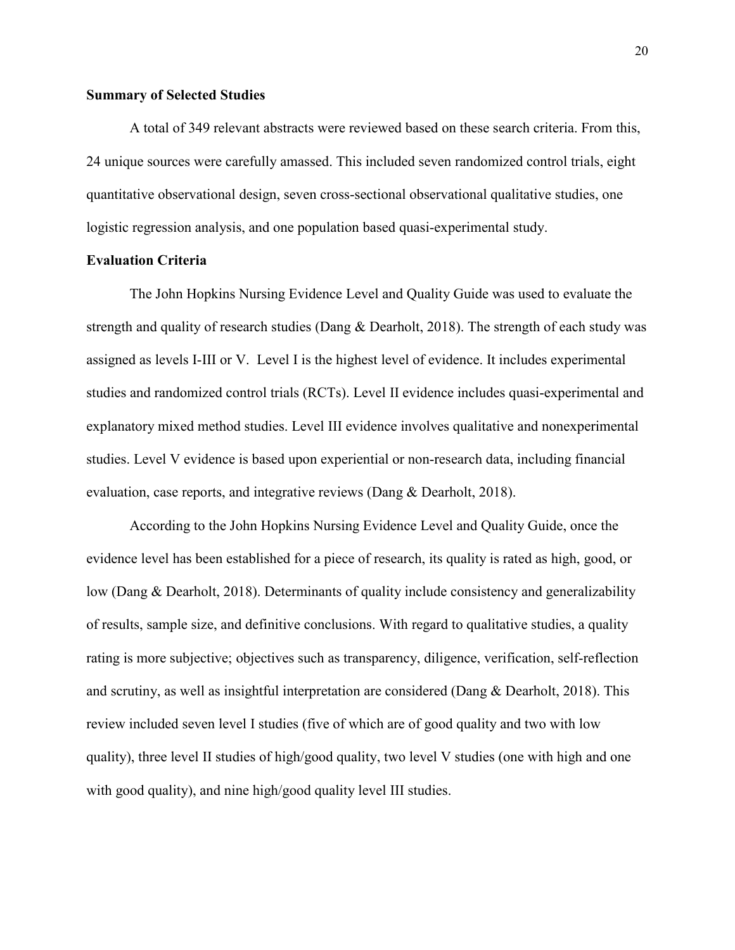# **Summary of Selected Studies**

A total of 349 relevant abstracts were reviewed based on these search criteria. From this, 24 unique sources were carefully amassed. This included seven randomized control trials, eight quantitative observational design, seven cross-sectional observational qualitative studies, one logistic regression analysis, and one population based quasi-experimental study.

# **Evaluation Criteria**

The John Hopkins Nursing Evidence Level and Quality Guide was used to evaluate the strength and quality of research studies (Dang & Dearholt, 2018). The strength of each study was assigned as levels I-III or V. Level I is the highest level of evidence. It includes experimental studies and randomized control trials (RCTs). Level II evidence includes quasi-experimental and explanatory mixed method studies. Level III evidence involves qualitative and nonexperimental studies. Level V evidence is based upon experiential or non-research data, including financial evaluation, case reports, and integrative reviews (Dang & Dearholt, 2018).

 According to the John Hopkins Nursing Evidence Level and Quality Guide, once the evidence level has been established for a piece of research, its quality is rated as high, good, or low (Dang & Dearholt, 2018). Determinants of quality include consistency and generalizability of results, sample size, and definitive conclusions. With regard to qualitative studies, a quality rating is more subjective; objectives such as transparency, diligence, verification, self-reflection and scrutiny, as well as insightful interpretation are considered (Dang & Dearholt, 2018). This review included seven level I studies (five of which are of good quality and two with low quality), three level II studies of high/good quality, two level V studies (one with high and one with good quality), and nine high/good quality level III studies.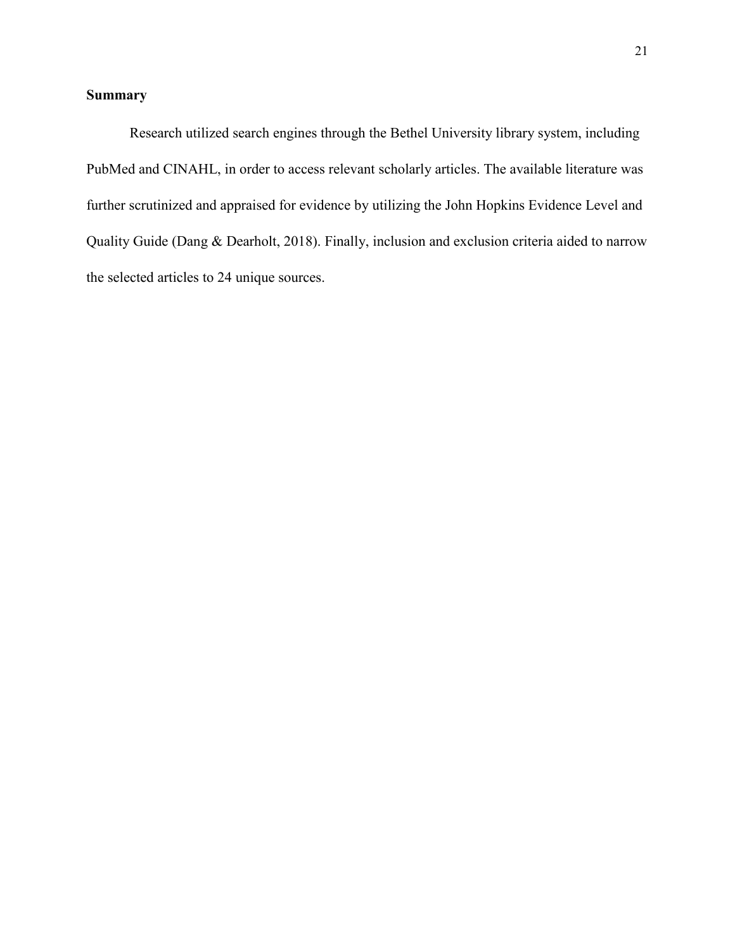# **Summary**

Research utilized search engines through the Bethel University library system, including PubMed and CINAHL, in order to access relevant scholarly articles. The available literature was further scrutinized and appraised for evidence by utilizing the John Hopkins Evidence Level and Quality Guide (Dang & Dearholt, 2018). Finally, inclusion and exclusion criteria aided to narrow the selected articles to 24 unique sources.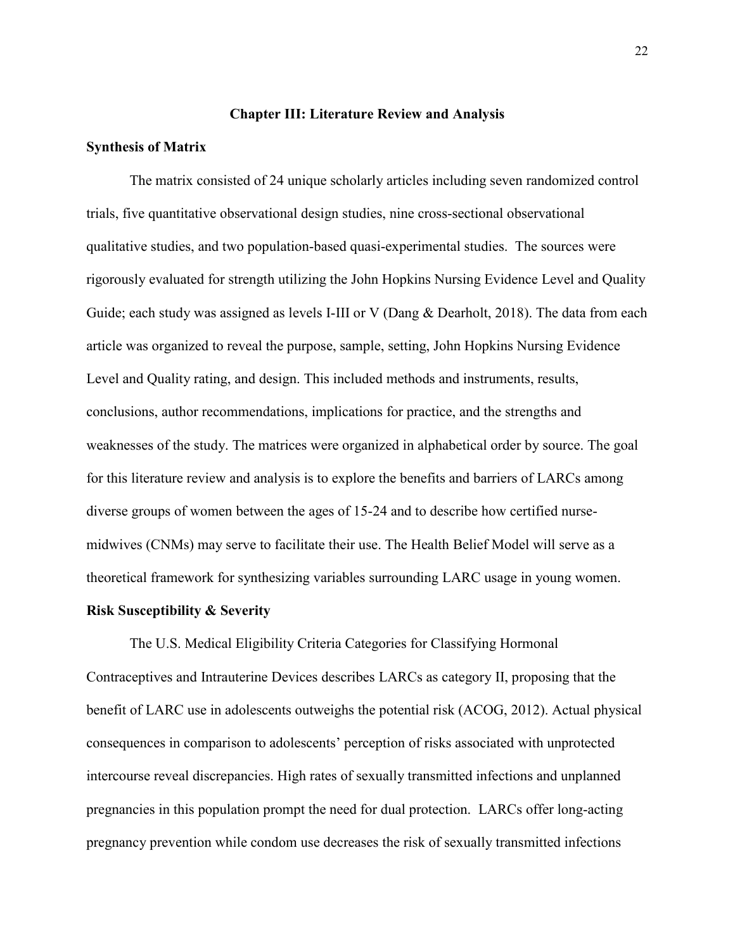# **Chapter III: Literature Review and Analysis**

# **Synthesis of Matrix**

The matrix consisted of 24 unique scholarly articles including seven randomized control trials, five quantitative observational design studies, nine cross-sectional observational qualitative studies, and two population-based quasi-experimental studies. The sources were rigorously evaluated for strength utilizing the John Hopkins Nursing Evidence Level and Quality Guide; each study was assigned as levels I-III or V (Dang & Dearholt, 2018). The data from each article was organized to reveal the purpose, sample, setting, John Hopkins Nursing Evidence Level and Quality rating, and design. This included methods and instruments, results, conclusions, author recommendations, implications for practice, and the strengths and weaknesses of the study. The matrices were organized in alphabetical order by source. The goal for this literature review and analysis is to explore the benefits and barriers of LARCs among diverse groups of women between the ages of 15-24 and to describe how certified nursemidwives (CNMs) may serve to facilitate their use. The Health Belief Model will serve as a theoretical framework for synthesizing variables surrounding LARC usage in young women.

# **Risk Susceptibility & Severity**

The U.S. Medical Eligibility Criteria Categories for Classifying Hormonal Contraceptives and Intrauterine Devices describes LARCs as category II, proposing that the benefit of LARC use in adolescents outweighs the potential risk (ACOG, 2012). Actual physical consequences in comparison to adolescents' perception of risks associated with unprotected intercourse reveal discrepancies. High rates of sexually transmitted infections and unplanned pregnancies in this population prompt the need for dual protection. LARCs offer long-acting pregnancy prevention while condom use decreases the risk of sexually transmitted infections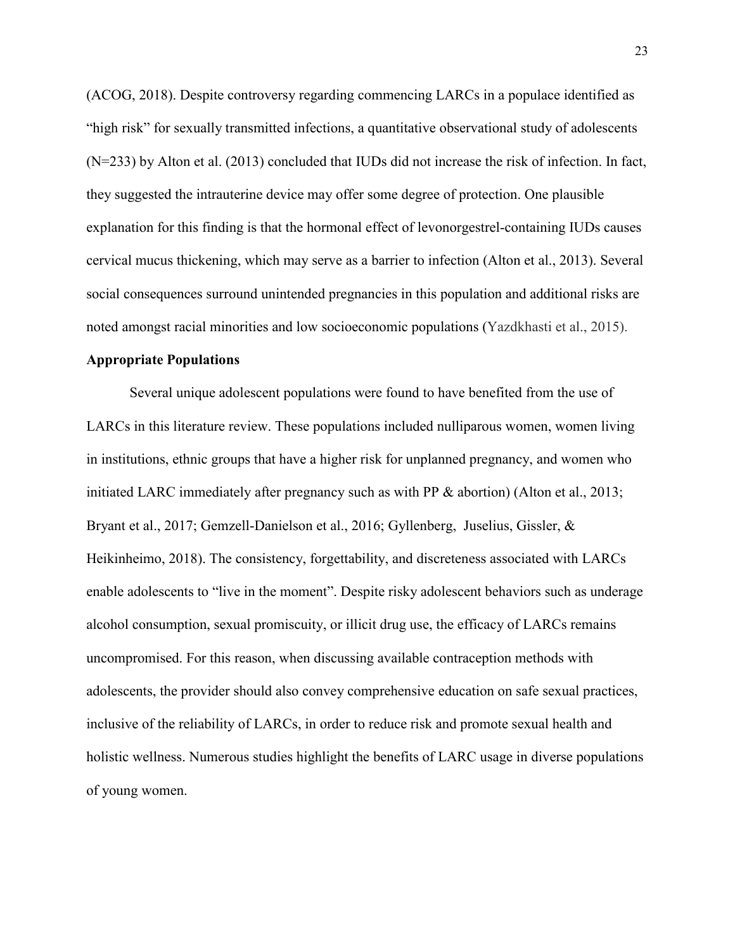(ACOG, 2018). Despite controversy regarding commencing LARCs in a populace identified as "high risk" for sexually transmitted infections, a quantitative observational study of adolescents (N=233) by Alton et al. (2013) concluded that IUDs did not increase the risk of infection. In fact, they suggested the intrauterine device may offer some degree of protection. One plausible explanation for this finding is that the hormonal effect of levonorgestrel-containing IUDs causes cervical mucus thickening, which may serve as a barrier to infection (Alton et al., 2013). Several social consequences surround unintended pregnancies in this population and additional risks are noted amongst racial minorities and low socioeconomic populations (Yazdkhasti et al., 2015).

#### **Appropriate Populations**

 Several unique adolescent populations were found to have benefited from the use of LARCs in this literature review. These populations included nulliparous women, women living in institutions, ethnic groups that have a higher risk for unplanned pregnancy, and women who initiated LARC immediately after pregnancy such as with PP & abortion) (Alton et al., 2013; Bryant et al., 2017; Gemzell-Danielson et al., 2016; Gyllenberg, Juselius, Gissler, & Heikinheimo, 2018). The consistency, forgettability, and discreteness associated with LARCs enable adolescents to "live in the moment". Despite risky adolescent behaviors such as underage alcohol consumption, sexual promiscuity, or illicit drug use, the efficacy of LARCs remains uncompromised. For this reason, when discussing available contraception methods with adolescents, the provider should also convey comprehensive education on safe sexual practices, inclusive of the reliability of LARCs, in order to reduce risk and promote sexual health and holistic wellness. Numerous studies highlight the benefits of LARC usage in diverse populations of young women.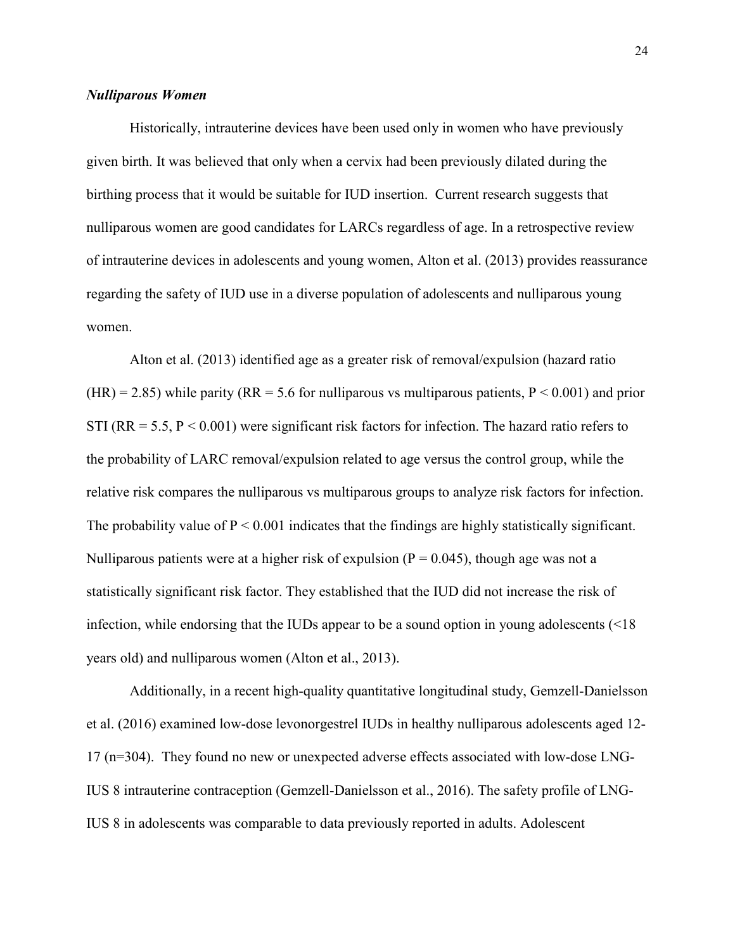# *Nulliparous Women*

 Historically, intrauterine devices have been used only in women who have previously given birth. It was believed that only when a cervix had been previously dilated during the birthing process that it would be suitable for IUD insertion. Current research suggests that nulliparous women are good candidates for LARCs regardless of age. In a retrospective review of intrauterine devices in adolescents and young women, Alton et al. (2013) provides reassurance regarding the safety of IUD use in a diverse population of adolescents and nulliparous young women.

Alton et al. (2013) identified age as a greater risk of removal/expulsion (hazard ratio (HR) = 2.85) while parity (RR = 5.6 for nulliparous vs multiparous patients,  $P < 0.001$ ) and prior STI ( $RR = 5.5$ ,  $P < 0.001$ ) were significant risk factors for infection. The hazard ratio refers to the probability of LARC removal/expulsion related to age versus the control group, while the relative risk compares the nulliparous vs multiparous groups to analyze risk factors for infection. The probability value of  $P \le 0.001$  indicates that the findings are highly statistically significant. Nulliparous patients were at a higher risk of expulsion ( $P = 0.045$ ), though age was not a statistically significant risk factor. They established that the IUD did not increase the risk of infection, while endorsing that the IUDs appear to be a sound option in young adolescents (<18 years old) and nulliparous women (Alton et al., 2013).

Additionally, in a recent high-quality quantitative longitudinal study, Gemzell-Danielsson et al. (2016) examined low-dose levonorgestrel IUDs in healthy nulliparous adolescents aged 12- 17 (n=304). They found no new or unexpected adverse effects associated with low-dose LNG-IUS 8 intrauterine contraception (Gemzell-Danielsson et al., 2016). The safety profile of LNG-IUS 8 in adolescents was comparable to data previously reported in adults. Adolescent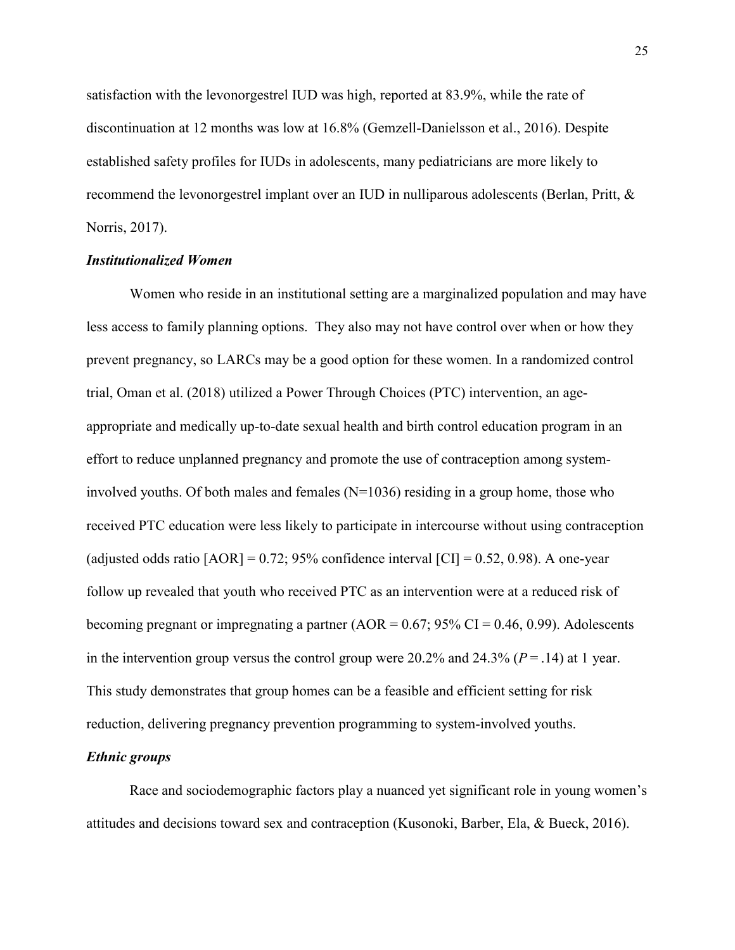satisfaction with the levonorgestrel IUD was high, reported at 83.9%, while the rate of discontinuation at 12 months was low at 16.8% (Gemzell-Danielsson et al., 2016). Despite established safety profiles for IUDs in adolescents, many pediatricians are more likely to recommend the levonorgestrel implant over an IUD in nulliparous adolescents (Berlan, Pritt, & Norris, 2017).

# *Institutionalized Women*

Women who reside in an institutional setting are a marginalized population and may have less access to family planning options. They also may not have control over when or how they prevent pregnancy, so LARCs may be a good option for these women. In a randomized control trial, Oman et al. (2018) utilized a Power Through Choices (PTC) intervention, an ageappropriate and medically up-to-date sexual health and birth control education program in an effort to reduce unplanned pregnancy and promote the use of contraception among systeminvolved youths. Of both males and females  $(N=1036)$  residing in a group home, those who received PTC education were less likely to participate in intercourse without using contraception (adjusted odds ratio  $[AOR] = 0.72$ ; 95% confidence interval  $[CI] = 0.52$ , 0.98). A one-year follow up revealed that youth who received PTC as an intervention were at a reduced risk of becoming pregnant or impregnating a partner (AOR =  $0.67$ ; 95% CI = 0.46, 0.99). Adolescents in the intervention group versus the control group were  $20.2\%$  and  $24.3\%$  ( $P = .14$ ) at 1 year. This study demonstrates that group homes can be a feasible and efficient setting for risk reduction, delivering pregnancy prevention programming to system-involved youths.

## *Ethnic groups*

Race and sociodemographic factors play a nuanced yet significant role in young women's attitudes and decisions toward sex and contraception (Kusonoki, Barber, Ela, & Bueck, 2016).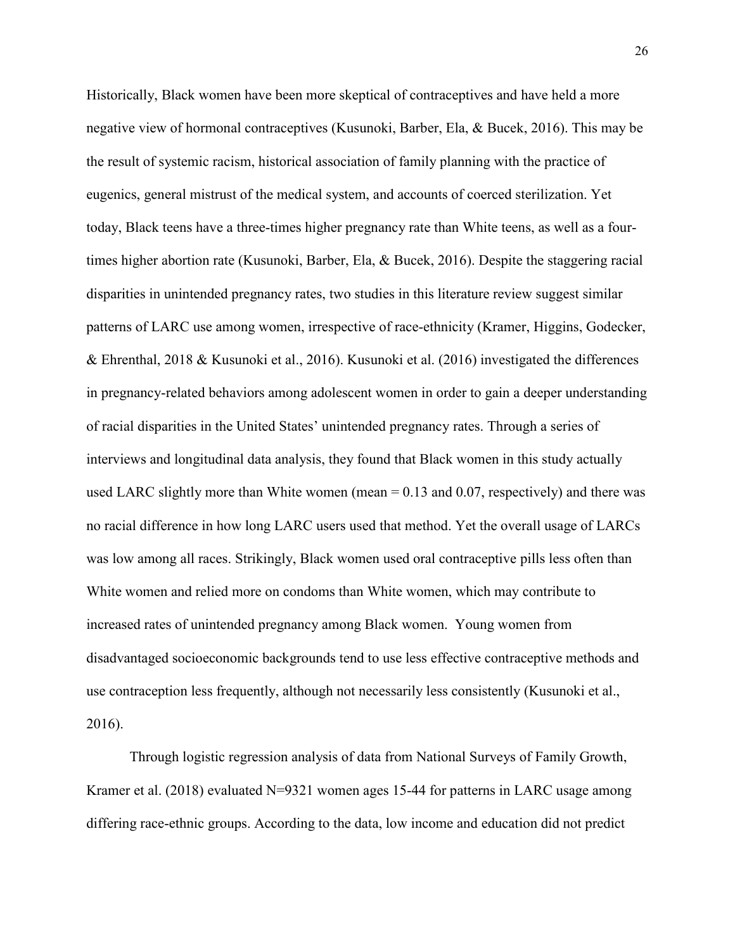Historically, Black women have been more skeptical of contraceptives and have held a more negative view of hormonal contraceptives (Kusunoki, Barber, Ela, & Bucek, 2016). This may be the result of systemic racism, historical association of family planning with the practice of eugenics, general mistrust of the medical system, and accounts of coerced sterilization. Yet today, Black teens have a three-times higher pregnancy rate than White teens, as well as a fourtimes higher abortion rate (Kusunoki, Barber, Ela, & Bucek, 2016). Despite the staggering racial disparities in unintended pregnancy rates, two studies in this literature review suggest similar patterns of LARC use among women, irrespective of race-ethnicity (Kramer, Higgins, Godecker, & Ehrenthal, 2018 & Kusunoki et al., 2016). Kusunoki et al. (2016) investigated the differences in pregnancy-related behaviors among adolescent women in order to gain a deeper understanding of racial disparities in the United States' unintended pregnancy rates. Through a series of interviews and longitudinal data analysis, they found that Black women in this study actually used LARC slightly more than White women (mean  $= 0.13$  and 0.07, respectively) and there was no racial difference in how long LARC users used that method. Yet the overall usage of LARCs was low among all races. Strikingly, Black women used oral contraceptive pills less often than White women and relied more on condoms than White women, which may contribute to increased rates of unintended pregnancy among Black women. Young women from disadvantaged socioeconomic backgrounds tend to use less effective contraceptive methods and use contraception less frequently, although not necessarily less consistently (Kusunoki et al., 2016).

 Through logistic regression analysis of data from National Surveys of Family Growth, Kramer et al. (2018) evaluated N=9321 women ages 15-44 for patterns in LARC usage among differing race-ethnic groups. According to the data, low income and education did not predict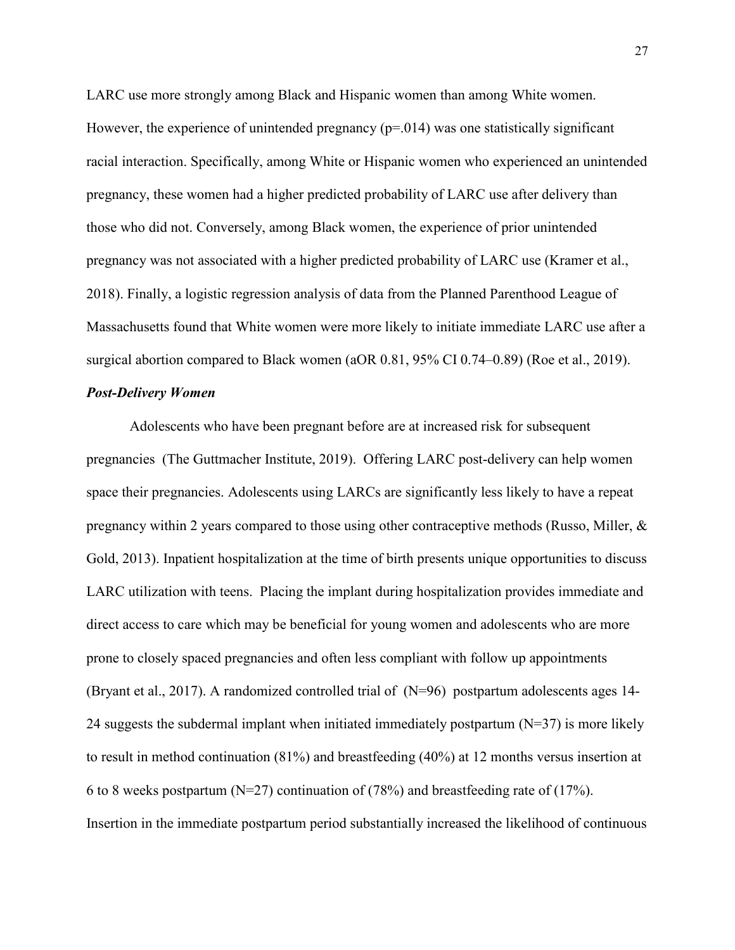LARC use more strongly among Black and Hispanic women than among White women. However, the experience of unintended pregnancy  $(p=0.014)$  was one statistically significant racial interaction. Specifically, among White or Hispanic women who experienced an unintended pregnancy, these women had a higher predicted probability of LARC use after delivery than those who did not. Conversely, among Black women, the experience of prior unintended pregnancy was not associated with a higher predicted probability of LARC use (Kramer et al., 2018). Finally, a logistic regression analysis of data from the Planned Parenthood League of Massachusetts found that White women were more likely to initiate immediate LARC use after a surgical abortion compared to Black women (aOR 0.81, 95% CI 0.74–0.89) (Roe et al., 2019).

## *Post-Delivery Women*

Adolescents who have been pregnant before are at increased risk for subsequent pregnancies (The Guttmacher Institute, 2019). Offering LARC post-delivery can help women space their pregnancies. Adolescents using LARCs are significantly less likely to have a repeat pregnancy within 2 years compared to those using other contraceptive methods (Russo, Miller, & Gold, 2013). Inpatient hospitalization at the time of birth presents unique opportunities to discuss LARC utilization with teens. Placing the implant during hospitalization provides immediate and direct access to care which may be beneficial for young women and adolescents who are more prone to closely spaced pregnancies and often less compliant with follow up appointments (Bryant et al., 2017). A randomized controlled trial of (N=96) postpartum adolescents ages 14- 24 suggests the subdermal implant when initiated immediately postpartum  $(N=37)$  is more likely to result in method continuation (81%) and breastfeeding (40%) at 12 months versus insertion at 6 to 8 weeks postpartum (N=27) continuation of (78%) and breastfeeding rate of (17%). Insertion in the immediate postpartum period substantially increased the likelihood of continuous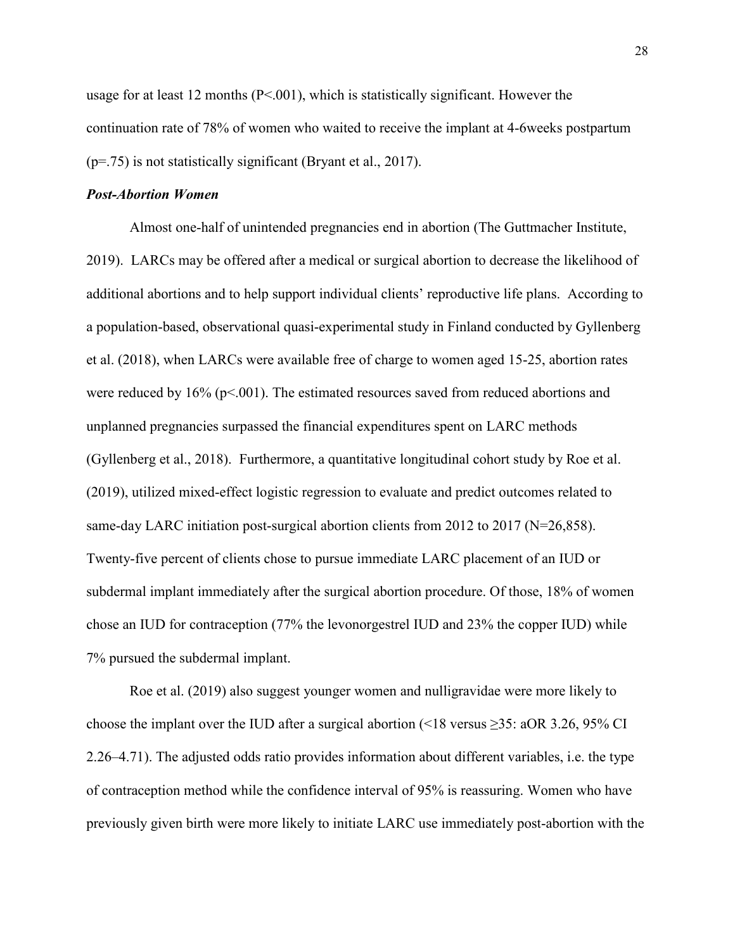usage for at least 12 months (P<.001), which is statistically significant. However the continuation rate of 78% of women who waited to receive the implant at 4-6weeks postpartum (p=.75) is not statistically significant (Bryant et al., 2017).

# *Post-Abortion Women*

Almost one-half of unintended pregnancies end in abortion (The Guttmacher Institute, 2019). LARCs may be offered after a medical or surgical abortion to decrease the likelihood of additional abortions and to help support individual clients' reproductive life plans. According to a population-based, observational quasi-experimental study in Finland conducted by Gyllenberg et al. (2018), when LARCs were available free of charge to women aged 15-25, abortion rates were reduced by 16% (p<.001). The estimated resources saved from reduced abortions and unplanned pregnancies surpassed the financial expenditures spent on LARC methods (Gyllenberg et al., 2018). Furthermore, a quantitative longitudinal cohort study by Roe et al. (2019), utilized mixed-effect logistic regression to evaluate and predict outcomes related to same-day LARC initiation post-surgical abortion clients from 2012 to 2017 (N=26,858). Twenty-five percent of clients chose to pursue immediate LARC placement of an IUD or subdermal implant immediately after the surgical abortion procedure. Of those, 18% of women chose an IUD for contraception (77% the levonorgestrel IUD and 23% the copper IUD) while 7% pursued the subdermal implant.

Roe et al. (2019) also suggest younger women and nulligravidae were more likely to choose the implant over the IUD after a surgical abortion (<18 versus ≥35: aOR 3.26, 95% CI 2.26–4.71). The adjusted odds ratio provides information about different variables, i.e. the type of contraception method while the confidence interval of 95% is reassuring. Women who have previously given birth were more likely to initiate LARC use immediately post-abortion with the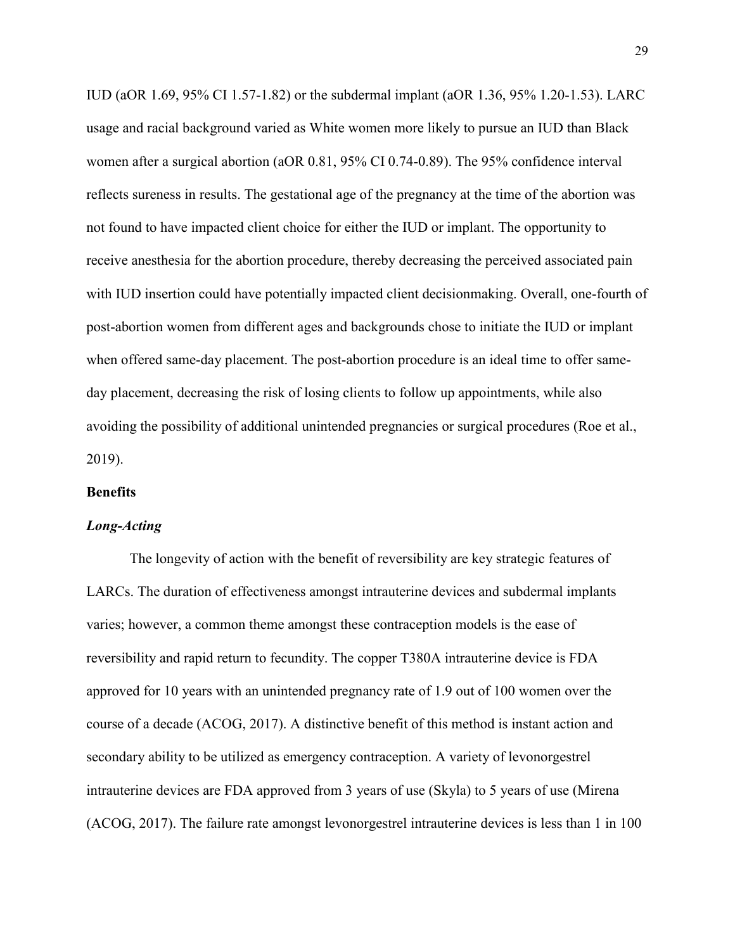IUD (aOR 1.69, 95% CI 1.57-1.82) or the subdermal implant (aOR 1.36, 95% 1.20-1.53). LARC usage and racial background varied as White women more likely to pursue an IUD than Black women after a surgical abortion (aOR 0.81, 95% CI 0.74-0.89). The 95% confidence interval reflects sureness in results. The gestational age of the pregnancy at the time of the abortion was not found to have impacted client choice for either the IUD or implant. The opportunity to receive anesthesia for the abortion procedure, thereby decreasing the perceived associated pain with IUD insertion could have potentially impacted client decisionmaking. Overall, one-fourth of post-abortion women from different ages and backgrounds chose to initiate the IUD or implant when offered same-day placement. The post-abortion procedure is an ideal time to offer sameday placement, decreasing the risk of losing clients to follow up appointments, while also avoiding the possibility of additional unintended pregnancies or surgical procedures (Roe et al., 2019).

# **Benefits**

#### *Long-Acting*

The longevity of action with the benefit of reversibility are key strategic features of LARCs. The duration of effectiveness amongst intrauterine devices and subdermal implants varies; however, a common theme amongst these contraception models is the ease of reversibility and rapid return to fecundity. The copper T380A intrauterine device is FDA approved for 10 years with an unintended pregnancy rate of 1.9 out of 100 women over the course of a decade (ACOG, 2017). A distinctive benefit of this method is instant action and secondary ability to be utilized as emergency contraception. A variety of levonorgestrel intrauterine devices are FDA approved from 3 years of use (Skyla) to 5 years of use (Mirena (ACOG, 2017). The failure rate amongst levonorgestrel intrauterine devices is less than 1 in 100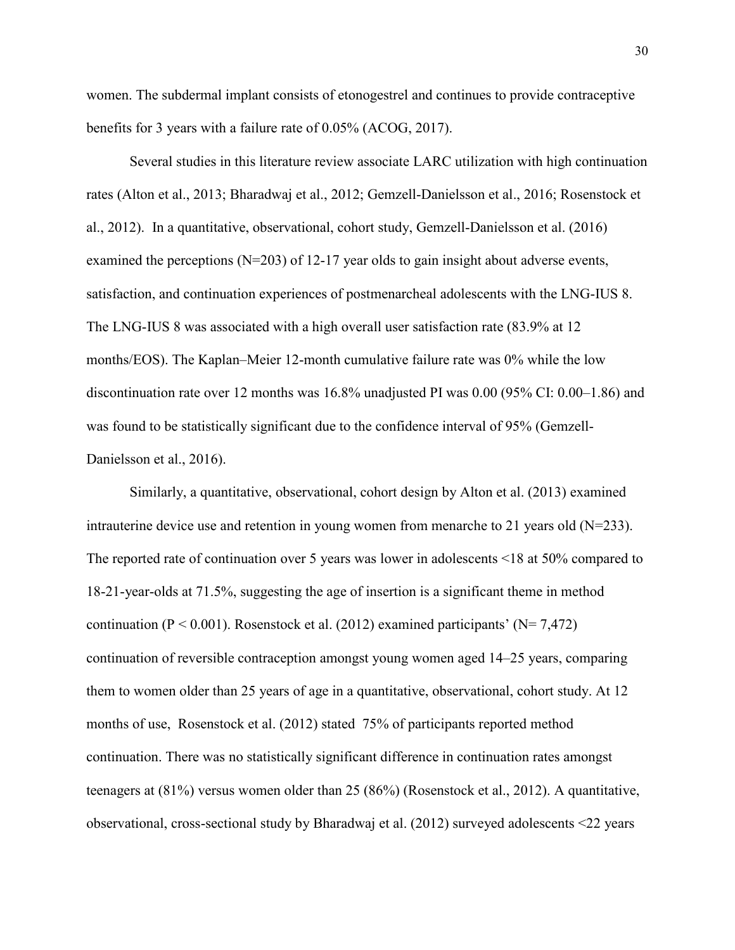women. The subdermal implant consists of etonogestrel and continues to provide contraceptive benefits for 3 years with a failure rate of 0.05% (ACOG, 2017).

Several studies in this literature review associate LARC utilization with high continuation rates (Alton et al., 2013; Bharadwaj et al., 2012; Gemzell-Danielsson et al., 2016; Rosenstock et al., 2012). In a quantitative, observational, cohort study, Gemzell-Danielsson et al. (2016) examined the perceptions  $(N=203)$  of 12-17 year olds to gain insight about adverse events, satisfaction, and continuation experiences of postmenarcheal adolescents with the LNG-IUS 8. The LNG-IUS 8 was associated with a high overall user satisfaction rate (83.9% at 12 months/EOS). The Kaplan–Meier 12-month cumulative failure rate was 0% while the low discontinuation rate over 12 months was 16.8% unadjusted PI was 0.00 (95% CI: 0.00–1.86) and was found to be statistically significant due to the confidence interval of 95% (Gemzell-Danielsson et al., 2016).

Similarly, a quantitative, observational, cohort design by Alton et al. (2013) examined intrauterine device use and retention in young women from menarche to 21 years old  $(N=233)$ . The reported rate of continuation over 5 years was lower in adolescents <18 at 50% compared to 18-21-year-olds at 71.5%, suggesting the age of insertion is a significant theme in method continuation ( $P < 0.001$ ). Rosenstock et al. (2012) examined participants' ( $N = 7,472$ ) continuation of reversible contraception amongst young women aged 14–25 years, comparing them to women older than 25 years of age in a quantitative, observational, cohort study. At 12 months of use, Rosenstock et al. (2012) stated 75% of participants reported method continuation. There was no statistically significant difference in continuation rates amongst teenagers at (81%) versus women older than 25 (86%) (Rosenstock et al., 2012). A quantitative, observational, cross-sectional study by Bharadwaj et al. (2012) surveyed adolescents <22 years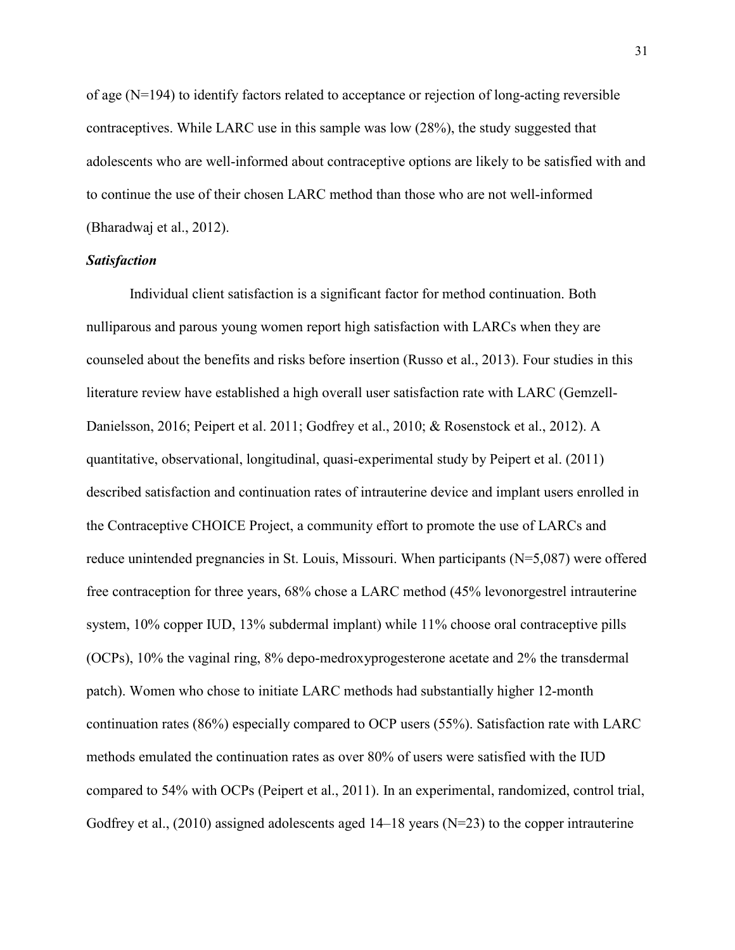of age  $(N=194)$  to identify factors related to acceptance or rejection of long-acting reversible contraceptives. While LARC use in this sample was low (28%), the study suggested that adolescents who are well-informed about contraceptive options are likely to be satisfied with and to continue the use of their chosen LARC method than those who are not well-informed (Bharadwaj et al., 2012).

# *Satisfaction*

 Individual client satisfaction is a significant factor for method continuation. Both nulliparous and parous young women report high satisfaction with LARCs when they are counseled about the benefits and risks before insertion (Russo et al., 2013). Four studies in this literature review have established a high overall user satisfaction rate with LARC (Gemzell-Danielsson, 2016; Peipert et al. 2011; Godfrey et al., 2010; & Rosenstock et al., 2012). A quantitative, observational, longitudinal, quasi-experimental study by Peipert et al. (2011) described satisfaction and continuation rates of intrauterine device and implant users enrolled in the Contraceptive CHOICE Project, a community effort to promote the use of LARCs and reduce unintended pregnancies in St. Louis, Missouri. When participants (N=5,087) were offered free contraception for three years, 68% chose a LARC method (45% levonorgestrel intrauterine system, 10% copper IUD, 13% subdermal implant) while 11% choose oral contraceptive pills (OCPs), 10% the vaginal ring, 8% depo-medroxyprogesterone acetate and 2% the transdermal patch). Women who chose to initiate LARC methods had substantially higher 12-month continuation rates (86%) especially compared to OCP users (55%). Satisfaction rate with LARC methods emulated the continuation rates as over 80% of users were satisfied with the IUD compared to 54% with OCPs (Peipert et al., 2011). In an experimental, randomized, control trial, Godfrey et al.,  $(2010)$  assigned adolescents aged 14–18 years (N=23) to the copper intrauterine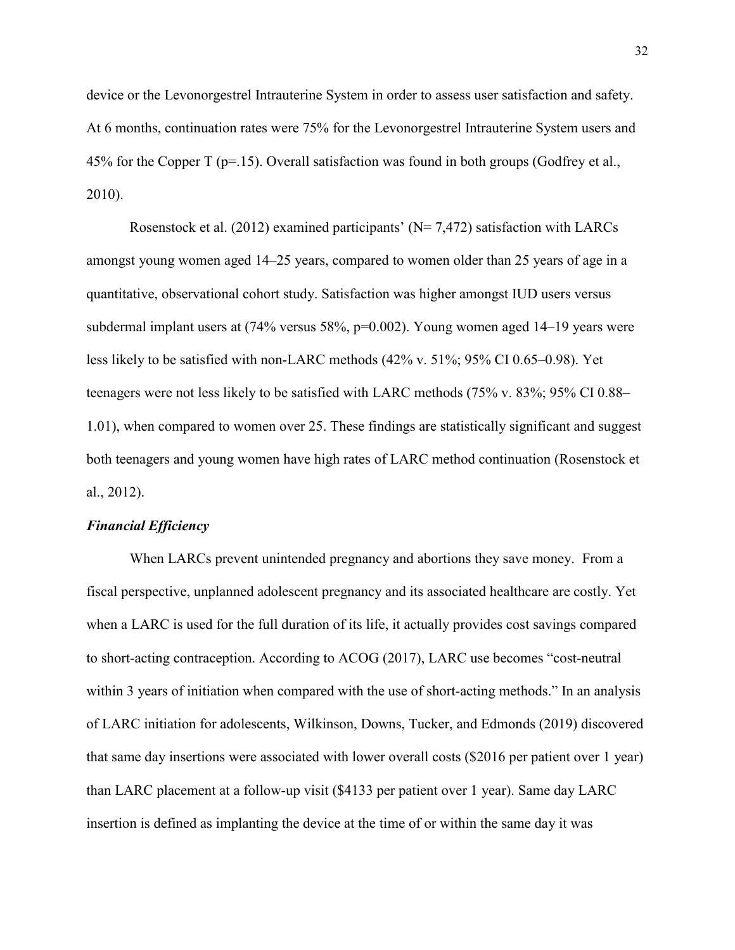device or the Levonorgestrel Intrauterine System in order to assess user satisfaction and safety. At 6 months, continuation rates were 75% for the Levonorgestrel Intrauterine System users and 45% for the Copper T ( $p=15$ ). Overall satisfaction was found in both groups (Godfrey et al., 2010).

Rosenstock et al. (2012) examined participants' ( $N= 7,472$ ) satisfaction with LARCs amongst young women aged 14–25 years, compared to women older than 25 years of age in a quantitative, observational cohort study. Satisfaction was higher amongst IUD users versus subdermal implant users at  $(74\%$  versus  $58\%$ ,  $p=0.002$ ). Young women aged  $14-19$  years were less likely to be satisfied with non-LARC methods (42% v. 51%; 95% CI 0.65–0.98). Yet teenagers were not less likely to be satisfied with LARC methods (75% v. 83%; 95% CI 0.88– 1.01), when compared to women over 25. These findings are statistically significant and suggest both teenagers and young women have high rates of LARC method continuation (Rosenstock et al., 2012).

#### *Financial Efficiency*

 When LARCs prevent unintended pregnancy and abortions they save money. From a fiscal perspective, unplanned adolescent pregnancy and its associated healthcare are costly. Yet when a LARC is used for the full duration of its life, it actually provides cost savings compared to short-acting contraception. According to ACOG (2017), LARC use becomes "cost-neutral within 3 years of initiation when compared with the use of short-acting methods." In an analysis of LARC initiation for adolescents, Wilkinson, Downs, Tucker, and Edmonds (2019) discovered that same day insertions were associated with lower overall costs (\$2016 per patient over 1 year) than LARC placement at a follow-up visit (\$4133 per patient over 1 year). Same day LARC insertion is defined as implanting the device at the time of or within the same day it was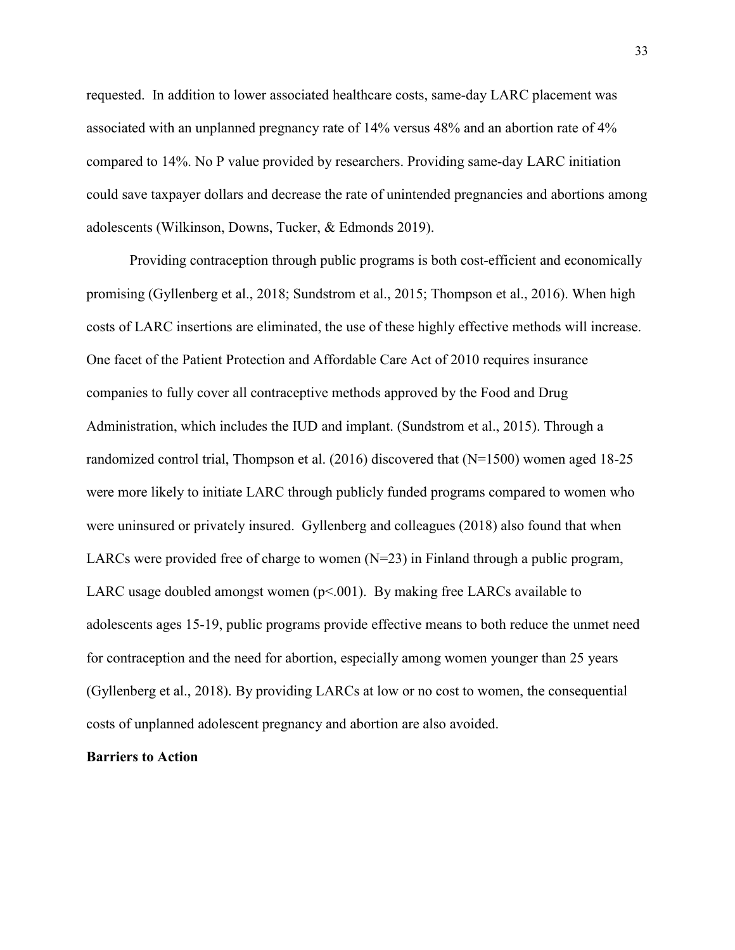requested. In addition to lower associated healthcare costs, same-day LARC placement was associated with an unplanned pregnancy rate of 14% versus 48% and an abortion rate of 4% compared to 14%. No P value provided by researchers. Providing same-day LARC initiation could save taxpayer dollars and decrease the rate of unintended pregnancies and abortions among adolescents (Wilkinson, Downs, Tucker, & Edmonds 2019).

 Providing contraception through public programs is both cost-efficient and economically promising (Gyllenberg et al., 2018; Sundstrom et al., 2015; Thompson et al., 2016). When high costs of LARC insertions are eliminated, the use of these highly effective methods will increase. One facet of the Patient Protection and Affordable Care Act of 2010 requires insurance companies to fully cover all contraceptive methods approved by the Food and Drug Administration, which includes the IUD and implant. (Sundstrom et al., 2015). Through a randomized control trial, Thompson et al. (2016) discovered that (N=1500) women aged 18-25 were more likely to initiate LARC through publicly funded programs compared to women who were uninsured or privately insured. Gyllenberg and colleagues (2018) also found that when LARCs were provided free of charge to women  $(N=23)$  in Finland through a public program, LARC usage doubled amongst women ( $p<001$ ). By making free LARCs available to adolescents ages 15-19, public programs provide effective means to both reduce the unmet need for contraception and the need for abortion, especially among women younger than 25 years (Gyllenberg et al., 2018). By providing LARCs at low or no cost to women, the consequential costs of unplanned adolescent pregnancy and abortion are also avoided.

# **Barriers to Action**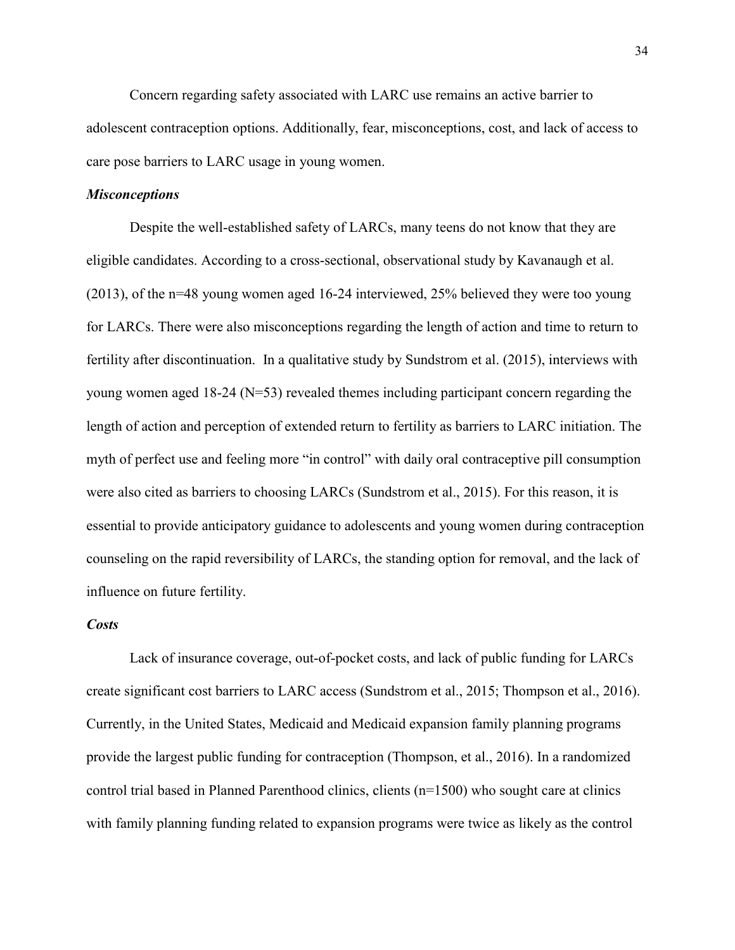Concern regarding safety associated with LARC use remains an active barrier to adolescent contraception options. Additionally, fear, misconceptions, cost, and lack of access to care pose barriers to LARC usage in young women.

# *Misconceptions*

Despite the well-established safety of LARCs, many teens do not know that they are eligible candidates. According to a cross-sectional, observational study by Kavanaugh et al. (2013), of the n=48 young women aged 16-24 interviewed, 25% believed they were too young for LARCs. There were also misconceptions regarding the length of action and time to return to fertility after discontinuation. In a qualitative study by Sundstrom et al. (2015), interviews with young women aged 18-24 (N=53) revealed themes including participant concern regarding the length of action and perception of extended return to fertility as barriers to LARC initiation. The myth of perfect use and feeling more "in control" with daily oral contraceptive pill consumption were also cited as barriers to choosing LARCs (Sundstrom et al., 2015). For this reason, it is essential to provide anticipatory guidance to adolescents and young women during contraception counseling on the rapid reversibility of LARCs, the standing option for removal, and the lack of influence on future fertility.

# *Costs*

 Lack of insurance coverage, out-of-pocket costs, and lack of public funding for LARCs create significant cost barriers to LARC access (Sundstrom et al., 2015; Thompson et al., 2016). Currently, in the United States, Medicaid and Medicaid expansion family planning programs provide the largest public funding for contraception (Thompson, et al., 2016). In a randomized control trial based in Planned Parenthood clinics, clients (n=1500) who sought care at clinics with family planning funding related to expansion programs were twice as likely as the control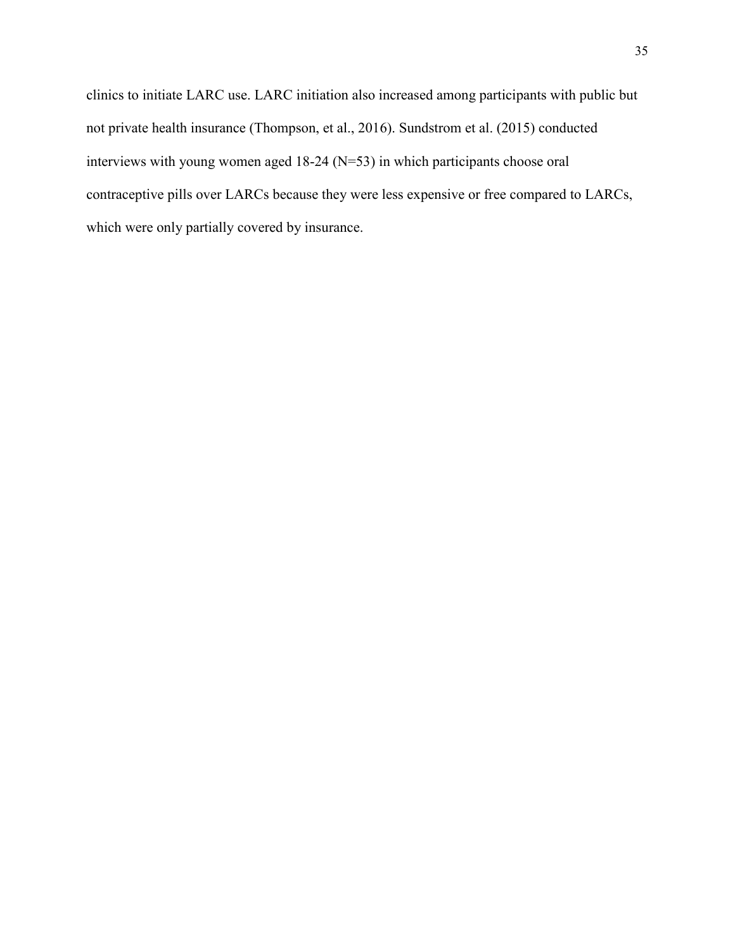clinics to initiate LARC use. LARC initiation also increased among participants with public but not private health insurance (Thompson, et al., 2016). Sundstrom et al. (2015) conducted interviews with young women aged 18-24 (N=53) in which participants choose oral contraceptive pills over LARCs because they were less expensive or free compared to LARCs, which were only partially covered by insurance.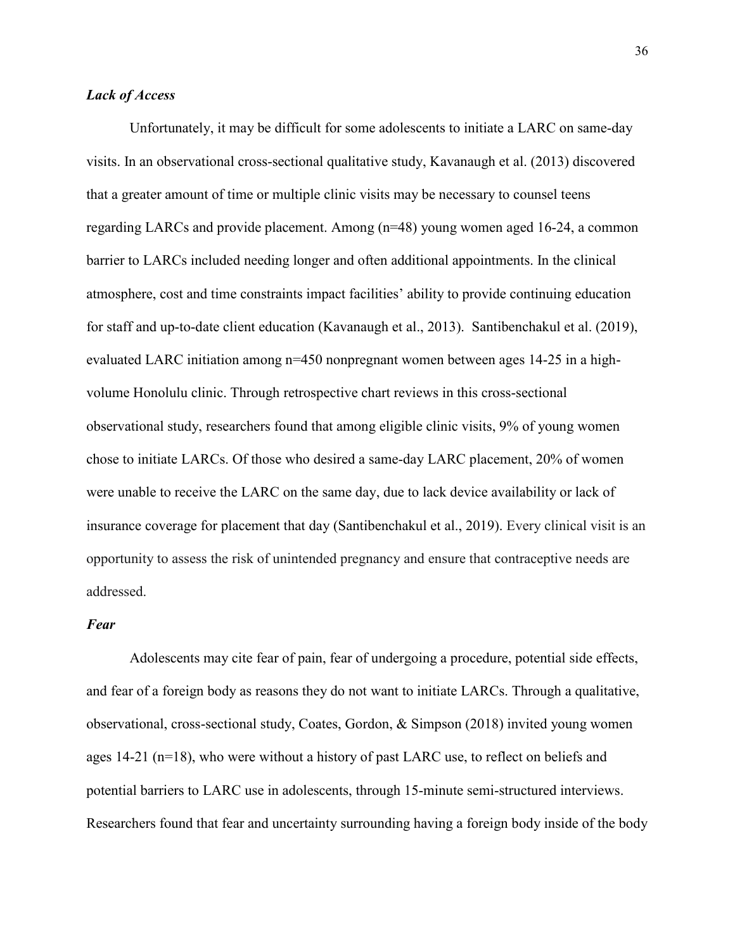# *Lack of Access*

Unfortunately, it may be difficult for some adolescents to initiate a LARC on same-day visits. In an observational cross-sectional qualitative study, Kavanaugh et al. (2013) discovered that a greater amount of time or multiple clinic visits may be necessary to counsel teens regarding LARCs and provide placement. Among (n=48) young women aged 16-24, a common barrier to LARCs included needing longer and often additional appointments. In the clinical atmosphere, cost and time constraints impact facilities' ability to provide continuing education for staff and up-to-date client education (Kavanaugh et al., 2013). Santibenchakul et al. (2019), evaluated LARC initiation among n=450 nonpregnant women between ages 14-25 in a highvolume Honolulu clinic. Through retrospective chart reviews in this cross-sectional observational study, researchers found that among eligible clinic visits, 9% of young women chose to initiate LARCs. Of those who desired a same-day LARC placement, 20% of women were unable to receive the LARC on the same day, due to lack device availability or lack of insurance coverage for placement that day (Santibenchakul et al., 2019). Every clinical visit is an opportunity to assess the risk of unintended pregnancy and ensure that contraceptive needs are addressed.

# *Fear*

 Adolescents may cite fear of pain, fear of undergoing a procedure, potential side effects, and fear of a foreign body as reasons they do not want to initiate LARCs. Through a qualitative, observational, cross-sectional study, Coates, Gordon, & Simpson (2018) invited young women ages 14-21 (n=18), who were without a history of past LARC use, to reflect on beliefs and potential barriers to LARC use in adolescents, through 15-minute semi-structured interviews. Researchers found that fear and uncertainty surrounding having a foreign body inside of the body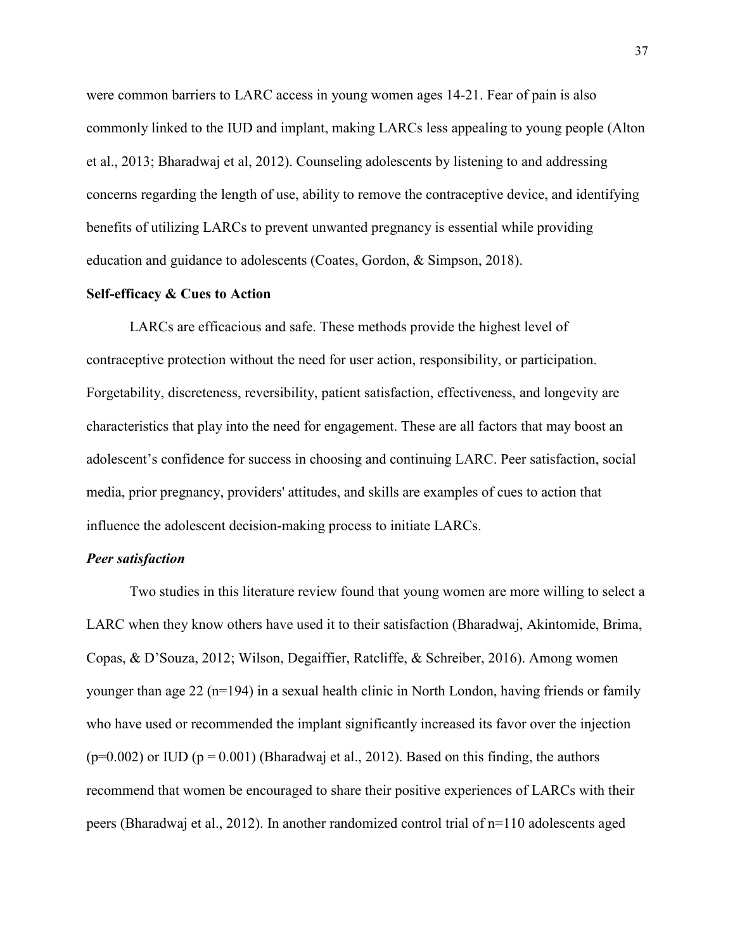were common barriers to LARC access in young women ages 14-21. Fear of pain is also commonly linked to the IUD and implant, making LARCs less appealing to young people (Alton et al., 2013; Bharadwaj et al, 2012). Counseling adolescents by listening to and addressing concerns regarding the length of use, ability to remove the contraceptive device, and identifying benefits of utilizing LARCs to prevent unwanted pregnancy is essential while providing education and guidance to adolescents (Coates, Gordon, & Simpson, 2018).

## **Self-efficacy & Cues to Action**

LARCs are efficacious and safe. These methods provide the highest level of contraceptive protection without the need for user action, responsibility, or participation. Forgetability, discreteness, reversibility, patient satisfaction, effectiveness, and longevity are characteristics that play into the need for engagement. These are all factors that may boost an adolescent's confidence for success in choosing and continuing LARC. Peer satisfaction, social media, prior pregnancy, providers' attitudes, and skills are examples of cues to action that influence the adolescent decision-making process to initiate LARCs.

# *Peer satisfaction*

Two studies in this literature review found that young women are more willing to select a LARC when they know others have used it to their satisfaction (Bharadwaj, Akintomide, Brima, Copas, & D'Souza, 2012; Wilson, Degaiffier, Ratcliffe, & Schreiber, 2016). Among women younger than age 22 ( $n=194$ ) in a sexual health clinic in North London, having friends or family who have used or recommended the implant significantly increased its favor over the injection  $(p=0.002)$  or IUD (p = 0.001) (Bharadwaj et al., 2012). Based on this finding, the authors recommend that women be encouraged to share their positive experiences of LARCs with their peers (Bharadwaj et al., 2012). In another randomized control trial of n=110 adolescents aged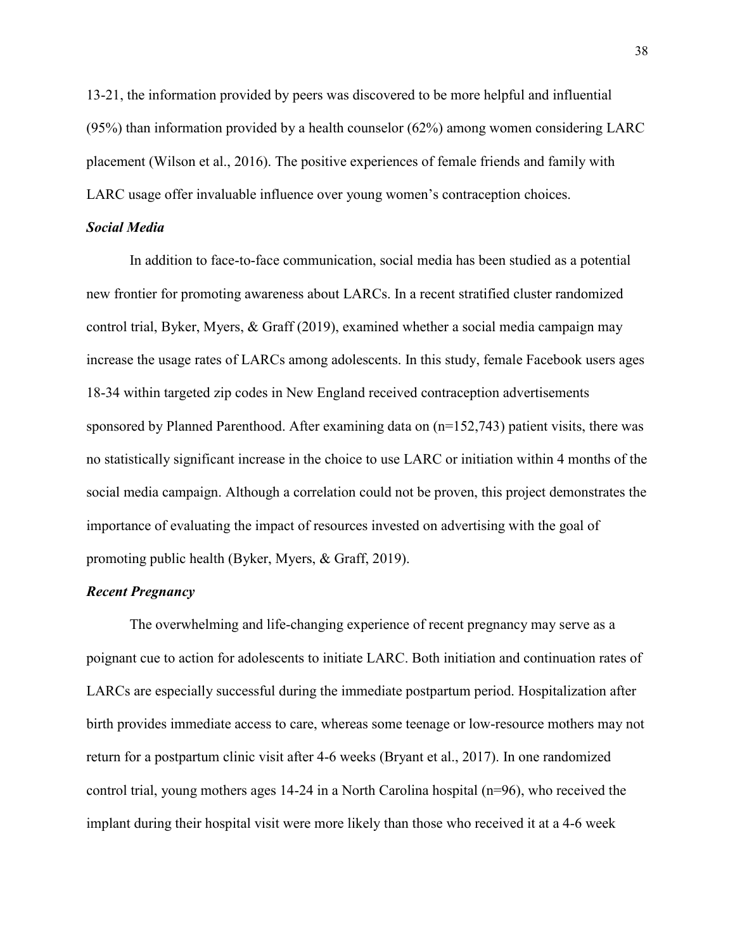13-21, the information provided by peers was discovered to be more helpful and influential (95%) than information provided by a health counselor (62%) among women considering LARC placement (Wilson et al., 2016). The positive experiences of female friends and family with LARC usage offer invaluable influence over young women's contraception choices.

# *Social Media*

In addition to face-to-face communication, social media has been studied as a potential new frontier for promoting awareness about LARCs. In a recent stratified cluster randomized control trial, Byker, Myers, & Graff (2019), examined whether a social media campaign may increase the usage rates of LARCs among adolescents. In this study, female Facebook users ages 18-34 within targeted zip codes in New England received contraception advertisements sponsored by Planned Parenthood. After examining data on  $(n=152,743)$  patient visits, there was no statistically significant increase in the choice to use LARC or initiation within 4 months of the social media campaign. Although a correlation could not be proven, this project demonstrates the importance of evaluating the impact of resources invested on advertising with the goal of promoting public health (Byker, Myers, & Graff, 2019).

# *Recent Pregnancy*

The overwhelming and life-changing experience of recent pregnancy may serve as a poignant cue to action for adolescents to initiate LARC. Both initiation and continuation rates of LARCs are especially successful during the immediate postpartum period. Hospitalization after birth provides immediate access to care, whereas some teenage or low-resource mothers may not return for a postpartum clinic visit after 4-6 weeks (Bryant et al., 2017). In one randomized control trial, young mothers ages 14-24 in a North Carolina hospital (n=96), who received the implant during their hospital visit were more likely than those who received it at a 4-6 week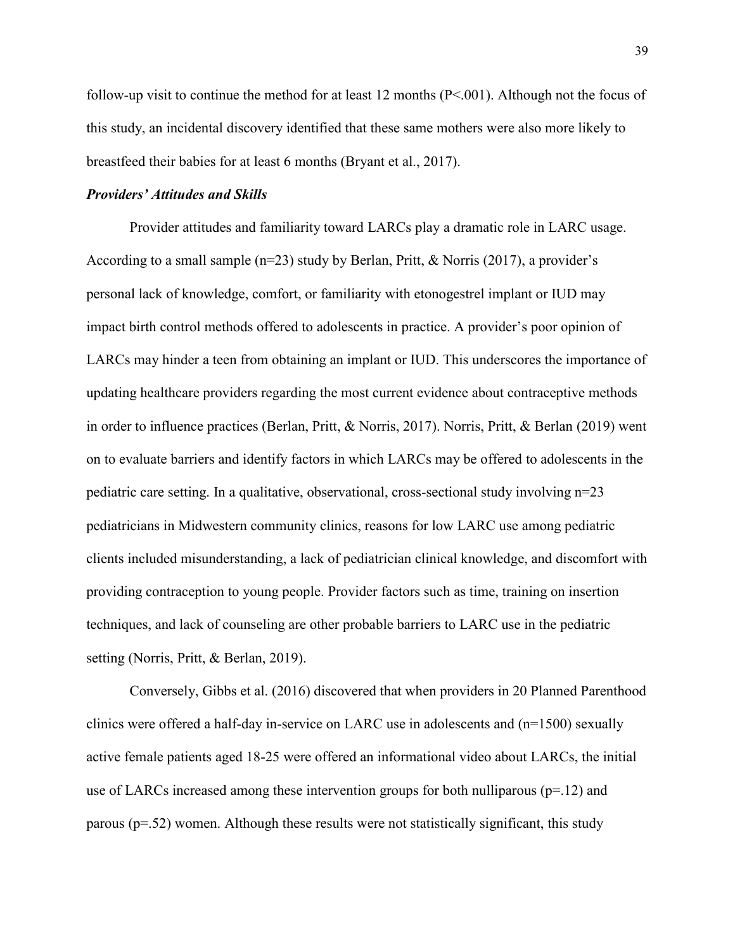follow-up visit to continue the method for at least 12 months (P<.001). Although not the focus of this study, an incidental discovery identified that these same mothers were also more likely to breastfeed their babies for at least 6 months (Bryant et al., 2017).

# *Providers' Attitudes and Skills*

Provider attitudes and familiarity toward LARCs play a dramatic role in LARC usage. According to a small sample (n=23) study by Berlan, Pritt, & Norris (2017), a provider's personal lack of knowledge, comfort, or familiarity with etonogestrel implant or IUD may impact birth control methods offered to adolescents in practice. A provider's poor opinion of LARCs may hinder a teen from obtaining an implant or IUD. This underscores the importance of updating healthcare providers regarding the most current evidence about contraceptive methods in order to influence practices (Berlan, Pritt, & Norris, 2017). Norris, Pritt, & Berlan (2019) went on to evaluate barriers and identify factors in which LARCs may be offered to adolescents in the pediatric care setting. In a qualitative, observational, cross-sectional study involving n=23 pediatricians in Midwestern community clinics, reasons for low LARC use among pediatric clients included misunderstanding, a lack of pediatrician clinical knowledge, and discomfort with providing contraception to young people. Provider factors such as time, training on insertion techniques, and lack of counseling are other probable barriers to LARC use in the pediatric setting (Norris, Pritt, & Berlan, 2019).

 Conversely, Gibbs et al. (2016) discovered that when providers in 20 Planned Parenthood clinics were offered a half-day in-service on LARC use in adolescents and  $(n=1500)$  sexually active female patients aged 18-25 were offered an informational video about LARCs, the initial use of LARCs increased among these intervention groups for both nulliparous ( $p=12$ ) and parous  $(p=.52)$  women. Although these results were not statistically significant, this study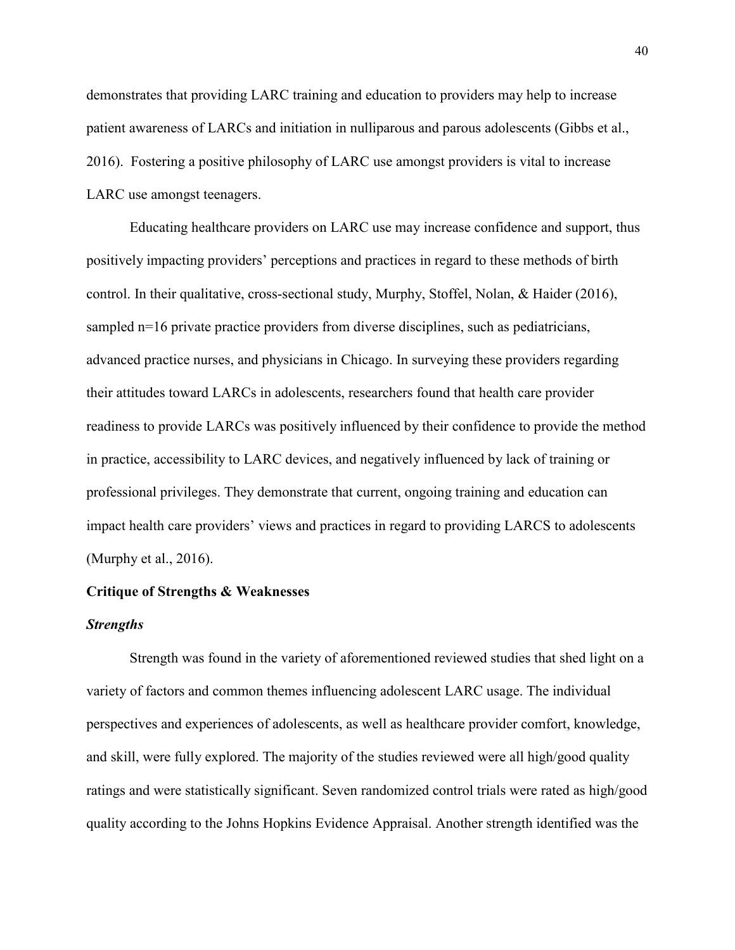demonstrates that providing LARC training and education to providers may help to increase patient awareness of LARCs and initiation in nulliparous and parous adolescents (Gibbs et al., 2016). Fostering a positive philosophy of LARC use amongst providers is vital to increase LARC use amongst teenagers.

 Educating healthcare providers on LARC use may increase confidence and support, thus positively impacting providers' perceptions and practices in regard to these methods of birth control. In their qualitative, cross-sectional study, Murphy, Stoffel, Nolan, & Haider (2016), sampled n=16 private practice providers from diverse disciplines, such as pediatricians, advanced practice nurses, and physicians in Chicago. In surveying these providers regarding their attitudes toward LARCs in adolescents, researchers found that health care provider readiness to provide LARCs was positively influenced by their confidence to provide the method in practice, accessibility to LARC devices, and negatively influenced by lack of training or professional privileges. They demonstrate that current, ongoing training and education can impact health care providers' views and practices in regard to providing LARCS to adolescents (Murphy et al., 2016).

## **Critique of Strengths & Weaknesses**

## *Strengths*

Strength was found in the variety of aforementioned reviewed studies that shed light on a variety of factors and common themes influencing adolescent LARC usage. The individual perspectives and experiences of adolescents, as well as healthcare provider comfort, knowledge, and skill, were fully explored. The majority of the studies reviewed were all high/good quality ratings and were statistically significant. Seven randomized control trials were rated as high/good quality according to the Johns Hopkins Evidence Appraisal. Another strength identified was the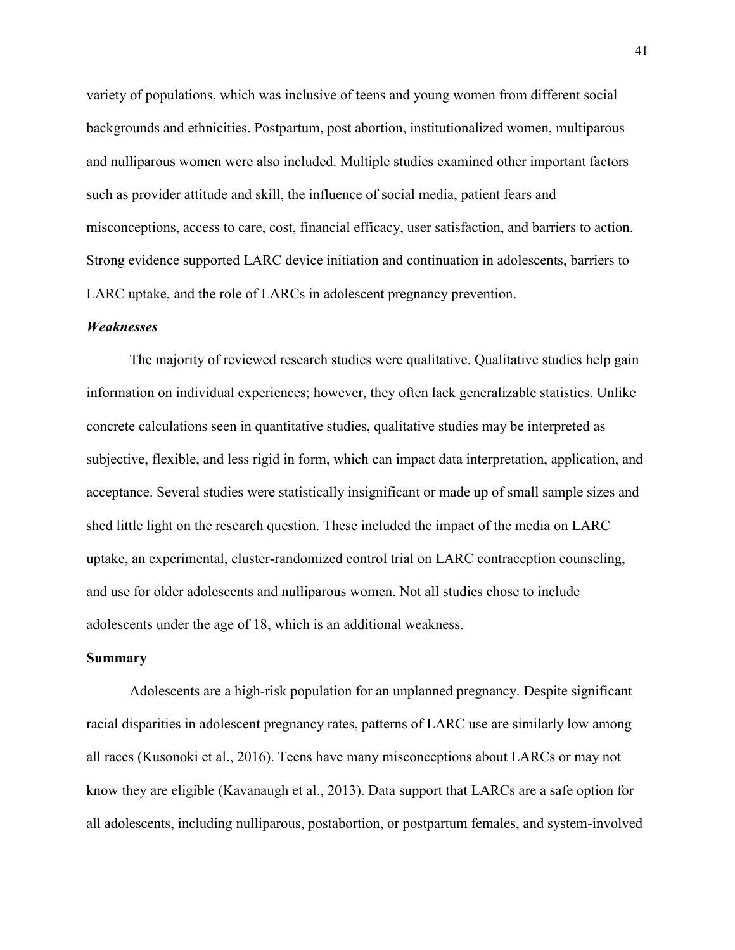variety of populations, which was inclusive of teens and young women from different social backgrounds and ethnicities. Postpartum, post abortion, institutionalized women, multiparous and nulliparous women were also included. Multiple studies examined other important factors such as provider attitude and skill, the influence of social media, patient fears and misconceptions, access to care, cost, financial efficacy, user satisfaction, and barriers to action. Strong evidence supported LARC device initiation and continuation in adolescents, barriers to LARC uptake, and the role of LARCs in adolescent pregnancy prevention.

## *Weaknesses*

The majority of reviewed research studies were qualitative. Qualitative studies help gain information on individual experiences; however, they often lack generalizable statistics. Unlike concrete calculations seen in quantitative studies, qualitative studies may be interpreted as subjective, flexible, and less rigid in form, which can impact data interpretation, application, and acceptance. Several studies were statistically insignificant or made up of small sample sizes and shed little light on the research question. These included the impact of the media on LARC uptake, an experimental, cluster-randomized control trial on LARC contraception counseling, and use for older adolescents and nulliparous women. Not all studies chose to include adolescents under the age of 18, which is an additional weakness.

## **Summary**

Adolescents are a high-risk population for an unplanned pregnancy. Despite significant racial disparities in adolescent pregnancy rates, patterns of LARC use are similarly low among all races (Kusonoki et al., 2016). Teens have many misconceptions about LARCs or may not know they are eligible (Kavanaugh et al., 2013). Data support that LARCs are a safe option for all adolescents, including nulliparous, postabortion, or postpartum females, and system-involved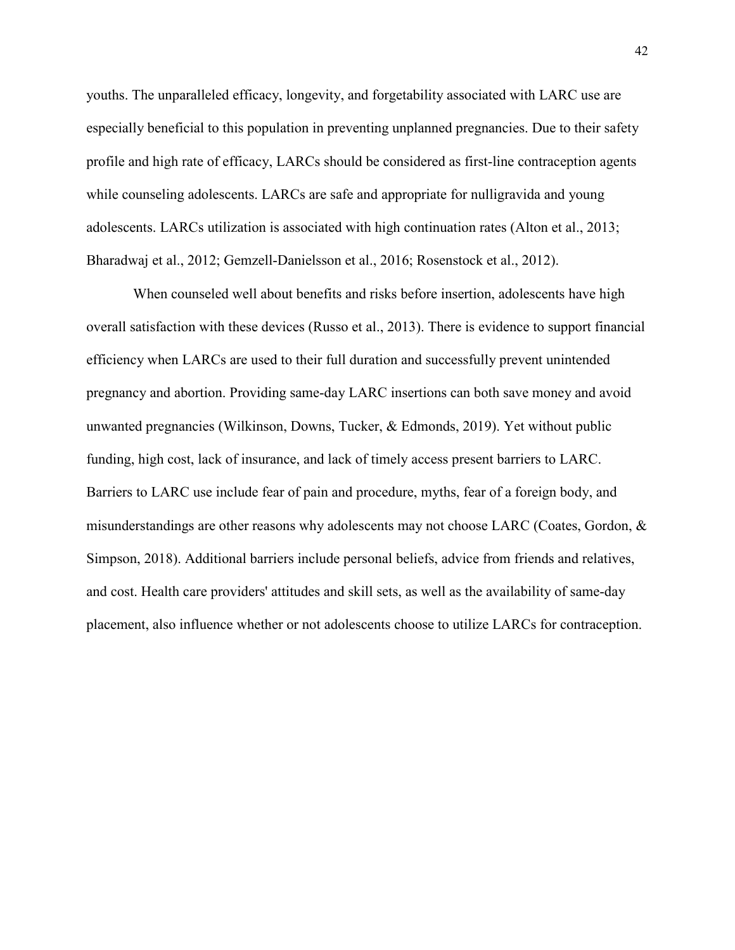youths. The unparalleled efficacy, longevity, and forgetability associated with LARC use are especially beneficial to this population in preventing unplanned pregnancies. Due to their safety profile and high rate of efficacy, LARCs should be considered as first-line contraception agents while counseling adolescents. LARCs are safe and appropriate for nulligravida and young adolescents. LARCs utilization is associated with high continuation rates (Alton et al., 2013; Bharadwaj et al., 2012; Gemzell-Danielsson et al., 2016; Rosenstock et al., 2012).

 When counseled well about benefits and risks before insertion, adolescents have high overall satisfaction with these devices (Russo et al., 2013). There is evidence to support financial efficiency when LARCs are used to their full duration and successfully prevent unintended pregnancy and abortion. Providing same-day LARC insertions can both save money and avoid unwanted pregnancies (Wilkinson, Downs, Tucker, & Edmonds, 2019). Yet without public funding, high cost, lack of insurance, and lack of timely access present barriers to LARC. Barriers to LARC use include fear of pain and procedure, myths, fear of a foreign body, and misunderstandings are other reasons why adolescents may not choose LARC (Coates, Gordon, & Simpson, 2018). Additional barriers include personal beliefs, advice from friends and relatives, and cost. Health care providers' attitudes and skill sets, as well as the availability of same-day placement, also influence whether or not adolescents choose to utilize LARCs for contraception.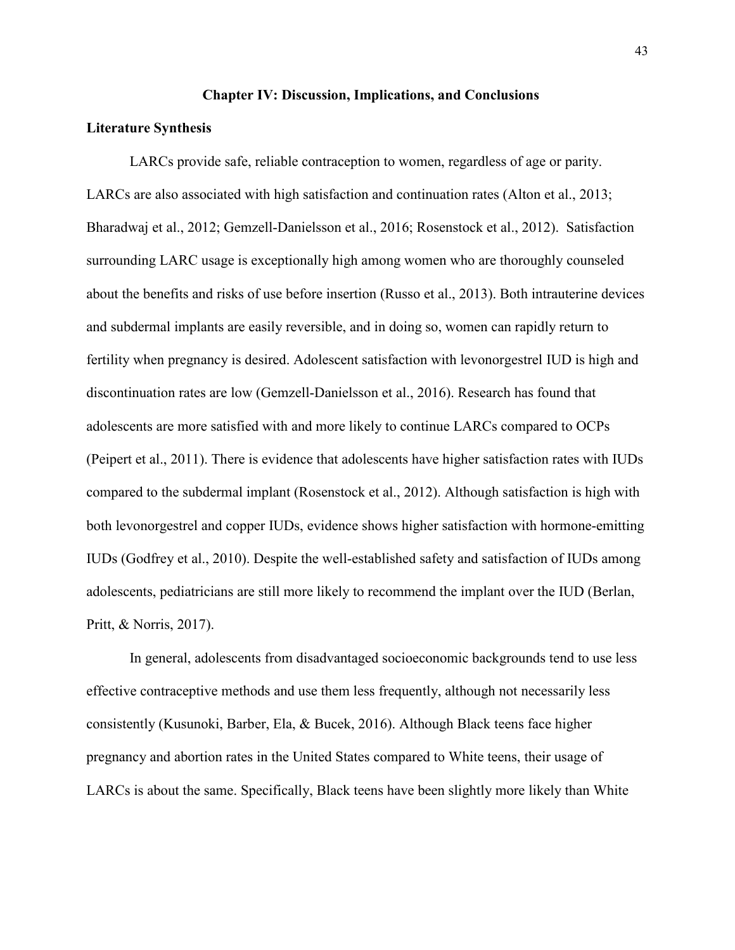## **Chapter IV: Discussion, Implications, and Conclusions**

# **Literature Synthesis**

 LARCs provide safe, reliable contraception to women, regardless of age or parity. LARCs are also associated with high satisfaction and continuation rates (Alton et al., 2013; Bharadwaj et al., 2012; Gemzell-Danielsson et al., 2016; Rosenstock et al., 2012). Satisfaction surrounding LARC usage is exceptionally high among women who are thoroughly counseled about the benefits and risks of use before insertion (Russo et al., 2013). Both intrauterine devices and subdermal implants are easily reversible, and in doing so, women can rapidly return to fertility when pregnancy is desired. Adolescent satisfaction with levonorgestrel IUD is high and discontinuation rates are low (Gemzell-Danielsson et al., 2016). Research has found that adolescents are more satisfied with and more likely to continue LARCs compared to OCPs (Peipert et al., 2011). There is evidence that adolescents have higher satisfaction rates with IUDs compared to the subdermal implant (Rosenstock et al., 2012). Although satisfaction is high with both levonorgestrel and copper IUDs, evidence shows higher satisfaction with hormone-emitting IUDs (Godfrey et al., 2010). Despite the well-established safety and satisfaction of IUDs among adolescents, pediatricians are still more likely to recommend the implant over the IUD (Berlan, Pritt, & Norris, 2017).

 In general, adolescents from disadvantaged socioeconomic backgrounds tend to use less effective contraceptive methods and use them less frequently, although not necessarily less consistently (Kusunoki, Barber, Ela, & Bucek, 2016). Although Black teens face higher pregnancy and abortion rates in the United States compared to White teens, their usage of LARCs is about the same. Specifically, Black teens have been slightly more likely than White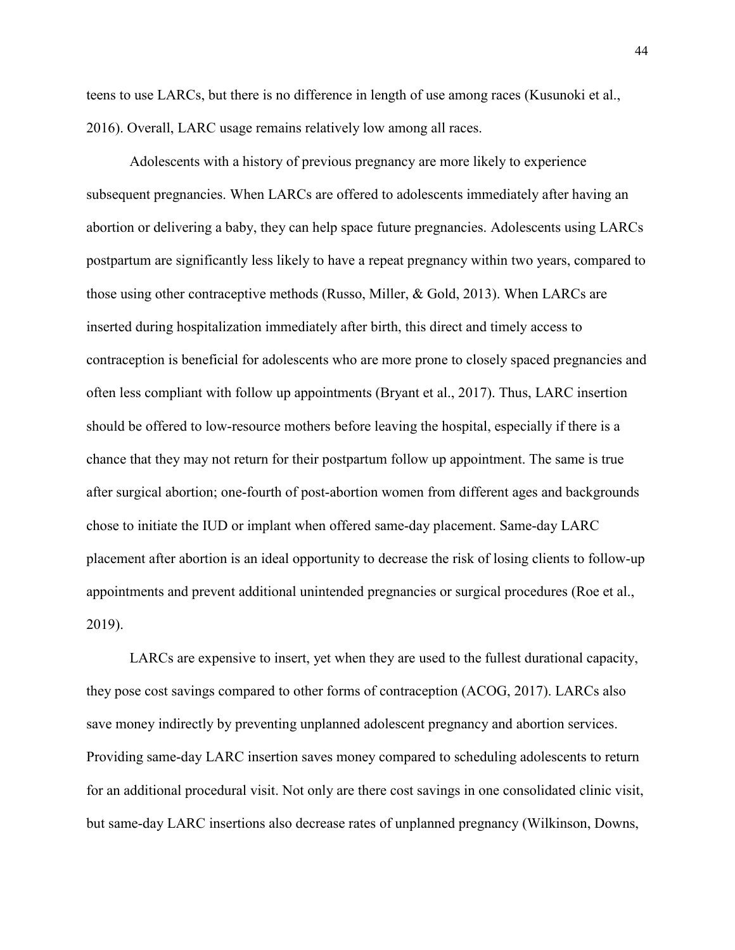teens to use LARCs, but there is no difference in length of use among races (Kusunoki et al., 2016). Overall, LARC usage remains relatively low among all races.

 Adolescents with a history of previous pregnancy are more likely to experience subsequent pregnancies. When LARCs are offered to adolescents immediately after having an abortion or delivering a baby, they can help space future pregnancies. Adolescents using LARCs postpartum are significantly less likely to have a repeat pregnancy within two years, compared to those using other contraceptive methods (Russo, Miller, & Gold, 2013). When LARCs are inserted during hospitalization immediately after birth, this direct and timely access to contraception is beneficial for adolescents who are more prone to closely spaced pregnancies and often less compliant with follow up appointments (Bryant et al., 2017). Thus, LARC insertion should be offered to low-resource mothers before leaving the hospital, especially if there is a chance that they may not return for their postpartum follow up appointment. The same is true after surgical abortion; one-fourth of post-abortion women from different ages and backgrounds chose to initiate the IUD or implant when offered same-day placement. Same-day LARC placement after abortion is an ideal opportunity to decrease the risk of losing clients to follow-up appointments and prevent additional unintended pregnancies or surgical procedures (Roe et al., 2019).

 LARCs are expensive to insert, yet when they are used to the fullest durational capacity, they pose cost savings compared to other forms of contraception (ACOG, 2017). LARCs also save money indirectly by preventing unplanned adolescent pregnancy and abortion services. Providing same-day LARC insertion saves money compared to scheduling adolescents to return for an additional procedural visit. Not only are there cost savings in one consolidated clinic visit, but same-day LARC insertions also decrease rates of unplanned pregnancy (Wilkinson, Downs,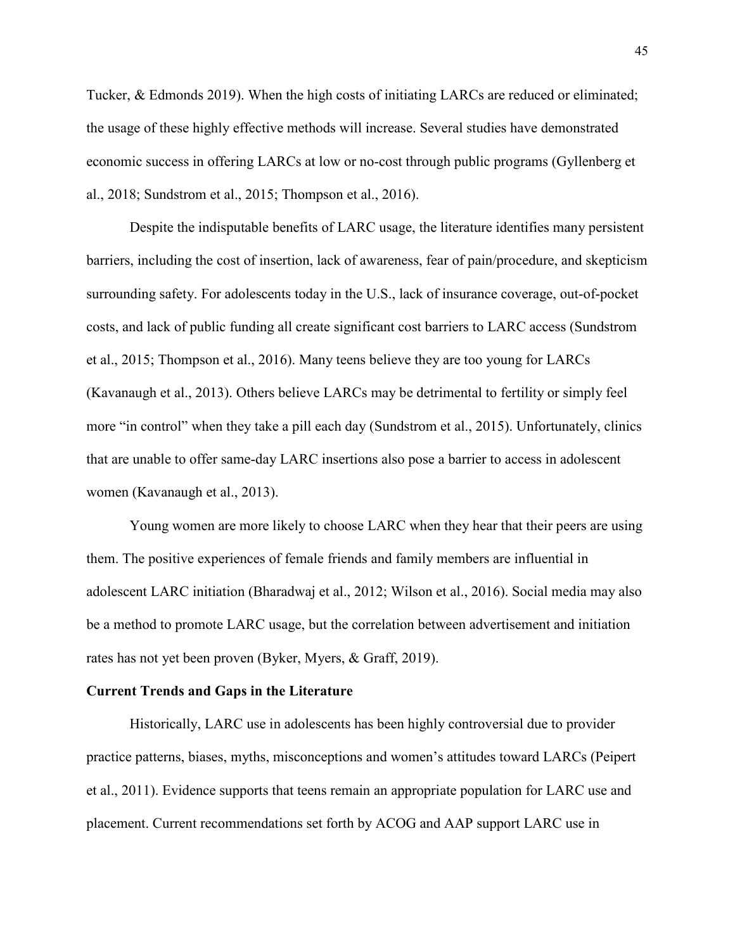Tucker, & Edmonds 2019). When the high costs of initiating LARCs are reduced or eliminated; the usage of these highly effective methods will increase. Several studies have demonstrated economic success in offering LARCs at low or no-cost through public programs (Gyllenberg et al., 2018; Sundstrom et al., 2015; Thompson et al., 2016).

Despite the indisputable benefits of LARC usage, the literature identifies many persistent barriers, including the cost of insertion, lack of awareness, fear of pain/procedure, and skepticism surrounding safety. For adolescents today in the U.S., lack of insurance coverage, out-of-pocket costs, and lack of public funding all create significant cost barriers to LARC access (Sundstrom et al., 2015; Thompson et al., 2016). Many teens believe they are too young for LARCs (Kavanaugh et al., 2013). Others believe LARCs may be detrimental to fertility or simply feel more "in control" when they take a pill each day (Sundstrom et al., 2015). Unfortunately, clinics that are unable to offer same-day LARC insertions also pose a barrier to access in adolescent women (Kavanaugh et al., 2013).

 Young women are more likely to choose LARC when they hear that their peers are using them. The positive experiences of female friends and family members are influential in adolescent LARC initiation (Bharadwaj et al., 2012; Wilson et al., 2016). Social media may also be a method to promote LARC usage, but the correlation between advertisement and initiation rates has not yet been proven (Byker, Myers, & Graff, 2019).

## **Current Trends and Gaps in the Literature**

Historically, LARC use in adolescents has been highly controversial due to provider practice patterns, biases, myths, misconceptions and women's attitudes toward LARCs (Peipert et al., 2011). Evidence supports that teens remain an appropriate population for LARC use and placement. Current recommendations set forth by ACOG and AAP support LARC use in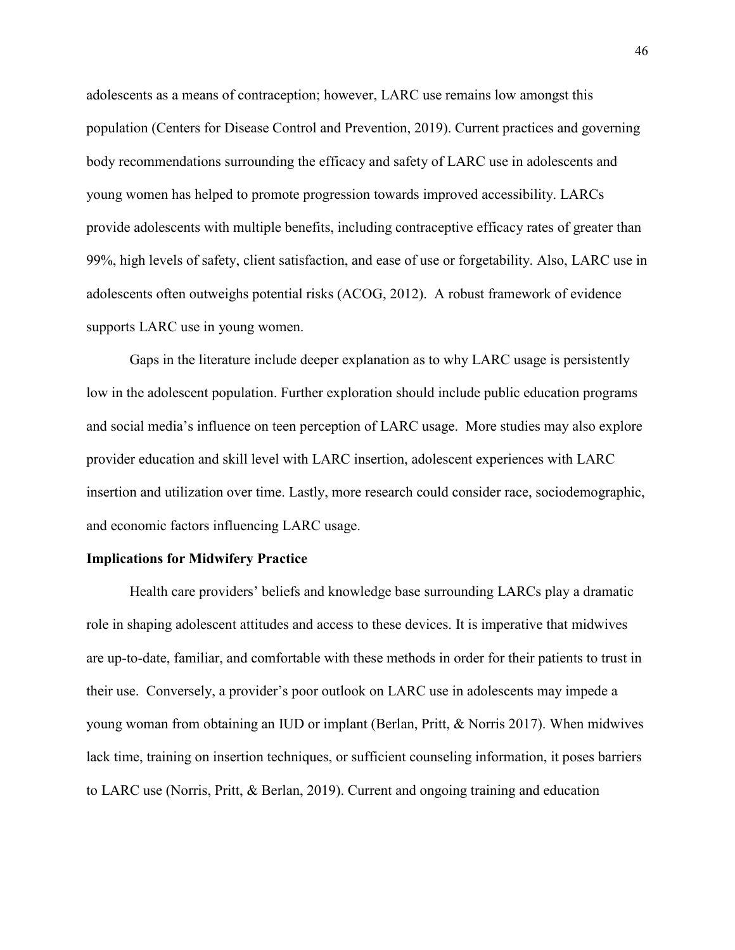adolescents as a means of contraception; however, LARC use remains low amongst this population (Centers for Disease Control and Prevention, 2019). Current practices and governing body recommendations surrounding the efficacy and safety of LARC use in adolescents and young women has helped to promote progression towards improved accessibility. LARCs provide adolescents with multiple benefits, including contraceptive efficacy rates of greater than 99%, high levels of safety, client satisfaction, and ease of use or forgetability. Also, LARC use in adolescents often outweighs potential risks (ACOG, 2012). A robust framework of evidence supports LARC use in young women.

Gaps in the literature include deeper explanation as to why LARC usage is persistently low in the adolescent population. Further exploration should include public education programs and social media's influence on teen perception of LARC usage. More studies may also explore provider education and skill level with LARC insertion, adolescent experiences with LARC insertion and utilization over time. Lastly, more research could consider race, sociodemographic, and economic factors influencing LARC usage.

## **Implications for Midwifery Practice**

Health care providers' beliefs and knowledge base surrounding LARCs play a dramatic role in shaping adolescent attitudes and access to these devices. It is imperative that midwives are up-to-date, familiar, and comfortable with these methods in order for their patients to trust in their use. Conversely, a provider's poor outlook on LARC use in adolescents may impede a young woman from obtaining an IUD or implant (Berlan, Pritt, & Norris 2017). When midwives lack time, training on insertion techniques, or sufficient counseling information, it poses barriers to LARC use (Norris, Pritt, & Berlan, 2019). Current and ongoing training and education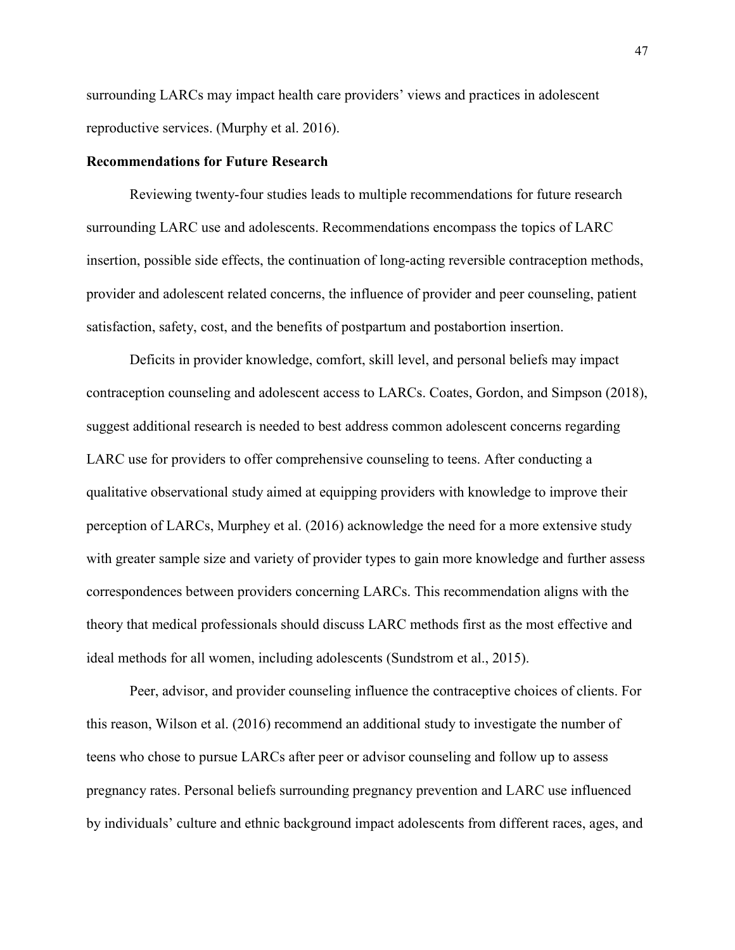surrounding LARCs may impact health care providers' views and practices in adolescent reproductive services. (Murphy et al. 2016).

## **Recommendations for Future Research**

Reviewing twenty-four studies leads to multiple recommendations for future research surrounding LARC use and adolescents. Recommendations encompass the topics of LARC insertion, possible side effects, the continuation of long-acting reversible contraception methods, provider and adolescent related concerns, the influence of provider and peer counseling, patient satisfaction, safety, cost, and the benefits of postpartum and postabortion insertion.

 Deficits in provider knowledge, comfort, skill level, and personal beliefs may impact contraception counseling and adolescent access to LARCs. Coates, Gordon, and Simpson (2018), suggest additional research is needed to best address common adolescent concerns regarding LARC use for providers to offer comprehensive counseling to teens. After conducting a qualitative observational study aimed at equipping providers with knowledge to improve their perception of LARCs, Murphey et al. (2016) acknowledge the need for a more extensive study with greater sample size and variety of provider types to gain more knowledge and further assess correspondences between providers concerning LARCs. This recommendation aligns with the theory that medical professionals should discuss LARC methods first as the most effective and ideal methods for all women, including adolescents (Sundstrom et al., 2015).

 Peer, advisor, and provider counseling influence the contraceptive choices of clients. For this reason, Wilson et al. (2016) recommend an additional study to investigate the number of teens who chose to pursue LARCs after peer or advisor counseling and follow up to assess pregnancy rates. Personal beliefs surrounding pregnancy prevention and LARC use influenced by individuals' culture and ethnic background impact adolescents from different races, ages, and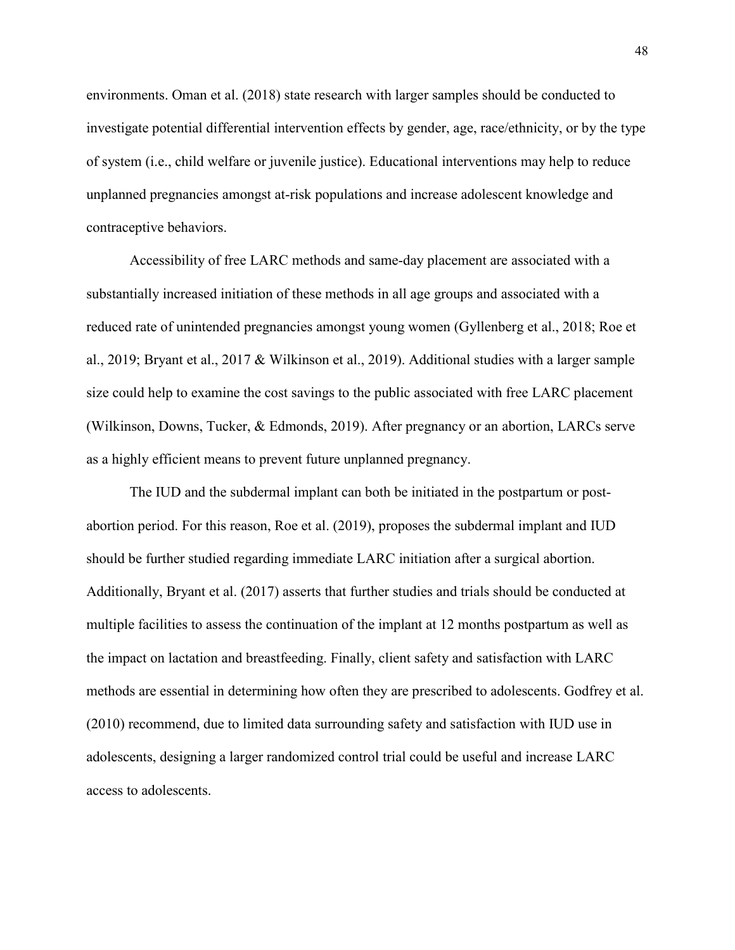environments. Oman et al. (2018) state research with larger samples should be conducted to investigate potential differential intervention effects by gender, age, race/ethnicity, or by the type of system (i.e., child welfare or juvenile justice). Educational interventions may help to reduce unplanned pregnancies amongst at-risk populations and increase adolescent knowledge and contraceptive behaviors.

Accessibility of free LARC methods and same-day placement are associated with a substantially increased initiation of these methods in all age groups and associated with a reduced rate of unintended pregnancies amongst young women (Gyllenberg et al., 2018; Roe et al., 2019; Bryant et al., 2017 & Wilkinson et al., 2019). Additional studies with a larger sample size could help to examine the cost savings to the public associated with free LARC placement (Wilkinson, Downs, Tucker, & Edmonds, 2019). After pregnancy or an abortion, LARCs serve as a highly efficient means to prevent future unplanned pregnancy.

 The IUD and the subdermal implant can both be initiated in the postpartum or postabortion period. For this reason, Roe et al. (2019), proposes the subdermal implant and IUD should be further studied regarding immediate LARC initiation after a surgical abortion. Additionally, Bryant et al. (2017) asserts that further studies and trials should be conducted at multiple facilities to assess the continuation of the implant at 12 months postpartum as well as the impact on lactation and breastfeeding. Finally, client safety and satisfaction with LARC methods are essential in determining how often they are prescribed to adolescents. Godfrey et al. (2010) recommend, due to limited data surrounding safety and satisfaction with IUD use in adolescents, designing a larger randomized control trial could be useful and increase LARC access to adolescents.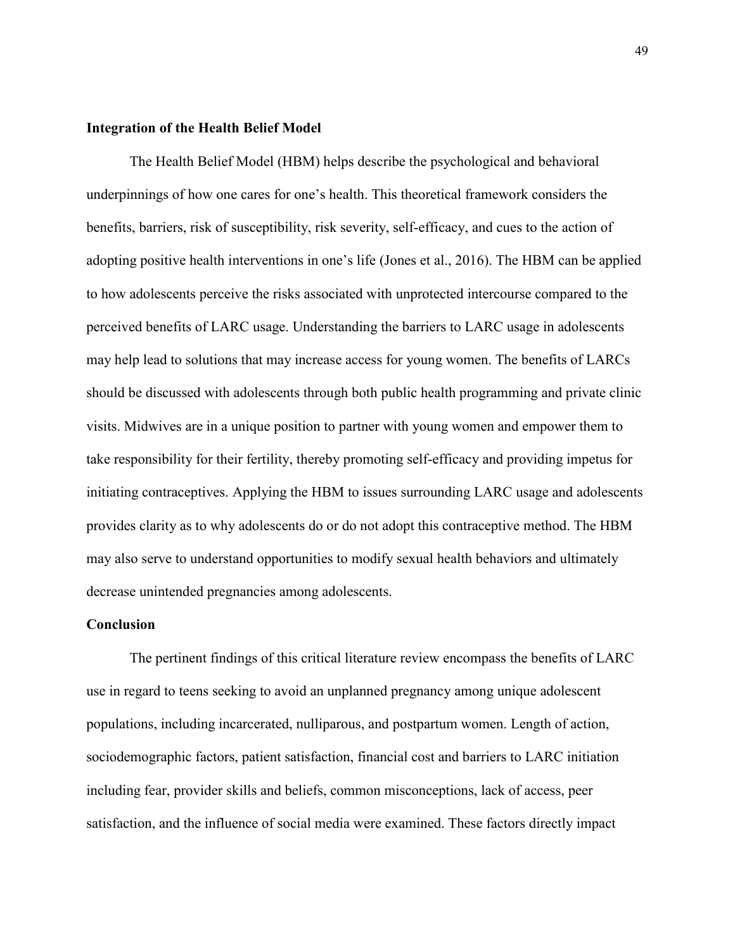# **Integration of the Health Belief Model**

The Health Belief Model (HBM) helps describe the psychological and behavioral underpinnings of how one cares for one's health. This theoretical framework considers the benefits, barriers, risk of susceptibility, risk severity, self-efficacy, and cues to the action of adopting positive health interventions in one's life (Jones et al., 2016). The HBM can be applied to how adolescents perceive the risks associated with unprotected intercourse compared to the perceived benefits of LARC usage. Understanding the barriers to LARC usage in adolescents may help lead to solutions that may increase access for young women. The benefits of LARCs should be discussed with adolescents through both public health programming and private clinic visits. Midwives are in a unique position to partner with young women and empower them to take responsibility for their fertility, thereby promoting self-efficacy and providing impetus for initiating contraceptives. Applying the HBM to issues surrounding LARC usage and adolescents provides clarity as to why adolescents do or do not adopt this contraceptive method. The HBM may also serve to understand opportunities to modify sexual health behaviors and ultimately decrease unintended pregnancies among adolescents.

## **Conclusion**

The pertinent findings of this critical literature review encompass the benefits of LARC use in regard to teens seeking to avoid an unplanned pregnancy among unique adolescent populations, including incarcerated, nulliparous, and postpartum women. Length of action, sociodemographic factors, patient satisfaction, financial cost and barriers to LARC initiation including fear, provider skills and beliefs, common misconceptions, lack of access, peer satisfaction, and the influence of social media were examined. These factors directly impact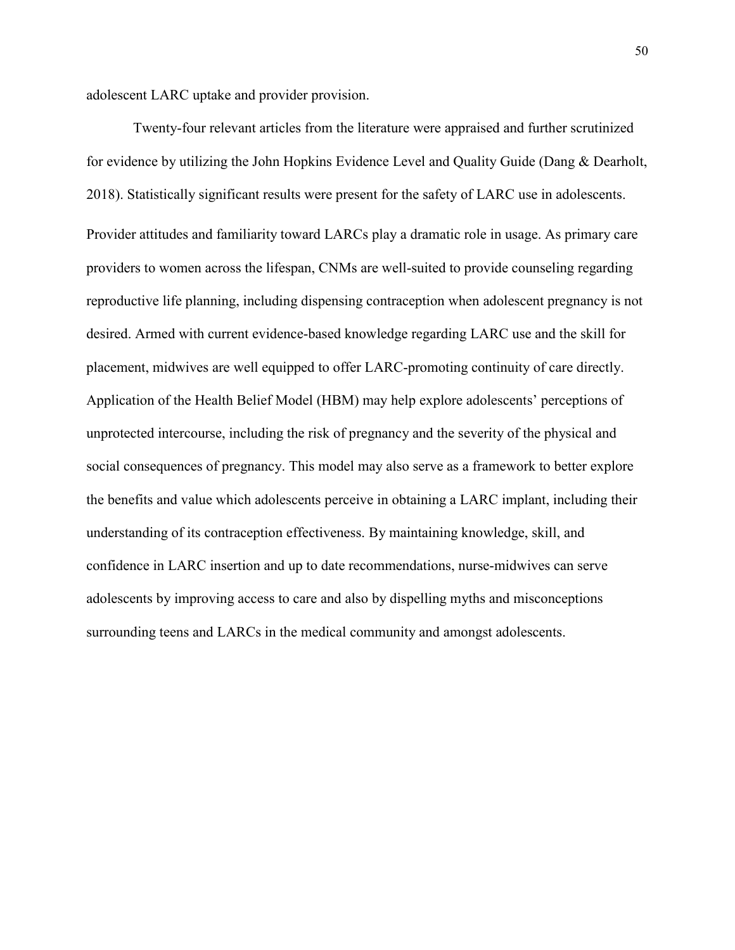adolescent LARC uptake and provider provision.

 Twenty-four relevant articles from the literature were appraised and further scrutinized for evidence by utilizing the John Hopkins Evidence Level and Quality Guide (Dang & Dearholt, 2018). Statistically significant results were present for the safety of LARC use in adolescents. Provider attitudes and familiarity toward LARCs play a dramatic role in usage. As primary care providers to women across the lifespan, CNMs are well-suited to provide counseling regarding reproductive life planning, including dispensing contraception when adolescent pregnancy is not desired. Armed with current evidence-based knowledge regarding LARC use and the skill for placement, midwives are well equipped to offer LARC-promoting continuity of care directly. Application of the Health Belief Model (HBM) may help explore adolescents' perceptions of unprotected intercourse, including the risk of pregnancy and the severity of the physical and social consequences of pregnancy. This model may also serve as a framework to better explore the benefits and value which adolescents perceive in obtaining a LARC implant, including their understanding of its contraception effectiveness. By maintaining knowledge, skill, and confidence in LARC insertion and up to date recommendations, nurse-midwives can serve adolescents by improving access to care and also by dispelling myths and misconceptions surrounding teens and LARCs in the medical community and amongst adolescents.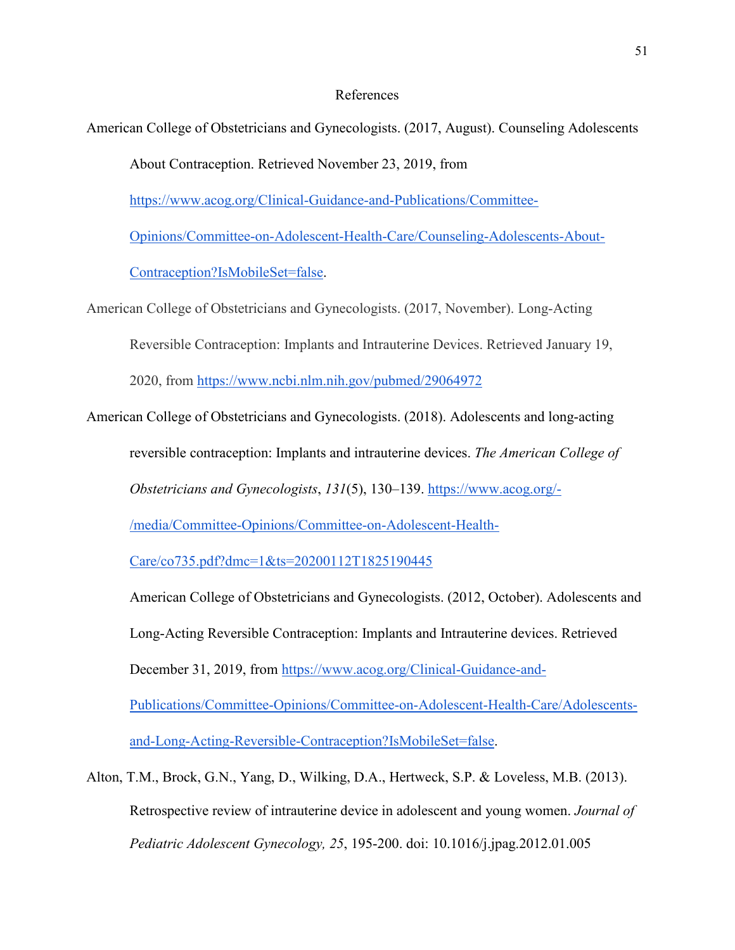# References

American College of Obstetricians and Gynecologists. (2017, August). Counseling Adolescents

About Contraception. Retrieved November 23, 2019, from

[https://www.acog.org/Clinical-Guidance-and-Publications/Committee-](https://www.acog.org/Clinical-Guidance-and-Publications/Committee-Opinions/Committee-on-Adolescent-Health-Care/Counseling-Adolescents-About-Contraception?IsMobileSet=false)

[Opinions/Committee-on-Adolescent-Health-Care/Counseling-Adolescents-About-](https://www.acog.org/Clinical-Guidance-and-Publications/Committee-Opinions/Committee-on-Adolescent-Health-Care/Counseling-Adolescents-About-Contraception?IsMobileSet=false)

[Contraception?IsMobileSet=false.](https://www.acog.org/Clinical-Guidance-and-Publications/Committee-Opinions/Committee-on-Adolescent-Health-Care/Counseling-Adolescents-About-Contraception?IsMobileSet=false)

American College of Obstetricians and Gynecologists. (2017, November). Long-Acting Reversible Contraception: Implants and Intrauterine Devices. Retrieved January 19, 2020, from https://www.ncbi.nlm.nih.gov/pubmed/29064972

American College of Obstetricians and Gynecologists. (2018). Adolescents and long-acting

reversible contraception: Implants and intrauterine devices. *The American College of* 

*Obstetricians and Gynecologists*, *131*(5), 130–139. [https://www.acog.org/-](https://www.acog.org/-/media/Committee-Opinions/Committee-on-Adolescent-Health-Care/co735.pdf?dmc=1&ts=20200112T1825190445)

[/media/Committee-Opinions/Committee-on-Adolescent-Health-](https://www.acog.org/-/media/Committee-Opinions/Committee-on-Adolescent-Health-Care/co735.pdf?dmc=1&ts=20200112T1825190445)

[Care/co735.pdf?dmc=1&ts=20200112T1825190445](https://www.acog.org/-/media/Committee-Opinions/Committee-on-Adolescent-Health-Care/co735.pdf?dmc=1&ts=20200112T1825190445)

American College of Obstetricians and Gynecologists. (2012, October). Adolescents and Long-Acting Reversible Contraception: Implants and Intrauterine devices. Retrieved December 31, 2019, from [https://www.acog.org/Clinical-Guidance-and-](https://www.acog.org/Clinical-Guidance-and-Publications/Committee-Opinions/Committee-on-Adolescent-Health-Care/Adolescents-and-Long-Acting-Reversible-Contraception?IsMobileSet=false)

[Publications/Committee-Opinions/Committee-on-Adolescent-Health-Care/Adolescents](https://www.acog.org/Clinical-Guidance-and-Publications/Committee-Opinions/Committee-on-Adolescent-Health-Care/Adolescents-and-Long-Acting-Reversible-Contraception?IsMobileSet=false)[and-Long-Acting-Reversible-Contraception?IsMobileSet=false.](https://www.acog.org/Clinical-Guidance-and-Publications/Committee-Opinions/Committee-on-Adolescent-Health-Care/Adolescents-and-Long-Acting-Reversible-Contraception?IsMobileSet=false)

Alton, T.M., Brock, G.N., Yang, D., Wilking, D.A., Hertweck, S.P. & Loveless, M.B. (2013). Retrospective review of intrauterine device in adolescent and young women. *Journal of Pediatric Adolescent Gynecology, 25*, 195-200. doi: 10.1016/j.jpag.2012.01.005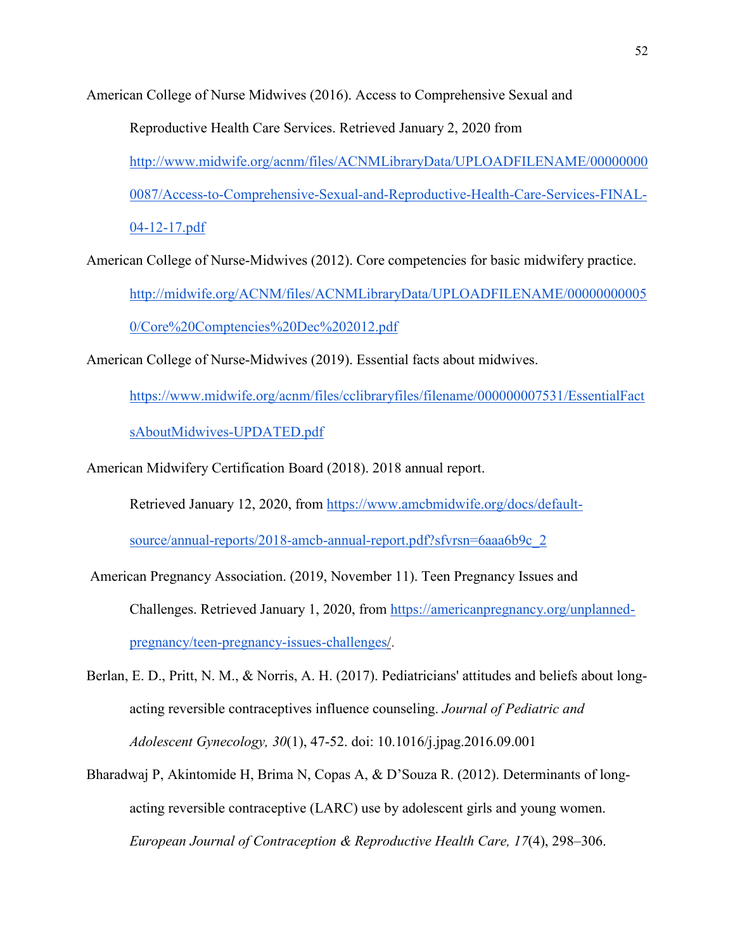American College of Nurse Midwives (2016). Access to Comprehensive Sexual and

Reproductive Health Care Services. Retrieved January 2, 2020 from [http://www.midwife.org/acnm/files/ACNMLibraryData/UPLOADFILENAME/00000000](http://www.midwife.org/acnm/files/ACNMLibraryData/UPLOADFILENAME/000000000087/Access-to-Comprehensive-Sexual-and-Reproductive-Health-Care-Services-FINAL-04-12-17.pdf) [0087/Access-to-Comprehensive-Sexual-and-Reproductive-Health-Care-Services-FINAL-](http://www.midwife.org/acnm/files/ACNMLibraryData/UPLOADFILENAME/000000000087/Access-to-Comprehensive-Sexual-and-Reproductive-Health-Care-Services-FINAL-04-12-17.pdf)[04-12-17.pdf](http://www.midwife.org/acnm/files/ACNMLibraryData/UPLOADFILENAME/000000000087/Access-to-Comprehensive-Sexual-and-Reproductive-Health-Care-Services-FINAL-04-12-17.pdf)

American College of Nurse-Midwives (2012). Core competencies for basic midwifery practice. http://midwife.org/ACNM/files/ACNMLibraryData/UPLOADFILENAME/00000000005 0/Core%20Comptencies%20Dec%202012.pdf

American College of Nurse-Midwives (2019). Essential facts about midwives.

https://www.midwife.org/acnm/files/cclibraryfiles/filename/000000007531/EssentialFact

sAboutMidwives-UPDATED.pdf

American Midwifery Certification Board (2018). 2018 annual report.

Retrieved January 12, 2020, from https://www.amcbmidwife.org/docs/default-

source/annual-reports/2018-amcb-annual-report.pdf?sfvrsn=6aaa6b9c\_2

- American Pregnancy Association. (2019, November 11). Teen Pregnancy Issues and Challenges. Retrieved January 1, 2020, from [https://americanpregnancy.org/unplanned](https://americanpregnancy.org/unplanned-pregnancy/teen-pregnancy-issues-challenges/)[pregnancy/teen-pregnancy-issues-challenges/.](https://americanpregnancy.org/unplanned-pregnancy/teen-pregnancy-issues-challenges/)
- Berlan, E. D., Pritt, N. M., & Norris, A. H. (2017). Pediatricians' attitudes and beliefs about longacting reversible contraceptives influence counseling. *Journal of Pediatric and Adolescent Gynecology, 30*(1), 47-52. doi: 10.1016/j.jpag.2016.09.001
- Bharadwaj P, Akintomide H, Brima N, Copas A, & D'Souza R. (2012). Determinants of longacting reversible contraceptive (LARC) use by adolescent girls and young women. *European Journal of Contraception & Reproductive Health Care, 17*(4), 298–306.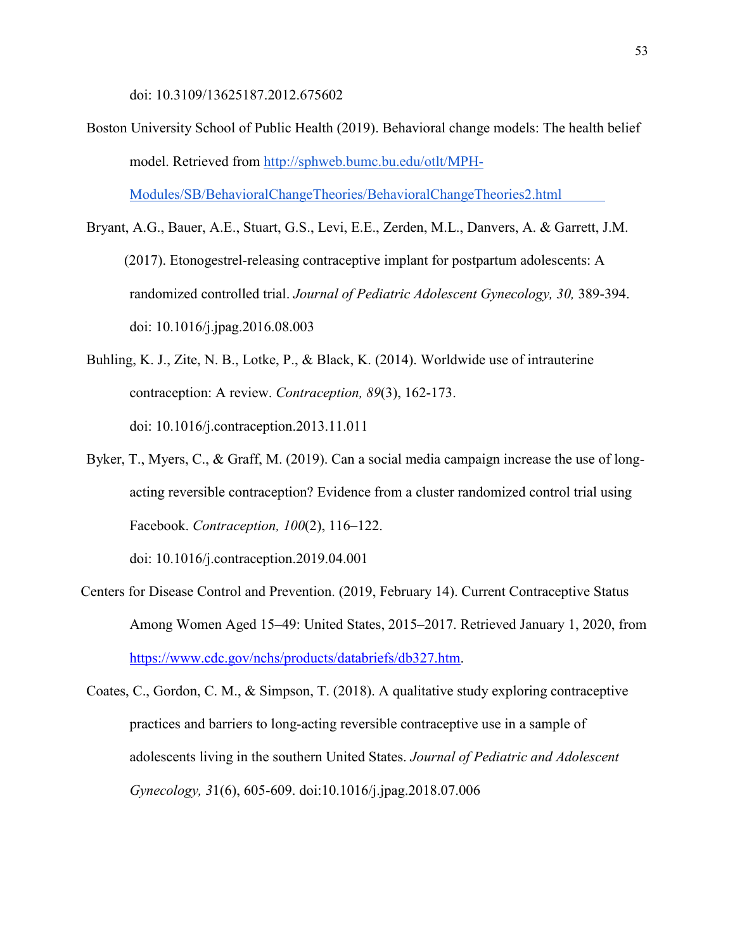doi: 10.3109/13625187.2012.675602

- Boston University School of Public Health (2019). Behavioral change models: The health belief model. Retrieved from http://sphweb.bumc.bu.edu/otlt/MPH-Modules/SB/BehavioralChangeTheories/BehavioralChangeTheories2.html
- Bryant, A.G., Bauer, A.E., Stuart, G.S., Levi, E.E., Zerden, M.L., Danvers, A. & Garrett, J.M. (2017). Etonogestrel-releasing contraceptive implant for postpartum adolescents: A randomized controlled trial. *Journal of Pediatric Adolescent Gynecology, 30,* 389-394. doi: 10.1016/j.jpag.2016.08.003
- Buhling, K. J., Zite, N. B., Lotke, P., & Black, K. (2014). Worldwide use of intrauterine contraception: A review. *Contraception, 89*(3), 162-173. doi: 10.1016/j.contraception.2013.11.011
- Byker, T., Myers, C., & Graff, M. (2019). Can a social media campaign increase the use of longacting reversible contraception? Evidence from a cluster randomized control trial using Facebook. *Contraception, 100*(2), 116–122.

doi: 10.1016/j.contraception.2019.04.001

- Centers for Disease Control and Prevention. (2019, February 14). Current Contraceptive Status Among Women Aged 15–49: United States, 2015–2017. Retrieved January 1, 2020, from [https://www.cdc.gov/nchs/products/databriefs/db327.htm.](https://www.cdc.gov/nchs/products/databriefs/db327.htm)
- Coates, C., Gordon, C. M., & Simpson, T. (2018). A qualitative study exploring contraceptive practices and barriers to long-acting reversible contraceptive use in a sample of adolescents living in the southern United States. *Journal of Pediatric and Adolescent Gynecology, 3*1(6), 605-609. doi:10.1016/j.jpag.2018.07.006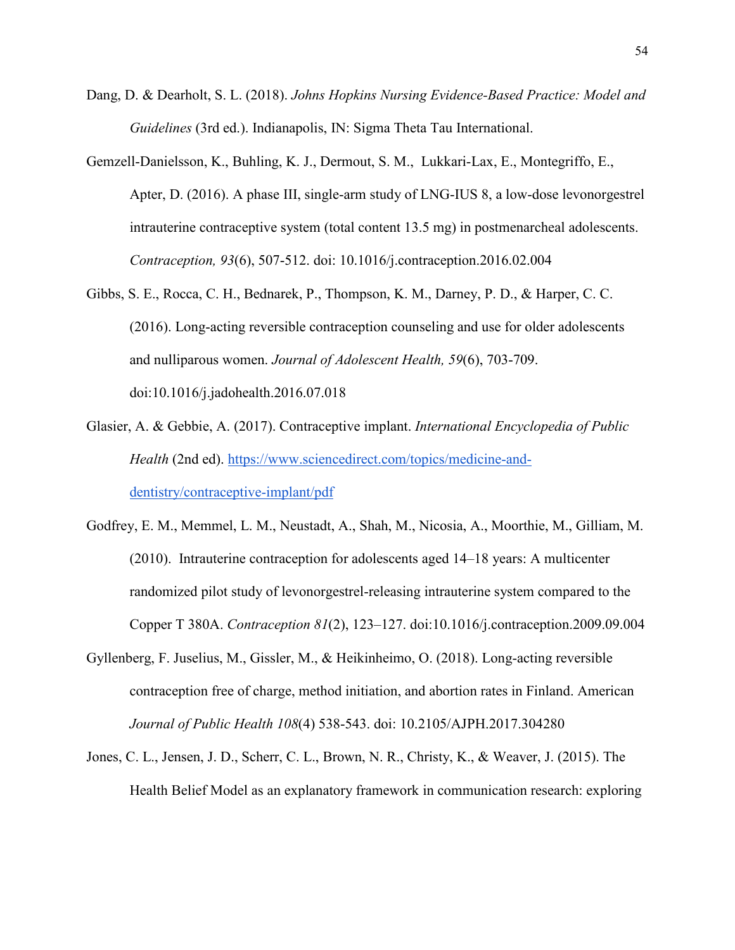- Dang, D. & Dearholt, S. L. (2018). *Johns Hopkins Nursing Evidence-Based Practice: Model and Guidelines* (3rd ed.). Indianapolis, IN: Sigma Theta Tau International.
- Gemzell-Danielsson, K., Buhling, K. J., Dermout, S. M., Lukkari-Lax, E., Montegriffo, E., Apter, D. (2016). A phase III, single-arm study of LNG-IUS 8, a low-dose levonorgestrel intrauterine contraceptive system (total content 13.5 mg) in postmenarcheal adolescents. *Contraception, 93*(6), 507-512. doi: 10.1016/j.contraception.2016.02.004
- Gibbs, S. E., Rocca, C. H., Bednarek, P., Thompson, K. M., Darney, P. D., & Harper, C. C. (2016). Long-acting reversible contraception counseling and use for older adolescents and nulliparous women. *Journal of Adolescent Health, 59*(6), 703-709. doi:10.1016/j.jadohealth.2016.07.018
- Glasier, A. & Gebbie, A. (2017). Contraceptive implant. *International Encyclopedia of Public Health* (2nd ed). https://www.sciencedirect.com/topics/medicine-anddentistry/contraceptive-implant/pdf
- Godfrey, E. M., Memmel, L. M., Neustadt, A., Shah, M., Nicosia, A., Moorthie, M., Gilliam, M. (2010). Intrauterine contraception for adolescents aged 14–18 years: A multicenter randomized pilot study of levonorgestrel-releasing intrauterine system compared to the Copper T 380A. *Contraception 81*(2), 123–127. doi:10.1016/j.contraception.2009.09.004
- Gyllenberg, F. Juselius, M., Gissler, M., & Heikinheimo, O. (2018). Long-acting reversible contraception free of charge, method initiation, and abortion rates in Finland. American *Journal of Public Health 108*(4) 538-543. doi: 10.2105/AJPH.2017.304280
- Jones, C. L., Jensen, J. D., Scherr, C. L., Brown, N. R., Christy, K., & Weaver, J. (2015). The Health Belief Model as an explanatory framework in communication research: exploring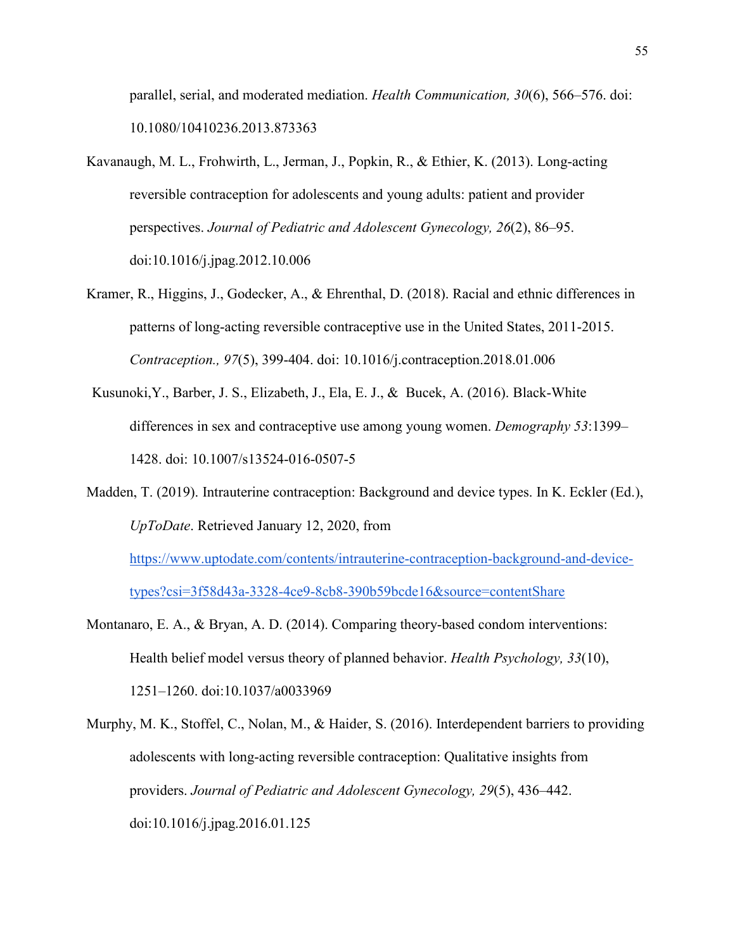parallel, serial, and moderated mediation. *Health Communication, 30*(6), 566–576. doi: 10.1080/10410236.2013.873363

- Kavanaugh, M. L., Frohwirth, L., Jerman, J., Popkin, R., & Ethier, K. (2013). Long-acting reversible contraception for adolescents and young adults: patient and provider perspectives. *Journal of Pediatric and Adolescent Gynecology, 26*(2), 86–95. doi:10.1016/j.jpag.2012.10.006
- Kramer, R., Higgins, J., Godecker, A., & Ehrenthal, D. (2018). Racial and ethnic differences in patterns of long-acting reversible contraceptive use in the United States, 2011-2015. *Contraception., 97*(5), 399-404. doi: 10.1016/j.contraception.2018.01.006
- Kusunoki,Y., Barber, J. S., Elizabeth, J., Ela, E. J., & Bucek, A. (2016). Black-White differences in sex and contraceptive use among young women. *Demography 53*:1399– 1428. doi: 10.1007/s13524-016-0507-5
- Madden, T. (2019). Intrauterine contraception: Background and device types. In K. Eckler (Ed.), *UpToDate*. Retrieved January 12, 2020, from

https://www.uptodate.com/contents/intrauterine-contraception-background-and-devicetypes?csi=3f58d43a-3328-4ce9-8cb8-390b59bcde16&source=contentShare

- Montanaro, E. A., & Bryan, A. D. (2014). Comparing theory-based condom interventions: Health belief model versus theory of planned behavior. *Health Psychology, 33*(10), 1251–1260. doi:10.1037/a0033969
- Murphy, M. K., Stoffel, C., Nolan, M., & Haider, S. (2016). Interdependent barriers to providing adolescents with long-acting reversible contraception: Qualitative insights from providers. *Journal of Pediatric and Adolescent Gynecology, 29*(5), 436–442. doi:10.1016/j.jpag.2016.01.125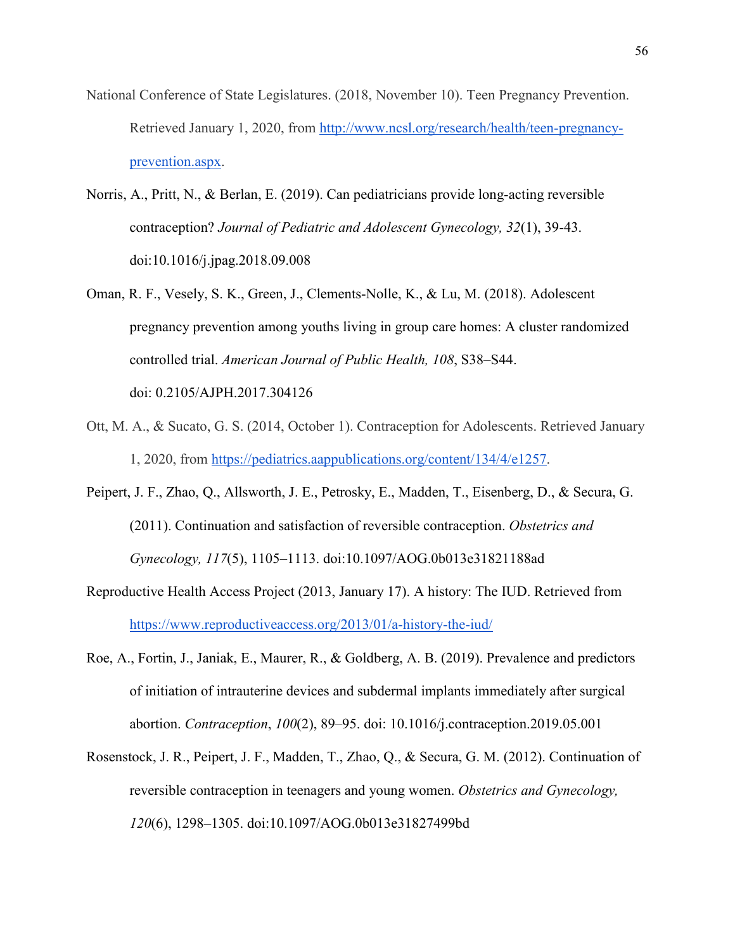- National Conference of State Legislatures. (2018, November 10). Teen Pregnancy Prevention. Retrieved January 1, 2020, from [http://www.ncsl.org/research/health/teen-pregnancy](http://www.ncsl.org/research/health/teen-pregnancy-prevention.aspx)[prevention.aspx.](http://www.ncsl.org/research/health/teen-pregnancy-prevention.aspx)
- Norris, A., Pritt, N., & Berlan, E. (2019). Can pediatricians provide long-acting reversible contraception? *Journal of Pediatric and Adolescent Gynecology, 32*(1), 39-43. doi[:10.1016/j.jpag.2018.09.008](https://doi.org/10.1016/j.jpag.2018.09.008)
- Oman, R. F., Vesely, S. K., Green, J., Clements-Nolle, K., & Lu, M. (2018). Adolescent pregnancy prevention among youths living in group care homes: A cluster randomized controlled trial. *American Journal of Public Health, 108*, S38–S44. doi: 0.2105/AJPH.2017.304126
- Ott, M. A., & Sucato, G. S. (2014, October 1). Contraception for Adolescents. Retrieved January 1, 2020, from [https://pediatrics.aappublications.org/content/134/4/e1257.](https://pediatrics.aappublications.org/content/134/4/e1257)
- Peipert, J. F., Zhao, Q., Allsworth, J. E., Petrosky, E., Madden, T., Eisenberg, D., & Secura, G. (2011). Continuation and satisfaction of reversible contraception. *Obstetrics and Gynecology, 117*(5), 1105–1113. doi:10.1097/AOG.0b013e31821188ad
- Reproductive Health Access Project (2013, January 17). A history: The IUD. Retrieved from <https://www.reproductiveaccess.org/2013/01/a-history-the-iud/>
- Roe, A., Fortin, J., Janiak, E., Maurer, R., & Goldberg, A. B. (2019). Prevalence and predictors of initiation of intrauterine devices and subdermal implants immediately after surgical abortion. *Contraception*, *100*(2), 89–95. doi: 10.1016/j.contraception.2019.05.001
- Rosenstock, J. R., Peipert, J. F., Madden, T., Zhao, Q., & Secura, G. M. (2012). Continuation of reversible contraception in teenagers and young women. *Obstetrics and Gynecology, 120*(6), 1298–1305. doi:10.1097/AOG.0b013e31827499bd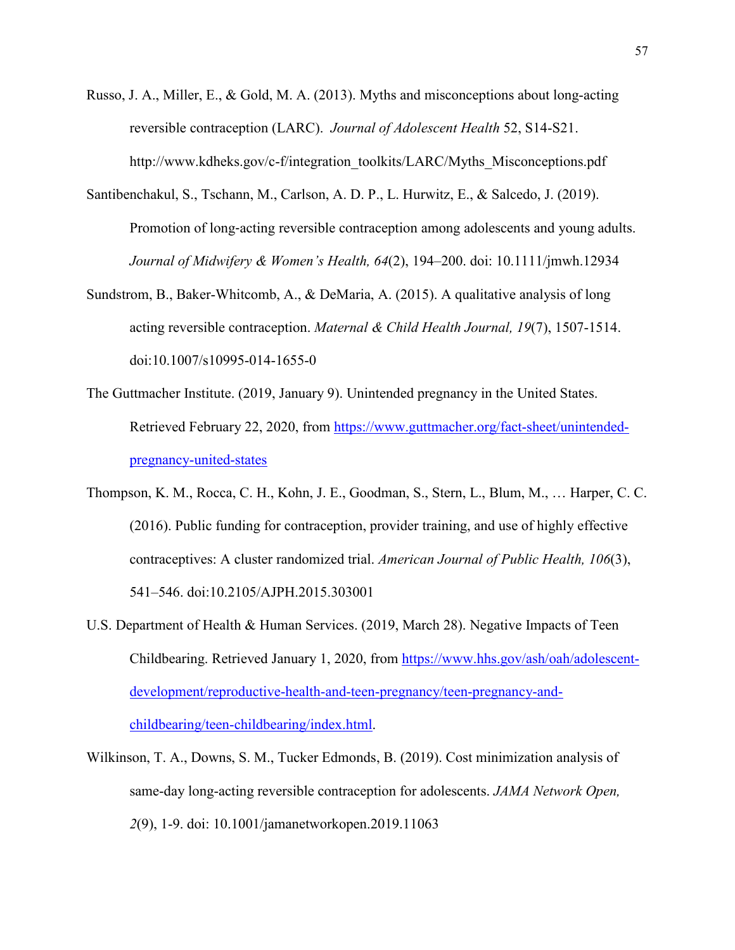- Russo, J. A., Miller, E., & Gold, M. A. (2013). Myths and misconceptions about long-acting reversible contraception (LARC). *Journal of Adolescent Health* 52, S14-S21. http://www.kdheks.gov/c-f/integration\_toolkits/LARC/Myths\_Misconceptions.pdf
- Santibenchakul, S., Tschann, M., Carlson, A. D. P., L. Hurwitz, E., & Salcedo, J. (2019). Promotion of long‐acting reversible contraception among adolescents and young adults. *Journal of Midwifery & Women's Health, 64*(2), 194–200. doi: 10.1111/jmwh.12934
- Sundstrom, B., Baker-Whitcomb, A., & DeMaria, A. (2015). A qualitative analysis of long acting reversible contraception. *Maternal & Child Health Journal, 19*(7), 1507-1514. doi:10.1007/s10995-014-1655-0
- The Guttmacher Institute. (2019, January 9). Unintended pregnancy in the United States. Retrieved February 22, 2020, from https://www.guttmacher.org/fact-sheet/unintendedpregnancy-united-states
- Thompson, K. M., Rocca, C. H., Kohn, J. E., Goodman, S., Stern, L., Blum, M., … Harper, C. C. (2016). Public funding for contraception, provider training, and use of highly effective contraceptives: A cluster randomized trial. *American Journal of Public Health, 106*(3), 541–546. doi:10.2105/AJPH.2015.303001
- U.S. Department of Health & Human Services. (2019, March 28). Negative Impacts of Teen Childbearing. Retrieved January 1, 2020, from https://www.hhs.gov/ash/oah/adolescentdevelopment/reproductive-health-and-teen-pregnancy/teen-pregnancy-andchildbearing/teen-childbearing/index.html.
- Wilkinson, T. A., Downs, S. M., Tucker Edmonds, B. (2019). Cost minimization analysis of same-day long-acting reversible contraception for adolescents. *JAMA Network Open, 2*(9), 1-9. doi: 10.1001/jamanetworkopen.2019.11063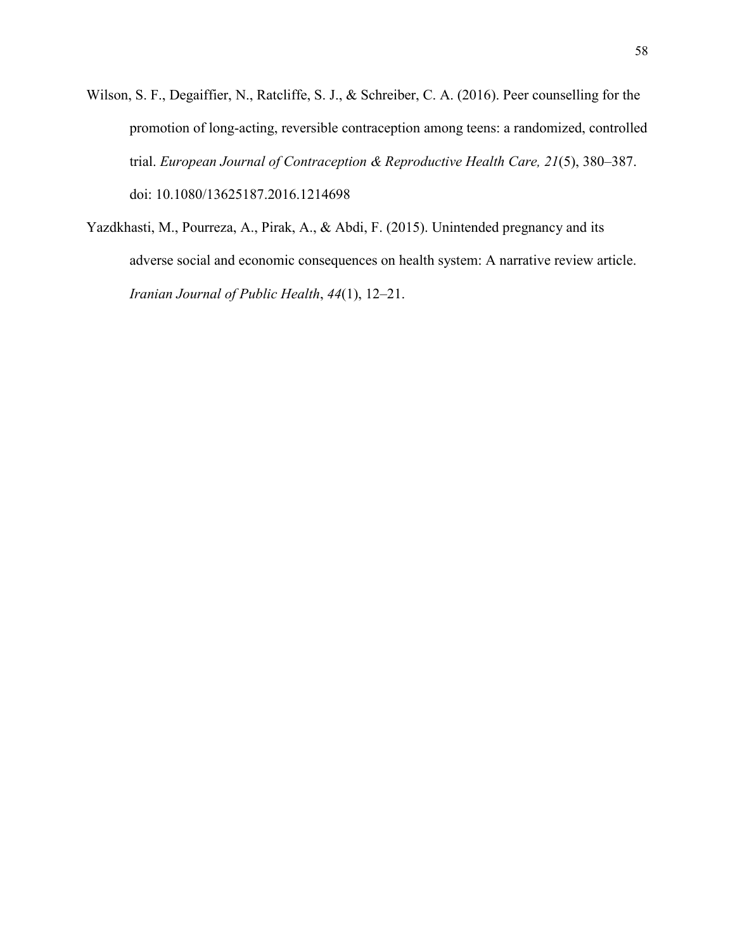- Wilson, S. F., Degaiffier, N., Ratcliffe, S. J., & Schreiber, C. A. (2016). Peer counselling for the promotion of long-acting, reversible contraception among teens: a randomized, controlled trial. *European Journal of Contraception & Reproductive Health Care, 21*(5), 380–387. doi: 10.1080/13625187.2016.1214698
- Yazdkhasti, M., Pourreza, A., Pirak, A., & Abdi, F. (2015). Unintended pregnancy and its adverse social and economic consequences on health system: A narrative review article. *Iranian Journal of Public Health*, *44*(1), 12–21.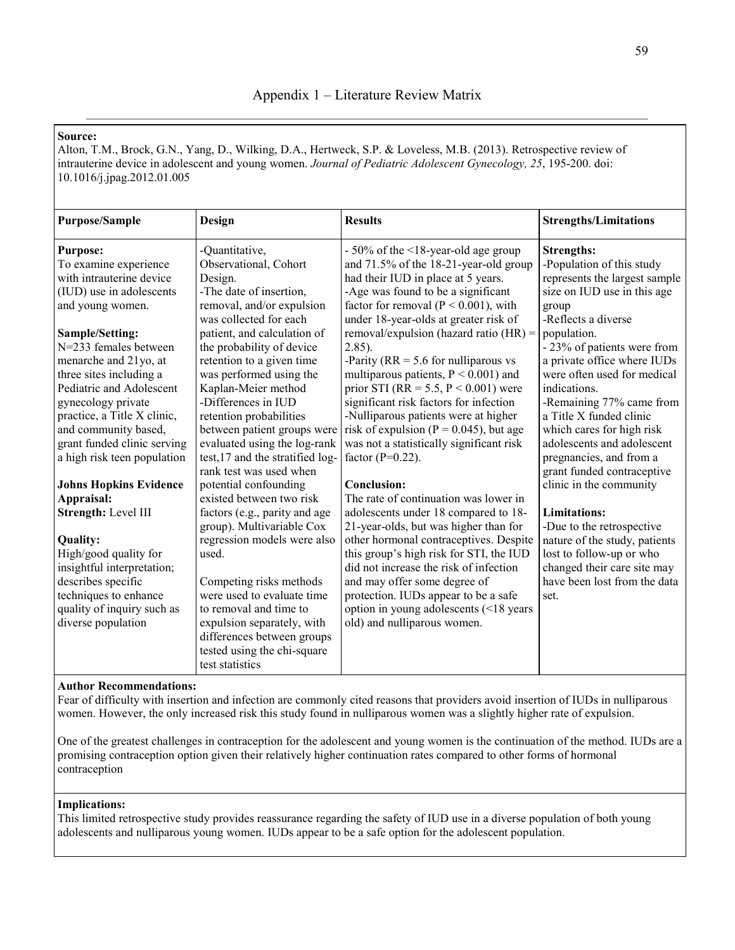Alton, T.M., Brock, G.N., Yang, D., Wilking, D.A., Hertweck, S.P. & Loveless, M.B. (2013). Retrospective review of intrauterine device in adolescent and young women. *Journal of Pediatric Adolescent Gynecology, 25*, 195-200. doi: 10.1016/j.jpag.2012.01.005

|                           | <b>Results</b>                                                                                                                                                                                                                                                                                                                                                                                                                                                                                                                                                                                                                                                                                     | <b>Strengths/Limitations</b>                                                                                                                                                                                                                                                                                                                                                                                                                                                                                                                                                                                                                                                                                                                                                                                                                          |
|---------------------------|----------------------------------------------------------------------------------------------------------------------------------------------------------------------------------------------------------------------------------------------------------------------------------------------------------------------------------------------------------------------------------------------------------------------------------------------------------------------------------------------------------------------------------------------------------------------------------------------------------------------------------------------------------------------------------------------------|-------------------------------------------------------------------------------------------------------------------------------------------------------------------------------------------------------------------------------------------------------------------------------------------------------------------------------------------------------------------------------------------------------------------------------------------------------------------------------------------------------------------------------------------------------------------------------------------------------------------------------------------------------------------------------------------------------------------------------------------------------------------------------------------------------------------------------------------------------|
| -Quantitative,            | $-50\%$ of the $\leq$ 18-year-old age group                                                                                                                                                                                                                                                                                                                                                                                                                                                                                                                                                                                                                                                        | <b>Strengths:</b><br>-Population of this study                                                                                                                                                                                                                                                                                                                                                                                                                                                                                                                                                                                                                                                                                                                                                                                                        |
| Design.                   | had their IUD in place at 5 years.                                                                                                                                                                                                                                                                                                                                                                                                                                                                                                                                                                                                                                                                 | represents the largest sample                                                                                                                                                                                                                                                                                                                                                                                                                                                                                                                                                                                                                                                                                                                                                                                                                         |
| -The date of insertion,   | -Age was found to be a significant                                                                                                                                                                                                                                                                                                                                                                                                                                                                                                                                                                                                                                                                 | size on IUD use in this age                                                                                                                                                                                                                                                                                                                                                                                                                                                                                                                                                                                                                                                                                                                                                                                                                           |
|                           |                                                                                                                                                                                                                                                                                                                                                                                                                                                                                                                                                                                                                                                                                                    | group<br>-Reflects a diverse                                                                                                                                                                                                                                                                                                                                                                                                                                                                                                                                                                                                                                                                                                                                                                                                                          |
|                           |                                                                                                                                                                                                                                                                                                                                                                                                                                                                                                                                                                                                                                                                                                    | population.                                                                                                                                                                                                                                                                                                                                                                                                                                                                                                                                                                                                                                                                                                                                                                                                                                           |
|                           | $2.85$ ).                                                                                                                                                                                                                                                                                                                                                                                                                                                                                                                                                                                                                                                                                          | - 23% of patients were from                                                                                                                                                                                                                                                                                                                                                                                                                                                                                                                                                                                                                                                                                                                                                                                                                           |
| retention to a given time | -Parity ( $RR = 5.6$ for nulliparous vs                                                                                                                                                                                                                                                                                                                                                                                                                                                                                                                                                                                                                                                            | a private office where IUDs                                                                                                                                                                                                                                                                                                                                                                                                                                                                                                                                                                                                                                                                                                                                                                                                                           |
| was performed using the   | multiparous patients, $P < 0.001$ ) and                                                                                                                                                                                                                                                                                                                                                                                                                                                                                                                                                                                                                                                            | were often used for medical                                                                                                                                                                                                                                                                                                                                                                                                                                                                                                                                                                                                                                                                                                                                                                                                                           |
|                           |                                                                                                                                                                                                                                                                                                                                                                                                                                                                                                                                                                                                                                                                                                    | indications.                                                                                                                                                                                                                                                                                                                                                                                                                                                                                                                                                                                                                                                                                                                                                                                                                                          |
|                           |                                                                                                                                                                                                                                                                                                                                                                                                                                                                                                                                                                                                                                                                                                    | -Remaining 77% came from                                                                                                                                                                                                                                                                                                                                                                                                                                                                                                                                                                                                                                                                                                                                                                                                                              |
|                           |                                                                                                                                                                                                                                                                                                                                                                                                                                                                                                                                                                                                                                                                                                    | a Title X funded clinic                                                                                                                                                                                                                                                                                                                                                                                                                                                                                                                                                                                                                                                                                                                                                                                                                               |
|                           |                                                                                                                                                                                                                                                                                                                                                                                                                                                                                                                                                                                                                                                                                                    | which cares for high risk                                                                                                                                                                                                                                                                                                                                                                                                                                                                                                                                                                                                                                                                                                                                                                                                                             |
|                           |                                                                                                                                                                                                                                                                                                                                                                                                                                                                                                                                                                                                                                                                                                    | adolescents and adolescent                                                                                                                                                                                                                                                                                                                                                                                                                                                                                                                                                                                                                                                                                                                                                                                                                            |
|                           |                                                                                                                                                                                                                                                                                                                                                                                                                                                                                                                                                                                                                                                                                                    | pregnancies, and from a                                                                                                                                                                                                                                                                                                                                                                                                                                                                                                                                                                                                                                                                                                                                                                                                                               |
|                           |                                                                                                                                                                                                                                                                                                                                                                                                                                                                                                                                                                                                                                                                                                    | grant funded contraceptive                                                                                                                                                                                                                                                                                                                                                                                                                                                                                                                                                                                                                                                                                                                                                                                                                            |
|                           |                                                                                                                                                                                                                                                                                                                                                                                                                                                                                                                                                                                                                                                                                                    | clinic in the community                                                                                                                                                                                                                                                                                                                                                                                                                                                                                                                                                                                                                                                                                                                                                                                                                               |
|                           |                                                                                                                                                                                                                                                                                                                                                                                                                                                                                                                                                                                                                                                                                                    |                                                                                                                                                                                                                                                                                                                                                                                                                                                                                                                                                                                                                                                                                                                                                                                                                                                       |
|                           |                                                                                                                                                                                                                                                                                                                                                                                                                                                                                                                                                                                                                                                                                                    | <b>Limitations:</b>                                                                                                                                                                                                                                                                                                                                                                                                                                                                                                                                                                                                                                                                                                                                                                                                                                   |
|                           |                                                                                                                                                                                                                                                                                                                                                                                                                                                                                                                                                                                                                                                                                                    | -Due to the retrospective                                                                                                                                                                                                                                                                                                                                                                                                                                                                                                                                                                                                                                                                                                                                                                                                                             |
|                           |                                                                                                                                                                                                                                                                                                                                                                                                                                                                                                                                                                                                                                                                                                    | nature of the study, patients<br>lost to follow-up or who                                                                                                                                                                                                                                                                                                                                                                                                                                                                                                                                                                                                                                                                                                                                                                                             |
|                           |                                                                                                                                                                                                                                                                                                                                                                                                                                                                                                                                                                                                                                                                                                    | changed their care site may                                                                                                                                                                                                                                                                                                                                                                                                                                                                                                                                                                                                                                                                                                                                                                                                                           |
|                           |                                                                                                                                                                                                                                                                                                                                                                                                                                                                                                                                                                                                                                                                                                    | have been lost from the data                                                                                                                                                                                                                                                                                                                                                                                                                                                                                                                                                                                                                                                                                                                                                                                                                          |
|                           |                                                                                                                                                                                                                                                                                                                                                                                                                                                                                                                                                                                                                                                                                                    | set.                                                                                                                                                                                                                                                                                                                                                                                                                                                                                                                                                                                                                                                                                                                                                                                                                                                  |
|                           |                                                                                                                                                                                                                                                                                                                                                                                                                                                                                                                                                                                                                                                                                                    |                                                                                                                                                                                                                                                                                                                                                                                                                                                                                                                                                                                                                                                                                                                                                                                                                                                       |
|                           |                                                                                                                                                                                                                                                                                                                                                                                                                                                                                                                                                                                                                                                                                                    |                                                                                                                                                                                                                                                                                                                                                                                                                                                                                                                                                                                                                                                                                                                                                                                                                                                       |
|                           |                                                                                                                                                                                                                                                                                                                                                                                                                                                                                                                                                                                                                                                                                                    |                                                                                                                                                                                                                                                                                                                                                                                                                                                                                                                                                                                                                                                                                                                                                                                                                                                       |
|                           |                                                                                                                                                                                                                                                                                                                                                                                                                                                                                                                                                                                                                                                                                                    |                                                                                                                                                                                                                                                                                                                                                                                                                                                                                                                                                                                                                                                                                                                                                                                                                                                       |
| test statistics           |                                                                                                                                                                                                                                                                                                                                                                                                                                                                                                                                                                                                                                                                                                    |                                                                                                                                                                                                                                                                                                                                                                                                                                                                                                                                                                                                                                                                                                                                                                                                                                                       |
|                           | Design<br>Observational, Cohort<br>removal, and/or expulsion<br>was collected for each<br>patient, and calculation of<br>the probability of device<br>Kaplan-Meier method<br>-Differences in IUD<br>retention probabilities<br>between patient groups were<br>evaluated using the log-rank<br>test, 17 and the stratified log-<br>rank test was used when<br>potential confounding<br>existed between two risk<br>factors (e.g., parity and age<br>group). Multivariable Cox<br>regression models were also<br>used.<br>Competing risks methods<br>were used to evaluate time<br>to removal and time to<br>expulsion separately, with<br>differences between groups<br>tested using the chi-square | and 71.5% of the 18-21-year-old group<br>factor for removal ( $P < 0.001$ ), with<br>under 18-year-olds at greater risk of<br>removal/expulsion (hazard ratio $(HR)$ =<br>prior STI (RR = 5.5, $P < 0.001$ ) were<br>significant risk factors for infection<br>-Nulliparous patients were at higher<br>risk of expulsion ( $P = 0.045$ ), but age<br>was not a statistically significant risk<br>factor ( $P=0.22$ ).<br><b>Conclusion:</b><br>The rate of continuation was lower in<br>adolescents under 18 compared to 18-<br>21-year-olds, but was higher than for<br>other hormonal contraceptives. Despite<br>this group's high risk for STI, the IUD<br>did not increase the risk of infection<br>and may offer some degree of<br>protection. IUDs appear to be a safe<br>option in young adolescents (<18 years<br>old) and nulliparous women. |

## **Author Recommendations:**

Fear of difficulty with insertion and infection are commonly cited reasons that providers avoid insertion of IUDs in nulliparous women. However, the only increased risk this study found in nulliparous women was a slightly higher rate of expulsion.

One of the greatest challenges in contraception for the adolescent and young women is the continuation of the method. IUDs are a promising contraception option given their relatively higher continuation rates compared to other forms of hormonal contraception

## **Implications:**

This limited retrospective study provides reassurance regarding the safety of IUD use in a diverse population of both young adolescents and nulliparous young women. IUDs appear to be a safe option for the adolescent population.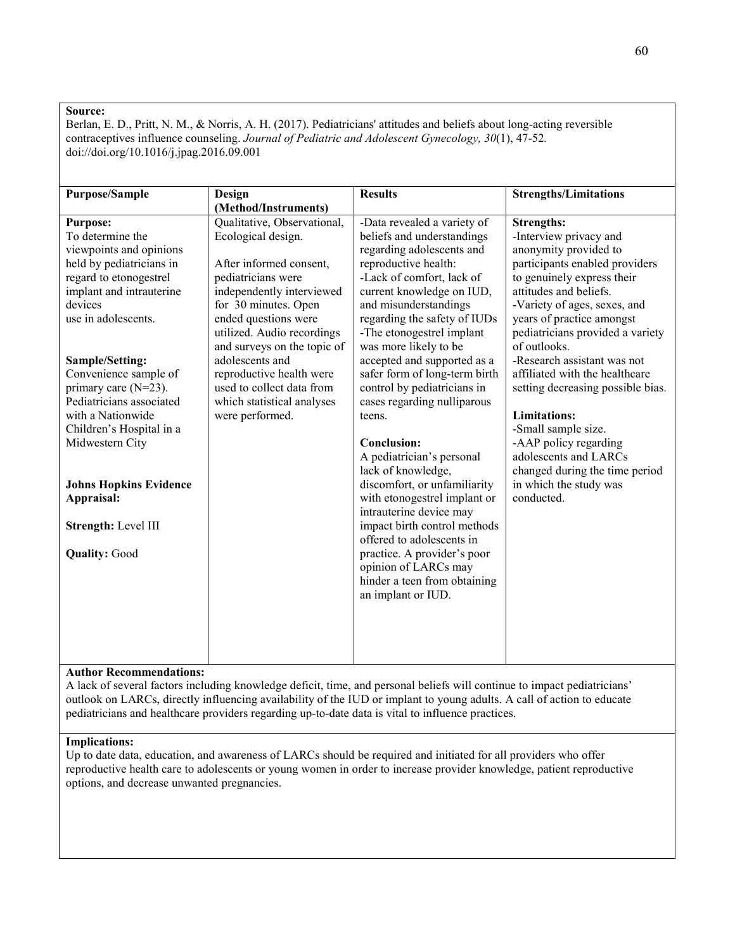Berlan, E. D., Pritt, N. M., & Norris, A. H. (2017). Pediatricians' attitudes and beliefs about long-acting reversible contraceptives influence counseling. *Journal of Pediatric and Adolescent Gynecology, 30*(1), 47-52*.*  doi://doi.org/10.1016/j.jpag.2016.09.001

| <b>Purpose/Sample</b>         | Design                      | <b>Results</b>                | <b>Strengths/Limitations</b>      |
|-------------------------------|-----------------------------|-------------------------------|-----------------------------------|
|                               | (Method/Instruments)        |                               |                                   |
| <b>Purpose:</b>               | Qualitative, Observational, | -Data revealed a variety of   | <b>Strengths:</b>                 |
| To determine the              | Ecological design.          | beliefs and understandings    | -Interview privacy and            |
| viewpoints and opinions       |                             | regarding adolescents and     | anonymity provided to             |
| held by pediatricians in      | After informed consent,     | reproductive health:          | participants enabled providers    |
| regard to etonogestrel        | pediatricians were          | -Lack of comfort, lack of     | to genuinely express their        |
| implant and intrauterine      | independently interviewed   | current knowledge on IUD,     | attitudes and beliefs.            |
| devices                       | for 30 minutes. Open        | and misunderstandings         | -Variety of ages, sexes, and      |
| use in adolescents.           | ended questions were        | regarding the safety of IUDs  | years of practice amongst         |
|                               | utilized. Audio recordings  | -The etonogestrel implant     | pediatricians provided a variety  |
|                               | and surveys on the topic of | was more likely to be         | of outlooks.                      |
| Sample/Setting:               | adolescents and             | accepted and supported as a   | -Research assistant was not       |
| Convenience sample of         | reproductive health were    | safer form of long-term birth | affiliated with the healthcare    |
| primary care $(N=23)$ .       | used to collect data from   | control by pediatricians in   | setting decreasing possible bias. |
| Pediatricians associated      | which statistical analyses  | cases regarding nulliparous   |                                   |
| with a Nationwide             | were performed.             | teens.                        | <b>Limitations:</b>               |
| Children's Hospital in a      |                             |                               | -Small sample size.               |
| Midwestern City               |                             | <b>Conclusion:</b>            | -AAP policy regarding             |
|                               |                             | A pediatrician's personal     | adolescents and LARCs             |
|                               |                             | lack of knowledge,            | changed during the time period    |
| <b>Johns Hopkins Evidence</b> |                             | discomfort, or unfamiliarity  | in which the study was            |
| Appraisal:                    |                             | with etonogestrel implant or  | conducted.                        |
|                               |                             | intrauterine device may       |                                   |
| Strength: Level III           |                             | impact birth control methods  |                                   |
|                               |                             | offered to adolescents in     |                                   |
| <b>Quality: Good</b>          |                             | practice. A provider's poor   |                                   |
|                               |                             | opinion of LARCs may          |                                   |
|                               |                             | hinder a teen from obtaining  |                                   |
|                               |                             | an implant or IUD.            |                                   |
|                               |                             |                               |                                   |
|                               |                             |                               |                                   |
|                               |                             |                               |                                   |
|                               |                             |                               |                                   |
|                               |                             |                               |                                   |

## **Author Recommendations:**

A lack of several factors including knowledge deficit, time, and personal beliefs will continue to impact pediatricians' outlook on LARCs, directly influencing availability of the IUD or implant to young adults. A call of action to educate pediatricians and healthcare providers regarding up-to-date data is vital to influence practices.

## **Implications:**

Up to date data, education, and awareness of LARCs should be required and initiated for all providers who offer reproductive health care to adolescents or young women in order to increase provider knowledge, patient reproductive options, and decrease unwanted pregnancies.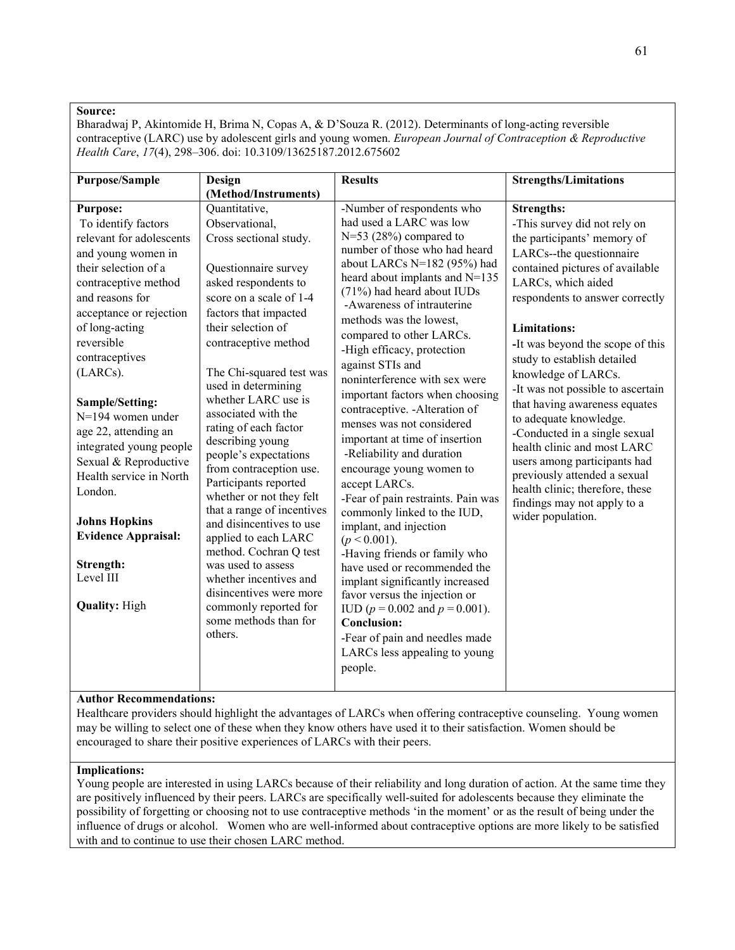Bharadwaj P, Akintomide H, Brima N, Copas A, & D'Souza R. (2012). Determinants of long-acting reversible contraceptive (LARC) use by adolescent girls and young women. *European Journal of Contraception & Reproductive Health Care*, *17*(4), 298–306. doi: 10.3109/13625187.2012.675602

| <b>Purpose/Sample</b>                                                                                                                                                                                                                                                                                                                                                                                                                                                                                                    | Design                                                                                                                                                                                                                                                                                                                                                                                                                                                                                                                                                                                                                                                                                                                 | <b>Results</b>                                                                                                                                                                                                                                                                                                                                                                                                                                                                                                                                                                                                                                                                                                                                                                                                                                                                                                                                                                                             | <b>Strengths/Limitations</b>                                                                                                                                                                                                                                                                                                                                                                                                                                                                                                                                                                                                                     |
|--------------------------------------------------------------------------------------------------------------------------------------------------------------------------------------------------------------------------------------------------------------------------------------------------------------------------------------------------------------------------------------------------------------------------------------------------------------------------------------------------------------------------|------------------------------------------------------------------------------------------------------------------------------------------------------------------------------------------------------------------------------------------------------------------------------------------------------------------------------------------------------------------------------------------------------------------------------------------------------------------------------------------------------------------------------------------------------------------------------------------------------------------------------------------------------------------------------------------------------------------------|------------------------------------------------------------------------------------------------------------------------------------------------------------------------------------------------------------------------------------------------------------------------------------------------------------------------------------------------------------------------------------------------------------------------------------------------------------------------------------------------------------------------------------------------------------------------------------------------------------------------------------------------------------------------------------------------------------------------------------------------------------------------------------------------------------------------------------------------------------------------------------------------------------------------------------------------------------------------------------------------------------|--------------------------------------------------------------------------------------------------------------------------------------------------------------------------------------------------------------------------------------------------------------------------------------------------------------------------------------------------------------------------------------------------------------------------------------------------------------------------------------------------------------------------------------------------------------------------------------------------------------------------------------------------|
|                                                                                                                                                                                                                                                                                                                                                                                                                                                                                                                          | (Method/Instruments)                                                                                                                                                                                                                                                                                                                                                                                                                                                                                                                                                                                                                                                                                                   |                                                                                                                                                                                                                                                                                                                                                                                                                                                                                                                                                                                                                                                                                                                                                                                                                                                                                                                                                                                                            |                                                                                                                                                                                                                                                                                                                                                                                                                                                                                                                                                                                                                                                  |
| <b>Purpose:</b><br>To identify factors<br>relevant for adolescents<br>and young women in<br>their selection of a<br>contraceptive method<br>and reasons for<br>acceptance or rejection<br>of long-acting<br>reversible<br>contraceptives<br>(LARCs).<br>Sample/Setting:<br>$N=194$ women under<br>age 22, attending an<br>integrated young people<br>Sexual & Reproductive<br>Health service in North<br>London.<br><b>Johns Hopkins</b><br><b>Evidence Appraisal:</b><br>Strength:<br>Level III<br><b>Quality: High</b> | Quantitative,<br>Observational,<br>Cross sectional study.<br>Questionnaire survey<br>asked respondents to<br>score on a scale of 1-4<br>factors that impacted<br>their selection of<br>contraceptive method<br>The Chi-squared test was<br>used in determining<br>whether LARC use is<br>associated with the<br>rating of each factor<br>describing young<br>people's expectations<br>from contraception use.<br>Participants reported<br>whether or not they felt<br>that a range of incentives<br>and disincentives to use<br>applied to each LARC<br>method. Cochran Q test<br>was used to assess<br>whether incentives and<br>disincentives were more<br>commonly reported for<br>some methods than for<br>others. | -Number of respondents who<br>had used a LARC was low<br>$N=53$ (28%) compared to<br>number of those who had heard<br>about LARCs N=182 (95%) had<br>heard about implants and N=135<br>(71%) had heard about IUDs<br>-Awareness of intrauterine<br>methods was the lowest,<br>compared to other LARCs.<br>-High efficacy, protection<br>against STIs and<br>noninterference with sex were<br>important factors when choosing<br>contraceptive. - Alteration of<br>menses was not considered<br>important at time of insertion<br>-Reliability and duration<br>encourage young women to<br>accept LARCs.<br>-Fear of pain restraints. Pain was<br>commonly linked to the IUD,<br>implant, and injection<br>$(p < 0.001)$ .<br>-Having friends or family who<br>have used or recommended the<br>implant significantly increased<br>favor versus the injection or<br>IUD ( $p = 0.002$ and $p = 0.001$ ).<br><b>Conclusion:</b><br>-Fear of pain and needles made<br>LARCs less appealing to young<br>people. | <b>Strengths:</b><br>-This survey did not rely on<br>the participants' memory of<br>LARCs--the questionnaire<br>contained pictures of available<br>LARCs, which aided<br>respondents to answer correctly<br><b>Limitations:</b><br>-It was beyond the scope of this<br>study to establish detailed<br>knowledge of LARCs.<br>-It was not possible to ascertain<br>that having awareness equates<br>to adequate knowledge.<br>-Conducted in a single sexual<br>health clinic and most LARC<br>users among participants had<br>previously attended a sexual<br>health clinic; therefore, these<br>findings may not apply to a<br>wider population. |
|                                                                                                                                                                                                                                                                                                                                                                                                                                                                                                                          |                                                                                                                                                                                                                                                                                                                                                                                                                                                                                                                                                                                                                                                                                                                        |                                                                                                                                                                                                                                                                                                                                                                                                                                                                                                                                                                                                                                                                                                                                                                                                                                                                                                                                                                                                            |                                                                                                                                                                                                                                                                                                                                                                                                                                                                                                                                                                                                                                                  |

## **Author Recommendations:**

Healthcare providers should highlight the advantages of LARCs when offering contraceptive counseling. Young women may be willing to select one of these when they know others have used it to their satisfaction. Women should be encouraged to share their positive experiences of LARCs with their peers.

#### **Implications:**

Young people are interested in using LARCs because of their reliability and long duration of action. At the same time they are positively influenced by their peers. LARCs are specifically well-suited for adolescents because they eliminate the possibility of forgetting or choosing not to use contraceptive methods 'in the moment' or as the result of being under the influence of drugs or alcohol. Women who are well-informed about contraceptive options are more likely to be satisfied with and to continue to use their chosen LARC method.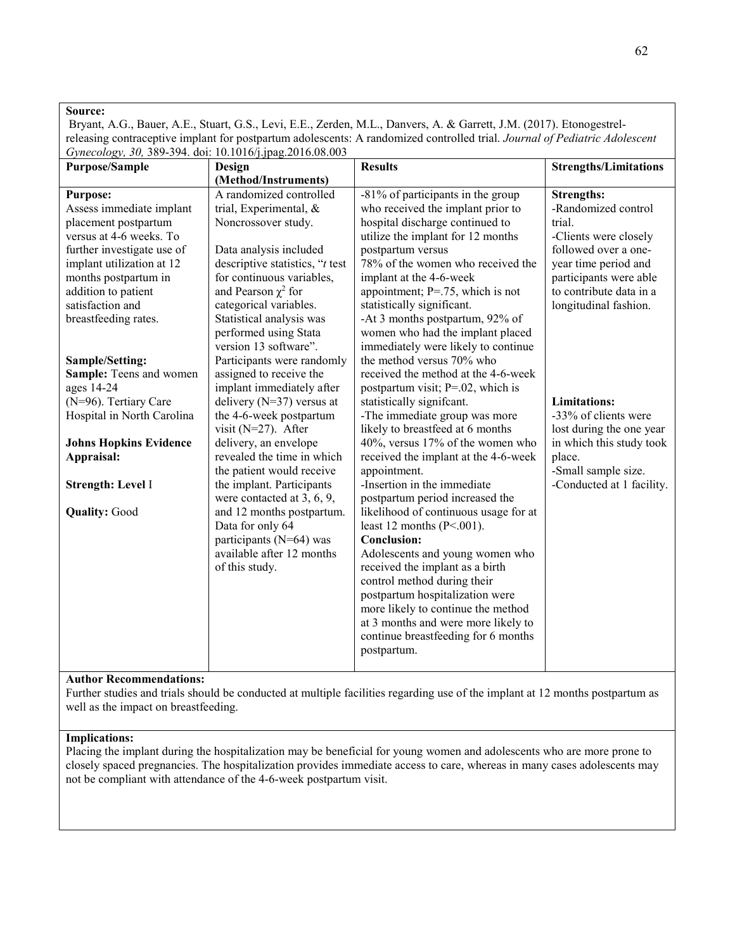Bryant, A.G., Bauer, A.E., Stuart, G.S., Levi, E.E., Zerden, M.L., Danvers, A. & Garrett, J.M. (2017). Etonogestrelreleasing contraceptive implant for postpartum adolescents: A randomized controlled trial. *Journal of Pediatric Adolescent Gynecology, 30,* 389-394. doi: 10.1016/j.jpag.2016.08.003

| <b>Purpose/Sample</b>         | Gynceology, 50, 507 574. <b>a</b> ol. 10.1010/J.Jpag.2010.000.005<br>Design | <b>Results</b>                        | <b>Strengths/Limitations</b> |
|-------------------------------|-----------------------------------------------------------------------------|---------------------------------------|------------------------------|
|                               | (Method/Instruments)                                                        |                                       |                              |
| <b>Purpose:</b>               | A randomized controlled                                                     | $-81\%$ of participants in the group  | <b>Strengths:</b>            |
| Assess immediate implant      | trial, Experimental, &                                                      | who received the implant prior to     | -Randomized control          |
| placement postpartum          | Noncrossover study.                                                         | hospital discharge continued to       | trial.                       |
| versus at 4-6 weeks. To       |                                                                             | utilize the implant for 12 months     | -Clients were closely        |
| further investigate use of    | Data analysis included                                                      | postpartum versus                     | followed over a one-         |
| implant utilization at 12     | descriptive statistics, "t test                                             | 78% of the women who received the     | year time period and         |
| months postpartum in          | for continuous variables,                                                   | implant at the 4-6-week               | participants were able       |
| addition to patient           | and Pearson $\chi^2$ for                                                    | appointment; $P = .75$ , which is not | to contribute data in a      |
| satisfaction and              | categorical variables.                                                      | statistically significant.            | longitudinal fashion.        |
| breastfeeding rates.          | Statistical analysis was                                                    | -At 3 months postpartum, 92% of       |                              |
|                               | performed using Stata                                                       | women who had the implant placed      |                              |
|                               | version 13 software".                                                       | immediately were likely to continue   |                              |
| Sample/Setting:               | Participants were randomly                                                  | the method versus 70% who             |                              |
| Sample: Teens and women       | assigned to receive the                                                     | received the method at the 4-6-week   |                              |
| ages 14-24                    | implant immediately after                                                   | postpartum visit; P=.02, which is     |                              |
| (N=96). Tertiary Care         | delivery ( $N=37$ ) versus at                                               | statistically significant.            | <b>Limitations:</b>          |
| Hospital in North Carolina    | the 4-6-week postpartum                                                     | -The immediate group was more         | -33% of clients were         |
|                               | visit ( $N=27$ ). After                                                     | likely to breastfeed at 6 months      | lost during the one year     |
| <b>Johns Hopkins Evidence</b> | delivery, an envelope                                                       | 40%, versus 17% of the women who      | in which this study took     |
| Appraisal:                    | revealed the time in which                                                  | received the implant at the 4-6-week  | place.                       |
|                               | the patient would receive                                                   | appointment.                          | -Small sample size.          |
| Strength: Level I             | the implant. Participants                                                   | -Insertion in the immediate           | -Conducted at 1 facility.    |
|                               | were contacted at 3, 6, 9,                                                  | postpartum period increased the       |                              |
| <b>Quality: Good</b>          | and 12 months postpartum.                                                   | likelihood of continuous usage for at |                              |
|                               | Data for only 64                                                            | least 12 months $(P<.001)$ .          |                              |
|                               | participants (N=64) was                                                     | <b>Conclusion:</b>                    |                              |
|                               | available after 12 months                                                   | Adolescents and young women who       |                              |
|                               | of this study.                                                              | received the implant as a birth       |                              |
|                               |                                                                             | control method during their           |                              |
|                               |                                                                             | postpartum hospitalization were       |                              |
|                               |                                                                             | more likely to continue the method    |                              |
|                               |                                                                             | at 3 months and were more likely to   |                              |
|                               |                                                                             | continue breastfeeding for 6 months   |                              |
|                               |                                                                             | postpartum.                           |                              |

# **Author Recommendations:**

Further studies and trials should be conducted at multiple facilities regarding use of the implant at 12 months postpartum as well as the impact on breastfeeding.

## **Implications:**

Placing the implant during the hospitalization may be beneficial for young women and adolescents who are more prone to closely spaced pregnancies. The hospitalization provides immediate access to care, whereas in many cases adolescents may not be compliant with attendance of the 4-6-week postpartum visit.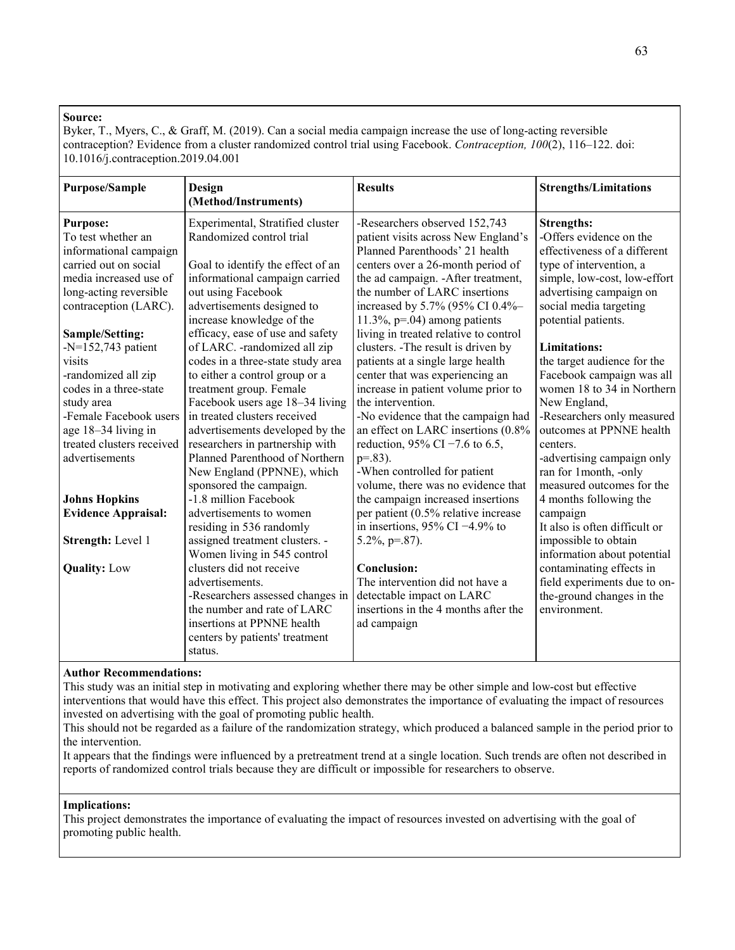Byker, T., Myers, C., & Graff, M. (2019). Can a social media campaign increase the use of long-acting reversible contraception? Evidence from a cluster randomized control trial using Facebook. *Contraception, 100*(2), 116–122. doi: 10.1016/j.contraception.2019.04.001

| <b>Purpose/Sample</b>                                                     | <b>Design</b><br>(Method/Instruments)                                                       | <b>Results</b>                                                                                               | <b>Strengths/Limitations</b>                                                       |
|---------------------------------------------------------------------------|---------------------------------------------------------------------------------------------|--------------------------------------------------------------------------------------------------------------|------------------------------------------------------------------------------------|
| <b>Purpose:</b><br>To test whether an<br>informational campaign           | Experimental, Stratified cluster<br>Randomized control trial                                | -Researchers observed 152,743<br>patient visits across New England's<br>Planned Parenthoods' 21 health       | <b>Strengths:</b><br>-Offers evidence on the<br>effectiveness of a different       |
| carried out on social<br>media increased use of<br>long-acting reversible | Goal to identify the effect of an<br>informational campaign carried<br>out using Facebook   | centers over a 26-month period of<br>the ad campaign. -After treatment,<br>the number of LARC insertions     | type of intervention, a<br>simple, low-cost, low-effort<br>advertising campaign on |
| contraception (LARC).<br>Sample/Setting:                                  | advertisements designed to<br>increase knowledge of the<br>efficacy, ease of use and safety | increased by 5.7% (95% CI 0.4%-<br>$11.3\%$ , p=.04) among patients<br>living in treated relative to control | social media targeting<br>potential patients.                                      |
| $-N=152,743$ patient                                                      | of LARC. -randomized all zip                                                                | clusters. -The result is driven by                                                                           | <b>Limitations:</b>                                                                |
| visits                                                                    | codes in a three-state study area                                                           | patients at a single large health                                                                            | the target audience for the                                                        |
| -randomized all zip                                                       | to either a control group or a                                                              | center that was experiencing an                                                                              | Facebook campaign was all                                                          |
| codes in a three-state                                                    | treatment group. Female                                                                     | increase in patient volume prior to                                                                          | women 18 to 34 in Northern                                                         |
| study area                                                                | Facebook users age 18–34 living                                                             | the intervention.                                                                                            | New England,                                                                       |
| -Female Facebook users                                                    | in treated clusters received                                                                | -No evidence that the campaign had                                                                           | -Researchers only measured                                                         |
| age 18-34 living in                                                       | advertisements developed by the                                                             | an effect on LARC insertions (0.8%                                                                           | outcomes at PPNNE health                                                           |
| treated clusters received                                                 | researchers in partnership with                                                             | reduction, 95% CI $-7.6$ to 6.5,                                                                             | centers.                                                                           |
| advertisements                                                            | Planned Parenthood of Northern                                                              | $p=.83$ ).                                                                                                   | -advertising campaign only                                                         |
|                                                                           | New England (PPNNE), which                                                                  | -When controlled for patient                                                                                 | ran for 1month, -only                                                              |
|                                                                           | sponsored the campaign.                                                                     | volume, there was no evidence that                                                                           | measured outcomes for the                                                          |
| <b>Johns Hopkins</b>                                                      | -1.8 million Facebook                                                                       | the campaign increased insertions                                                                            | 4 months following the                                                             |
| <b>Evidence Appraisal:</b>                                                | advertisements to women                                                                     | per patient (0.5% relative increase                                                                          | campaign                                                                           |
|                                                                           | residing in 536 randomly                                                                    | in insertions, 95% CI $-4.9%$ to                                                                             | It also is often difficult or                                                      |
| Strength: Level 1                                                         | assigned treatment clusters. -                                                              | $5.2\%, p=.87$ ).                                                                                            | impossible to obtain                                                               |
|                                                                           | Women living in 545 control                                                                 |                                                                                                              | information about potential                                                        |
| <b>Quality: Low</b>                                                       | clusters did not receive<br>advertisements.                                                 | <b>Conclusion:</b><br>The intervention did not have a                                                        | contaminating effects in                                                           |
|                                                                           |                                                                                             |                                                                                                              | field experiments due to on-                                                       |
|                                                                           | -Researchers assessed changes in<br>the number and rate of LARC                             | detectable impact on LARC<br>insertions in the 4 months after the                                            | the-ground changes in the<br>environment.                                          |
|                                                                           | insertions at PPNNE health                                                                  | ad campaign                                                                                                  |                                                                                    |
|                                                                           | centers by patients' treatment                                                              |                                                                                                              |                                                                                    |
|                                                                           | status.                                                                                     |                                                                                                              |                                                                                    |
|                                                                           |                                                                                             |                                                                                                              |                                                                                    |

## **Author Recommendations:**

This study was an initial step in motivating and exploring whether there may be other simple and low-cost but effective interventions that would have this effect. This project also demonstrates the importance of evaluating the impact of resources invested on advertising with the goal of promoting public health.

This should not be regarded as a failure of the randomization strategy, which produced a balanced sample in the period prior to the intervention.

It appears that the findings were influenced by a pretreatment trend at a single location. Such trends are often not described in reports of randomized control trials because they are difficult or impossible for researchers to observe.

## **Implications:**

This project demonstrates the importance of evaluating the impact of resources invested on advertising with the goal of promoting public health.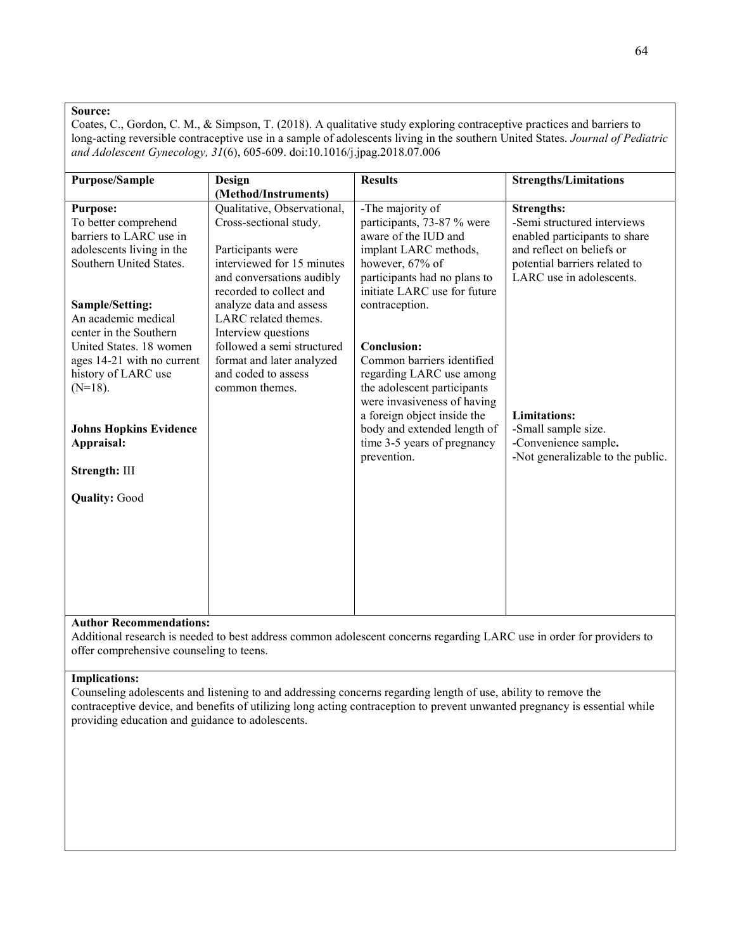Coates, C., Gordon, C. M., & Simpson, T. (2018). A qualitative study exploring contraceptive practices and barriers to long-acting reversible contraceptive use in a sample of adolescents living in the southern United States. *Journal of Pediatric and Adolescent Gynecology, 31*(6), 605-609. doi:10.1016/j.jpag.2018.07.006

| <b>Purpose/Sample</b>                             | Design                                           | <b>Results</b>                            | <b>Strengths/Limitations</b>      |
|---------------------------------------------------|--------------------------------------------------|-------------------------------------------|-----------------------------------|
|                                                   | (Method/Instruments)                             |                                           |                                   |
| <b>Purpose:</b>                                   | Qualitative, Observational,                      | -The majority of                          | <b>Strengths:</b>                 |
| To better comprehend                              | Cross-sectional study.                           | participants, 73-87 % were                | -Semi structured interviews       |
| barriers to LARC use in                           |                                                  | aware of the IUD and                      | enabled participants to share     |
| adolescents living in the                         | Participants were                                | implant LARC methods,                     | and reflect on beliefs or         |
| Southern United States.                           | interviewed for 15 minutes                       | however, 67% of                           | potential barriers related to     |
|                                                   | and conversations audibly                        | participants had no plans to              | LARC use in adolescents.          |
|                                                   | recorded to collect and                          | initiate LARC use for future              |                                   |
| Sample/Setting:                                   | analyze data and assess                          | contraception.                            |                                   |
| An academic medical                               | LARC related themes.                             |                                           |                                   |
| center in the Southern                            | Interview questions                              |                                           |                                   |
| United States. 18 women                           | followed a semi structured                       | Conclusion:<br>Common barriers identified |                                   |
| ages 14-21 with no current<br>history of LARC use | format and later analyzed<br>and coded to assess | regarding LARC use among                  |                                   |
| $(N=18)$ .                                        | common themes.                                   | the adolescent participants               |                                   |
|                                                   |                                                  | were invasiveness of having               |                                   |
|                                                   |                                                  | a foreign object inside the               | <b>Limitations:</b>               |
| <b>Johns Hopkins Evidence</b>                     |                                                  | body and extended length of               | -Small sample size.               |
| Appraisal:                                        |                                                  | time 3-5 years of pregnancy               | -Convenience sample.              |
|                                                   |                                                  | prevention.                               | -Not generalizable to the public. |
| Strength: III                                     |                                                  |                                           |                                   |
|                                                   |                                                  |                                           |                                   |
| <b>Quality: Good</b>                              |                                                  |                                           |                                   |
|                                                   |                                                  |                                           |                                   |
|                                                   |                                                  |                                           |                                   |
|                                                   |                                                  |                                           |                                   |
|                                                   |                                                  |                                           |                                   |
|                                                   |                                                  |                                           |                                   |
|                                                   |                                                  |                                           |                                   |
|                                                   |                                                  |                                           |                                   |
|                                                   |                                                  |                                           |                                   |

## **Author Recommendations:**

Additional research is needed to best address common adolescent concerns regarding LARC use in order for providers to offer comprehensive counseling to teens.

#### **Implications:**

Counseling adolescents and listening to and addressing concerns regarding length of use, ability to remove the contraceptive device, and benefits of utilizing long acting contraception to prevent unwanted pregnancy is essential while providing education and guidance to adolescents.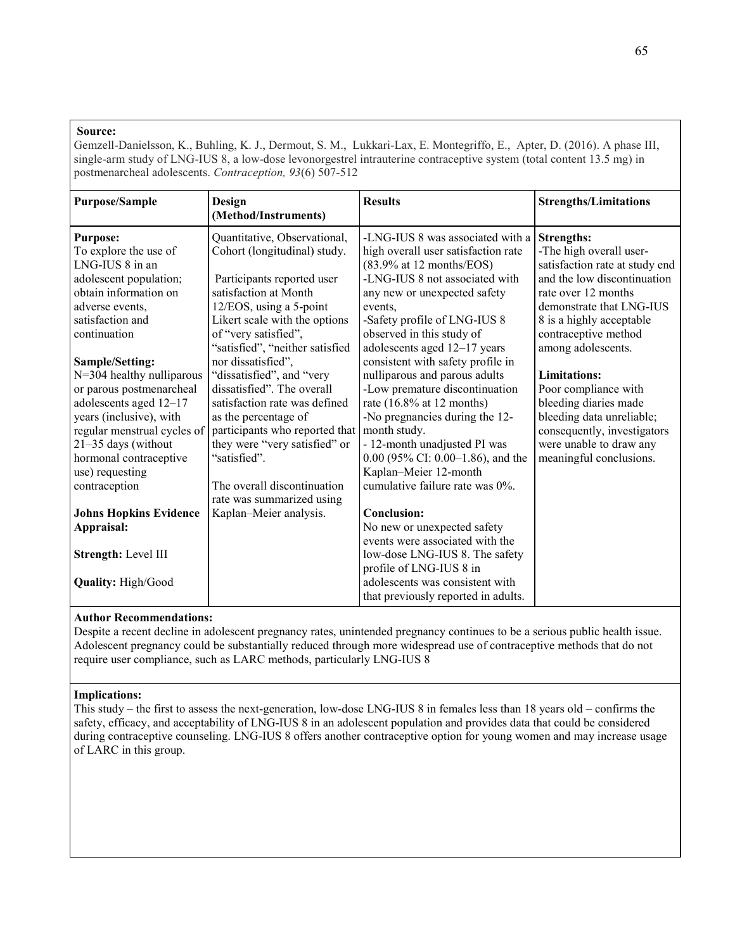Gemzell-Danielsson, K., Buhling, K. J., Dermout, S. M., Lukkari-Lax, E. Montegriffo, E., Apter, D. (2016). A phase III, single-arm study of LNG-IUS 8, a low-dose levonorgestrel intrauterine contraceptive system (total content 13.5 mg) in postmenarcheal adolescents. *Contraception, 93*(6) 507-512

| <b>Purpose/Sample</b>                                                                                                                                                                                                                             | Design<br>(Method/Instruments)                                                                                                                                                                                                                                                        | <b>Results</b>                                                                                                                                                                                                                                                                                                            | <b>Strengths/Limitations</b>                                                                                                                                                                 |
|---------------------------------------------------------------------------------------------------------------------------------------------------------------------------------------------------------------------------------------------------|---------------------------------------------------------------------------------------------------------------------------------------------------------------------------------------------------------------------------------------------------------------------------------------|---------------------------------------------------------------------------------------------------------------------------------------------------------------------------------------------------------------------------------------------------------------------------------------------------------------------------|----------------------------------------------------------------------------------------------------------------------------------------------------------------------------------------------|
| <b>Purpose:</b><br>To explore the use of<br>LNG-IUS 8 in an<br>adolescent population;<br>obtain information on<br>adverse events,<br>satisfaction and                                                                                             | Quantitative, Observational,<br>Cohort (longitudinal) study.<br>Participants reported user<br>satisfaction at Month<br>12/EOS, using a 5-point<br>Likert scale with the options                                                                                                       | -LNG-IUS 8 was associated with a<br>high overall user satisfaction rate<br>$(83.9\%$ at 12 months/EOS)<br>-LNG-IUS 8 not associated with<br>any new or unexpected safety<br>events,<br>-Safety profile of LNG-IUS 8                                                                                                       | <b>Strengths:</b><br>-The high overall user-<br>satisfaction rate at study end<br>and the low discontinuation<br>rate over 12 months<br>demonstrate that LNG-IUS<br>8 is a highly acceptable |
| continuation                                                                                                                                                                                                                                      | of "very satisfied",<br>"satisfied", "neither satisfied                                                                                                                                                                                                                               | observed in this study of<br>adolescents aged 12-17 years                                                                                                                                                                                                                                                                 | contraceptive method<br>among adolescents.                                                                                                                                                   |
| Sample/Setting:<br>N=304 healthy nulliparous<br>or parous postmenarcheal<br>adolescents aged 12-17<br>years (inclusive), with<br>regular menstrual cycles of<br>21-35 days (without<br>hormonal contraceptive<br>use) requesting<br>contraception | nor dissatisfied",<br>"dissatisfied", and "very<br>dissatisfied". The overall<br>satisfaction rate was defined<br>as the percentage of<br>participants who reported that<br>they were "very satisfied" or<br>"satisfied".<br>The overall discontinuation<br>rate was summarized using | consistent with safety profile in<br>nulliparous and parous adults<br>-Low premature discontinuation<br>rate $(16.8\%$ at 12 months)<br>-No pregnancies during the 12-<br>month study.<br>- 12-month unadjusted PI was<br>$0.00$ (95% CI: 0.00–1.86), and the<br>Kaplan-Meier 12-month<br>cumulative failure rate was 0%. | Limitations:<br>Poor compliance with<br>bleeding diaries made<br>bleeding data unreliable;<br>consequently, investigators<br>were unable to draw any<br>meaningful conclusions.              |
| <b>Johns Hopkins Evidence</b><br>Appraisal:<br>Strength: Level III<br><b>Quality: High/Good</b>                                                                                                                                                   | Kaplan-Meier analysis.                                                                                                                                                                                                                                                                | Conclusion:<br>No new or unexpected safety<br>events were associated with the<br>low-dose LNG-IUS 8. The safety<br>profile of LNG-IUS 8 in<br>adolescents was consistent with<br>that previously reported in adults.                                                                                                      |                                                                                                                                                                                              |

#### **Author Recommendations:**

Despite a recent decline in adolescent pregnancy rates, unintended pregnancy continues to be a serious public health issue. Adolescent pregnancy could be substantially reduced through more widespread use of contraceptive methods that do not require user compliance, such as LARC methods, particularly LNG-IUS 8

#### **Implications:**

This study – the first to assess the next-generation, low-dose LNG-IUS 8 in females less than 18 years old – confirms the safety, efficacy, and acceptability of LNG-IUS 8 in an adolescent population and provides data that could be considered during contraceptive counseling. LNG-IUS 8 offers another contraceptive option for young women and may increase usage of LARC in this group.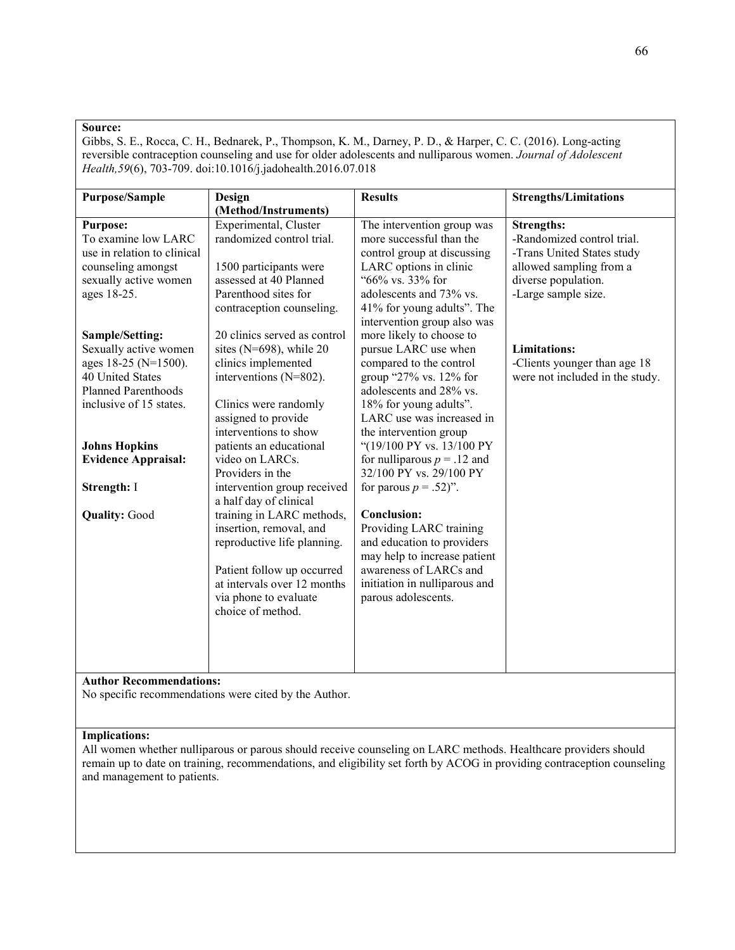Gibbs, S. E., Rocca, C. H., Bednarek, P., Thompson, K. M., Darney, P. D., & Harper, C. C. (2016). Long-acting reversible contraception counseling and use for older adolescents and nulliparous women. *Journal of Adolescent Health,59*(6), 703-709. doi:10.1016/j.jadohealth.2016.07.018

| Purpose/Sample              | Design                       | <b>Results</b>                | <b>Strengths/Limitations</b>    |
|-----------------------------|------------------------------|-------------------------------|---------------------------------|
|                             | (Method/Instruments)         |                               |                                 |
| <b>Purpose:</b>             | Experimental, Cluster        | The intervention group was    | <b>Strengths:</b>               |
| To examine low LARC         | randomized control trial.    | more successful than the      | -Randomized control trial.      |
| use in relation to clinical |                              | control group at discussing   | -Trans United States study      |
| counseling amongst          | 1500 participants were       | LARC options in clinic        | allowed sampling from a         |
| sexually active women       | assessed at 40 Planned       | "66% vs. 33% for              | diverse population.             |
| ages 18-25.                 | Parenthood sites for         | adolescents and 73% vs.       | -Large sample size.             |
|                             | contraception counseling.    | 41% for young adults". The    |                                 |
|                             |                              | intervention group also was   |                                 |
| Sample/Setting:             | 20 clinics served as control | more likely to choose to      |                                 |
| Sexually active women       | sites ( $N=698$ ), while 20  | pursue LARC use when          | <b>Limitations:</b>             |
| ages 18-25 (N=1500).        | clinics implemented          | compared to the control       | -Clients younger than age 18    |
| 40 United States            | interventions (N=802).       | group "27% vs. 12% for        | were not included in the study. |
| <b>Planned Parenthoods</b>  |                              | adolescents and 28% vs.       |                                 |
| inclusive of 15 states.     | Clinics were randomly        | 18% for young adults".        |                                 |
|                             | assigned to provide          | LARC use was increased in     |                                 |
|                             | interventions to show        | the intervention group        |                                 |
| <b>Johns Hopkins</b>        | patients an educational      | "(19/100 PY vs. 13/100 PY     |                                 |
| <b>Evidence Appraisal:</b>  | video on LARCs.              | for nulliparous $p = .12$ and |                                 |
|                             | Providers in the             | 32/100 PY vs. 29/100 PY       |                                 |
| Strength: I                 | intervention group received  | for parous $p = .52$ )".      |                                 |
|                             | a half day of clinical       |                               |                                 |
| <b>Quality: Good</b>        | training in LARC methods,    | <b>Conclusion:</b>            |                                 |
|                             | insertion, removal, and      | Providing LARC training       |                                 |
|                             | reproductive life planning.  | and education to providers    |                                 |
|                             |                              | may help to increase patient  |                                 |
|                             | Patient follow up occurred   | awareness of LARCs and        |                                 |
|                             | at intervals over 12 months  | initiation in nulliparous and |                                 |
|                             | via phone to evaluate        | parous adolescents.           |                                 |
|                             | choice of method.            |                               |                                 |
|                             |                              |                               |                                 |
|                             |                              |                               |                                 |
|                             |                              |                               |                                 |
|                             |                              |                               |                                 |

## **Author Recommendations:**

No specific recommendations were cited by the Author.

## **Implications:**

All women whether nulliparous or parous should receive counseling on LARC methods. Healthcare providers should remain up to date on training, recommendations, and eligibility set forth by ACOG in providing contraception counseling and management to patients.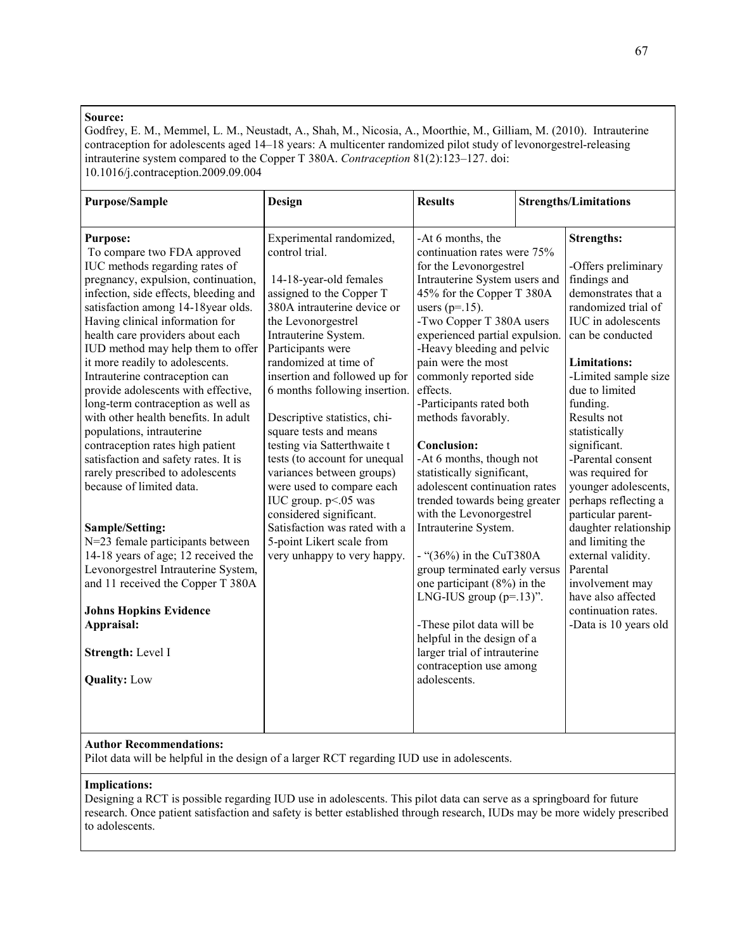Godfrey, E. M., Memmel, L. M., Neustadt, A., Shah, M., Nicosia, A., Moorthie, M., Gilliam, M. (2010). Intrauterine contraception for adolescents aged 14–18 years: A multicenter randomized pilot study of levonorgestrel-releasing intrauterine system compared to the Copper T 380A. *Contraception* 81(2):123–127. doi: 10.1016/j.contraception.2009.09.004

| Purpose/Sample                                                                                                                                                                                                                                                                                                                                                                                                                                                                                                                                                                                                                                                                                                                                                                                                                                                                                                                                             | Design                                                                                                                                                                                                                                                                                                                                                                                                                                                                                                                                                                                                                            | <b>Results</b>                                                                                                                                                                                                                                                                                                                                                                                                                                                                                                                                                                                                                                                                                                                                                                                                                                 | <b>Strengths/Limitations</b>                                                                                                                                                                                                                                                                                                                                                                                                                                                                                                                                                |
|------------------------------------------------------------------------------------------------------------------------------------------------------------------------------------------------------------------------------------------------------------------------------------------------------------------------------------------------------------------------------------------------------------------------------------------------------------------------------------------------------------------------------------------------------------------------------------------------------------------------------------------------------------------------------------------------------------------------------------------------------------------------------------------------------------------------------------------------------------------------------------------------------------------------------------------------------------|-----------------------------------------------------------------------------------------------------------------------------------------------------------------------------------------------------------------------------------------------------------------------------------------------------------------------------------------------------------------------------------------------------------------------------------------------------------------------------------------------------------------------------------------------------------------------------------------------------------------------------------|------------------------------------------------------------------------------------------------------------------------------------------------------------------------------------------------------------------------------------------------------------------------------------------------------------------------------------------------------------------------------------------------------------------------------------------------------------------------------------------------------------------------------------------------------------------------------------------------------------------------------------------------------------------------------------------------------------------------------------------------------------------------------------------------------------------------------------------------|-----------------------------------------------------------------------------------------------------------------------------------------------------------------------------------------------------------------------------------------------------------------------------------------------------------------------------------------------------------------------------------------------------------------------------------------------------------------------------------------------------------------------------------------------------------------------------|
| <b>Purpose:</b><br>To compare two FDA approved<br>IUC methods regarding rates of<br>pregnancy, expulsion, continuation,<br>infection, side effects, bleeding and<br>satisfaction among 14-18year olds.<br>Having clinical information for<br>health care providers about each<br>IUD method may help them to offer<br>it more readily to adolescents.<br>Intrauterine contraception can<br>provide adolescents with effective,<br>long-term contraception as well as<br>with other health benefits. In adult<br>populations, intrauterine<br>contraception rates high patient<br>satisfaction and safety rates. It is<br>rarely prescribed to adolescents<br>because of limited data.<br>Sample/Setting:<br>N=23 female participants between<br>14-18 years of age; 12 received the<br>Levonorgestrel Intrauterine System,<br>and 11 received the Copper T 380A<br><b>Johns Hopkins Evidence</b><br>Appraisal:<br>Strength: Level I<br><b>Quality:</b> Low | Experimental randomized,<br>control trial.<br>14-18-year-old females<br>assigned to the Copper T<br>380A intrauterine device or<br>the Levonorgestrel<br>Intrauterine System.<br>Participants were<br>randomized at time of<br>insertion and followed up for<br>6 months following insertion.<br>Descriptive statistics, chi-<br>square tests and means<br>testing via Satterthwaite t<br>tests (to account for unequal<br>variances between groups)<br>were used to compare each<br>IUC group. p<.05 was<br>considered significant.<br>Satisfaction was rated with a<br>5-point Likert scale from<br>very unhappy to very happy. | -At 6 months, the<br>continuation rates were 75%<br>for the Levonorgestrel<br>Intrauterine System users and<br>45% for the Copper T 380A<br>users $(p=.15)$ .<br>-Two Copper T 380A users<br>experienced partial expulsion.<br>-Heavy bleeding and pelvic<br>pain were the most<br>commonly reported side<br>effects.<br>-Participants rated both<br>methods favorably.<br><b>Conclusion:</b><br>-At 6 months, though not<br>statistically significant,<br>adolescent continuation rates<br>trended towards being greater<br>with the Levonorgestrel<br>Intrauterine System.<br>- " $(36\%)$ in the CuT380A<br>group terminated early versus<br>one participant (8%) in the<br>LNG-IUS group $(p=13)$ ".<br>-These pilot data will be<br>helpful in the design of a<br>larger trial of intrauterine<br>contraception use among<br>adolescents. | <b>Strengths:</b><br>-Offers preliminary<br>findings and<br>demonstrates that a<br>randomized trial of<br><b>IUC</b> in adolescents<br>can be conducted<br><b>Limitations:</b><br>-Limited sample size<br>due to limited<br>funding.<br>Results not<br>statistically<br>significant.<br>-Parental consent<br>was required for<br>younger adolescents,<br>perhaps reflecting a<br>particular parent-<br>daughter relationship<br>and limiting the<br>external validity.<br>Parental<br>involvement may<br>have also affected<br>continuation rates.<br>-Data is 10 years old |
| <b>Author Recommendations:</b>                                                                                                                                                                                                                                                                                                                                                                                                                                                                                                                                                                                                                                                                                                                                                                                                                                                                                                                             |                                                                                                                                                                                                                                                                                                                                                                                                                                                                                                                                                                                                                                   |                                                                                                                                                                                                                                                                                                                                                                                                                                                                                                                                                                                                                                                                                                                                                                                                                                                |                                                                                                                                                                                                                                                                                                                                                                                                                                                                                                                                                                             |

## Pilot data will be helpful in the design of a larger RCT regarding IUD use in adolescents.

#### **Implications:**

Designing a RCT is possible regarding IUD use in adolescents. This pilot data can serve as a springboard for future research. Once patient satisfaction and safety is better established through research, IUDs may be more widely prescribed to adolescents.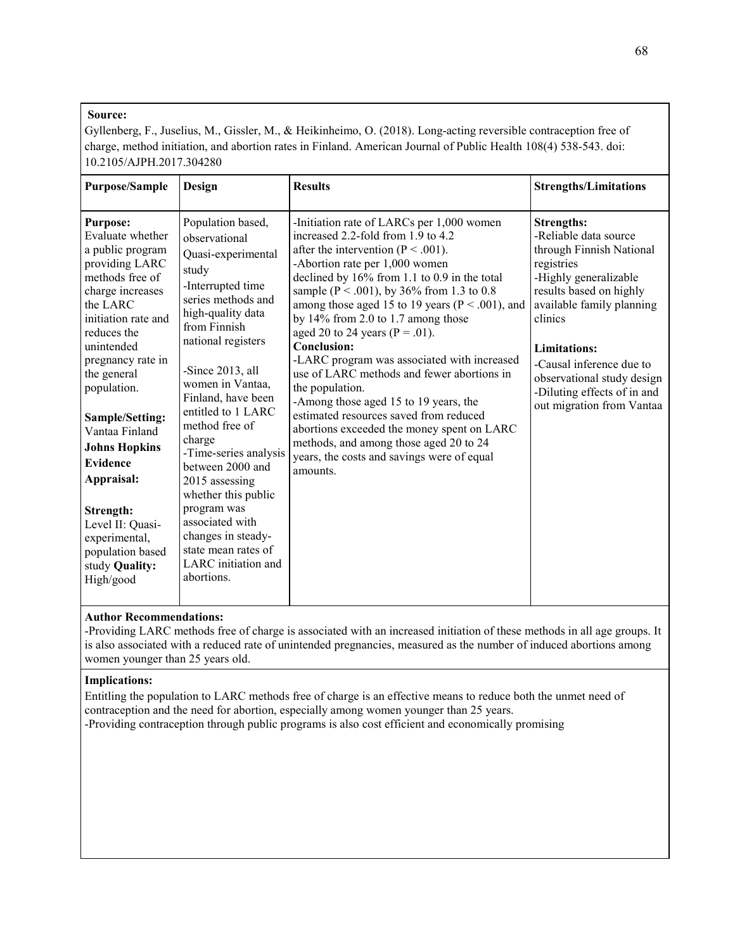Gyllenberg, F., Juselius, M., Gissler, M., & Heikinheimo, O. (2018). Long-acting reversible contraception free of charge, method initiation, and abortion rates in Finland. American Journal of Public Health 108(4) 538-543. doi: 10.2105/AJPH.2017.304280

| <b>Purpose/Sample</b>                                                                                                                                                                                                                                                                                                                                                                                                                  | Design                                                                                                                                                                                                                                                                                                                                                                                                                                                                                            | <b>Results</b>                                                                                                                                                                                                                                                                                                                                                                                                                                                                                                                                                                                                                                                                                                                                                         | <b>Strengths/Limitations</b>                                                                                                                                                                                                                                                                                                  |
|----------------------------------------------------------------------------------------------------------------------------------------------------------------------------------------------------------------------------------------------------------------------------------------------------------------------------------------------------------------------------------------------------------------------------------------|---------------------------------------------------------------------------------------------------------------------------------------------------------------------------------------------------------------------------------------------------------------------------------------------------------------------------------------------------------------------------------------------------------------------------------------------------------------------------------------------------|------------------------------------------------------------------------------------------------------------------------------------------------------------------------------------------------------------------------------------------------------------------------------------------------------------------------------------------------------------------------------------------------------------------------------------------------------------------------------------------------------------------------------------------------------------------------------------------------------------------------------------------------------------------------------------------------------------------------------------------------------------------------|-------------------------------------------------------------------------------------------------------------------------------------------------------------------------------------------------------------------------------------------------------------------------------------------------------------------------------|
| <b>Purpose:</b><br>Evaluate whether<br>a public program<br>providing LARC<br>methods free of<br>charge increases<br>the LARC<br>initiation rate and<br>reduces the<br>unintended<br>pregnancy rate in<br>the general<br>population.<br>Sample/Setting:<br>Vantaa Finland<br><b>Johns Hopkins</b><br><b>Evidence</b><br>Appraisal:<br>Strength:<br>Level II: Quasi-<br>experimental,<br>population based<br>study Quality:<br>High/good | Population based,<br>observational<br>Quasi-experimental<br>study<br>-Interrupted time<br>series methods and<br>high-quality data<br>from Finnish<br>national registers<br>-Since 2013, all<br>women in Vantaa,<br>Finland, have been<br>entitled to 1 LARC<br>method free of<br>charge<br>-Time-series analysis<br>between 2000 and<br>2015 assessing<br>whether this public<br>program was<br>associated with<br>changes in steady-<br>state mean rates of<br>LARC initiation and<br>abortions. | -Initiation rate of LARCs per 1,000 women<br>increased 2.2-fold from 1.9 to 4.2<br>after the intervention ( $P < .001$ ).<br>-Abortion rate per 1,000 women<br>declined by 16% from 1.1 to 0.9 in the total<br>sample ( $P < .001$ ), by 36% from 1.3 to 0.8<br>among those aged 15 to 19 years ( $P < .001$ ), and<br>by $14\%$ from 2.0 to 1.7 among those<br>aged 20 to 24 years ( $P = .01$ ).<br>Conclusion:<br>-LARC program was associated with increased<br>use of LARC methods and fewer abortions in<br>the population.<br>-Among those aged 15 to 19 years, the<br>estimated resources saved from reduced<br>abortions exceeded the money spent on LARC<br>methods, and among those aged 20 to 24<br>years, the costs and savings were of equal<br>amounts. | <b>Strengths:</b><br>-Reliable data source<br>through Finnish National<br>registries<br>-Highly generalizable<br>results based on highly<br>available family planning<br>clinics<br><b>Limitations:</b><br>-Causal inference due to<br>observational study design<br>-Diluting effects of in and<br>out migration from Vantaa |
|                                                                                                                                                                                                                                                                                                                                                                                                                                        |                                                                                                                                                                                                                                                                                                                                                                                                                                                                                                   |                                                                                                                                                                                                                                                                                                                                                                                                                                                                                                                                                                                                                                                                                                                                                                        |                                                                                                                                                                                                                                                                                                                               |

# **Author Recommendations:**

-Providing LARC methods free of charge is associated with an increased initiation of these methods in all age groups. It is also associated with a reduced rate of unintended pregnancies, measured as the number of induced abortions among women younger than 25 years old.

#### **Implications:**

Entitling the population to LARC methods free of charge is an effective means to reduce both the unmet need of contraception and the need for abortion, especially among women younger than 25 years. -Providing contraception through public programs is also cost efficient and economically promising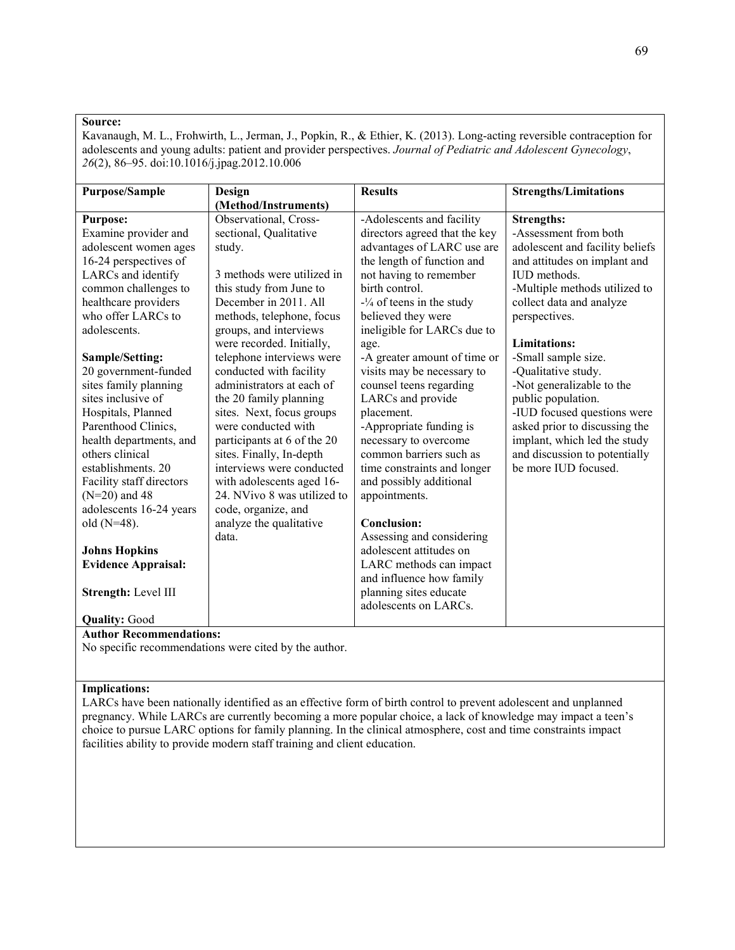Kavanaugh, M. L., Frohwirth, L., Jerman, J., Popkin, R., & Ethier, K. (2013). Long-acting reversible contraception for adolescents and young adults: patient and provider perspectives. *Journal of Pediatric and Adolescent Gynecology*, *26*(2), 86–95. doi:10.1016/j.jpag.2012.10.006

| <b>Purpose/Sample</b>      | Design                      | <b>Results</b>                | <b>Strengths/Limitations</b>    |
|----------------------------|-----------------------------|-------------------------------|---------------------------------|
|                            | (Method/Instruments)        |                               |                                 |
| <b>Purpose:</b>            | Observational, Cross-       | -Adolescents and facility     | <b>Strengths:</b>               |
| Examine provider and       | sectional, Qualitative      | directors agreed that the key | -Assessment from both           |
| adolescent women ages      | study.                      | advantages of LARC use are    | adolescent and facility beliefs |
| 16-24 perspectives of      |                             | the length of function and    | and attitudes on implant and    |
| LARCs and identify         | 3 methods were utilized in  | not having to remember        | IUD methods.                    |
| common challenges to       | this study from June to     | birth control.                | -Multiple methods utilized to   |
| healthcare providers       | December in 2011. All       | $-1/4$ of teens in the study  | collect data and analyze        |
| who offer LARCs to         | methods, telephone, focus   | believed they were            | perspectives.                   |
| adolescents.               | groups, and interviews      | ineligible for LARCs due to   |                                 |
|                            | were recorded. Initially,   | age.                          | <b>Limitations:</b>             |
| Sample/Setting:            | telephone interviews were   | -A greater amount of time or  | -Small sample size.             |
| 20 government-funded       | conducted with facility     | visits may be necessary to    | -Qualitative study.             |
| sites family planning      | administrators at each of   | counsel teens regarding       | -Not generalizable to the       |
| sites inclusive of         | the 20 family planning      | LARCs and provide             | public population.              |
| Hospitals, Planned         | sites. Next, focus groups   | placement.                    | -IUD focused questions were     |
| Parenthood Clinics,        | were conducted with         | -Appropriate funding is       | asked prior to discussing the   |
| health departments, and    | participants at 6 of the 20 | necessary to overcome         | implant, which led the study    |
| others clinical            | sites. Finally, In-depth    | common barriers such as       | and discussion to potentially   |
| establishments, 20         | interviews were conducted   | time constraints and longer   | be more IUD focused.            |
| Facility staff directors   | with adolescents aged 16-   | and possibly additional       |                                 |
| $(N=20)$ and 48            | 24. NVivo 8 was utilized to | appointments.                 |                                 |
| adolescents 16-24 years    | code, organize, and         |                               |                                 |
| old $(N=48)$ .             | analyze the qualitative     | Conclusion:                   |                                 |
|                            | data.                       | Assessing and considering     |                                 |
| <b>Johns Hopkins</b>       |                             | adolescent attitudes on       |                                 |
| <b>Evidence Appraisal:</b> |                             | LARC methods can impact       |                                 |
|                            |                             | and influence how family      |                                 |
| Strength: Level III        |                             | planning sites educate        |                                 |
|                            |                             | adolescents on LARCs.         |                                 |
| <b>Quality: Good</b>       |                             |                               |                                 |

## **Author Recommendations:**

No specific recommendations were cited by the author.

#### **Implications:**

LARCs have been nationally identified as an effective form of birth control to prevent adolescent and unplanned pregnancy. While LARCs are currently becoming a more popular choice, a lack of knowledge may impact a teen's choice to pursue LARC options for family planning. In the clinical atmosphere, cost and time constraints impact facilities ability to provide modern staff training and client education.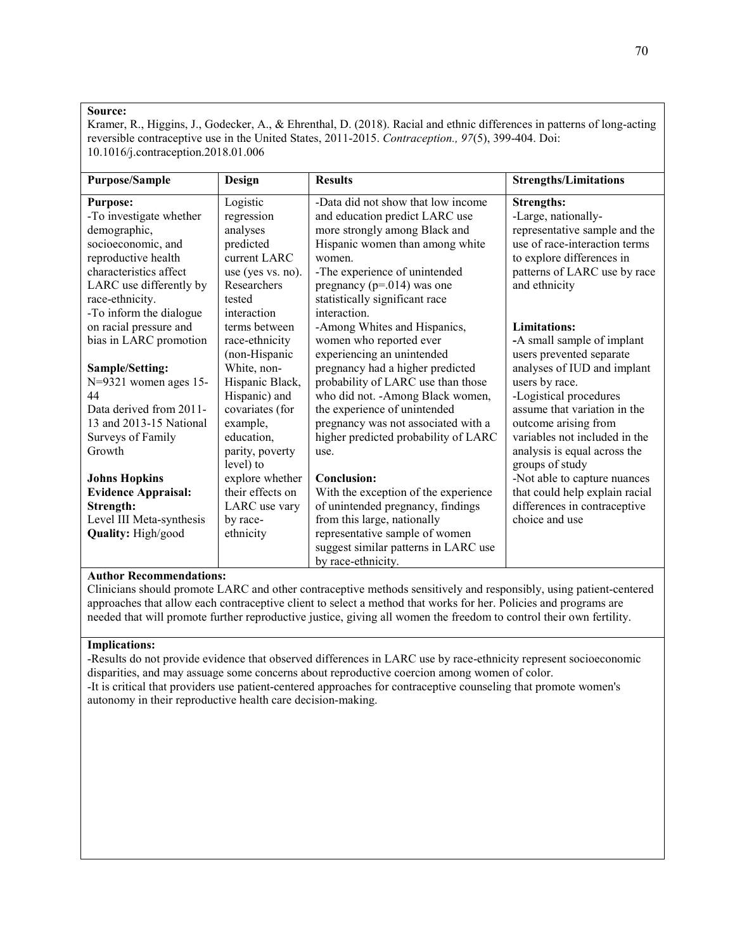Kramer, R., Higgins, J., Godecker, A., & Ehrenthal, D. (2018). Racial and ethnic differences in patterns of long-acting reversible contraceptive use in the United States, 2011-2015. *Contraception., 97*(5), 399-404. Doi: 10.1016/j.contraception.2018.01.006

| <b>Purpose/Sample</b>      | Design            | <b>Results</b>                       | <b>Strengths/Limitations</b>   |
|----------------------------|-------------------|--------------------------------------|--------------------------------|
| <b>Purpose:</b>            | Logistic          | -Data did not show that low income   | <b>Strengths:</b>              |
| -To investigate whether    | regression        | and education predict LARC use       | -Large, nationally-            |
| demographic,               | analyses          | more strongly among Black and        | representative sample and the  |
| socioeconomic, and         | predicted         | Hispanic women than among white      | use of race-interaction terms  |
| reproductive health        | current LARC      | women.                               | to explore differences in      |
| characteristics affect     | use (yes vs. no). | -The experience of unintended        | patterns of LARC use by race   |
| LARC use differently by    | Researchers       | pregnancy ( $p=.014$ ) was one       | and ethnicity                  |
| race-ethnicity.            | tested            | statistically significant race       |                                |
| -To inform the dialogue    | interaction       | interaction.                         |                                |
| on racial pressure and     | terms between     | -Among Whites and Hispanics,         | Limitations:                   |
| bias in LARC promotion     | race-ethnicity    | women who reported ever              | -A small sample of implant     |
|                            | (non-Hispanic     | experiencing an unintended           | users prevented separate       |
| Sample/Setting:            | White, non-       | pregnancy had a higher predicted     | analyses of IUD and implant    |
| $N=9321$ women ages 15-    | Hispanic Black,   | probability of LARC use than those   | users by race.                 |
| 44                         | Hispanic) and     | who did not. - Among Black women,    | -Logistical procedures         |
| Data derived from 2011-    | covariates (for   | the experience of unintended         | assume that variation in the   |
| 13 and 2013-15 National    | example,          | pregnancy was not associated with a  | outcome arising from           |
| Surveys of Family          | education,        | higher predicted probability of LARC | variables not included in the  |
| Growth                     | parity, poverty   | use.                                 | analysis is equal across the   |
|                            | level) to         |                                      | groups of study                |
| <b>Johns Hopkins</b>       | explore whether   | Conclusion:                          | -Not able to capture nuances   |
| <b>Evidence Appraisal:</b> | their effects on  | With the exception of the experience | that could help explain racial |
| Strength:                  | LARC use vary     | of unintended pregnancy, findings    | differences in contraceptive   |
| Level III Meta-synthesis   | by race-          | from this large, nationally          | choice and use                 |
| Quality: High/good         | ethnicity         | representative sample of women       |                                |
|                            |                   | suggest similar patterns in LARC use |                                |
|                            |                   | by race-ethnicity.                   |                                |

# **Author Recommendations:**

Clinicians should promote LARC and other contraceptive methods sensitively and responsibly, using patient-centered approaches that allow each contraceptive client to select a method that works for her. Policies and programs are needed that will promote further reproductive justice, giving all women the freedom to control their own fertility.

## **Implications:**

-Results do not provide evidence that observed differences in LARC use by race-ethnicity represent socioeconomic disparities, and may assuage some concerns about reproductive coercion among women of color. -It is critical that providers use patient-centered approaches for contraceptive counseling that promote women's autonomy in their reproductive health care decision-making.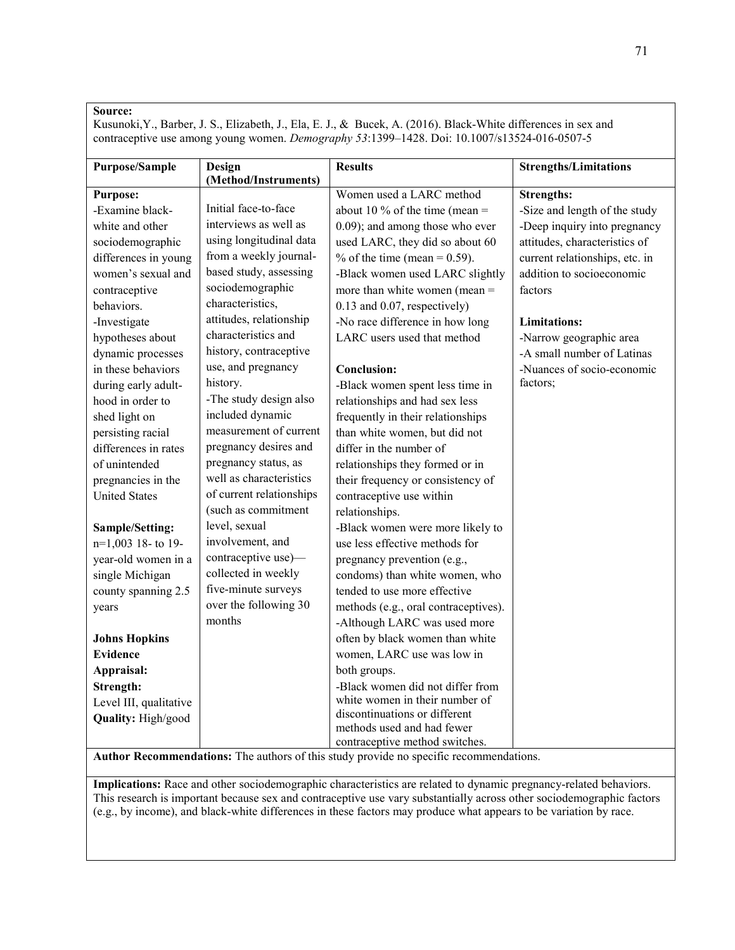Kusunoki,Y., Barber, J. S., Elizabeth, J., Ela, E. J., & Bucek, A. (2016). Black-White differences in sex and contraceptive use among young women. *Demography 53*:1399–1428. Doi: 10.1007/s13524-016-0507-5

| <b>Purpose/Sample</b>  | Design                   | <b>Results</b>                       | <b>Strengths/Limitations</b>   |
|------------------------|--------------------------|--------------------------------------|--------------------------------|
|                        | (Method/Instruments)     |                                      |                                |
| <b>Purpose:</b>        |                          | Women used a LARC method             | <b>Strengths:</b>              |
| -Examine black-        | Initial face-to-face     | about 10 % of the time (mean $=$     | -Size and length of the study  |
| white and other        | interviews as well as    | 0.09); and among those who ever      | -Deep inquiry into pregnancy   |
| sociodemographic       | using longitudinal data  | used LARC, they did so about 60      | attitudes, characteristics of  |
| differences in young   | from a weekly journal-   | $\%$ of the time (mean = 0.59).      | current relationships, etc. in |
| women's sexual and     | based study, assessing   | -Black women used LARC slightly      | addition to socioeconomic      |
| contraceptive          | sociodemographic         | more than white women (mean $=$      | factors                        |
| behaviors.             | characteristics,         | 0.13 and 0.07, respectively)         |                                |
| -Investigate           | attitudes, relationship  | -No race difference in how long      | <b>Limitations:</b>            |
| hypotheses about       | characteristics and      | LARC users used that method          | -Narrow geographic area        |
| dynamic processes      | history, contraceptive   |                                      | -A small number of Latinas     |
| in these behaviors     | use, and pregnancy       | <b>Conclusion:</b>                   | -Nuances of socio-economic     |
| during early adult-    | history.                 | -Black women spent less time in      | factors;                       |
| hood in order to       | -The study design also   | relationships and had sex less       |                                |
| shed light on          | included dynamic         | frequently in their relationships    |                                |
| persisting racial      | measurement of current   | than white women, but did not        |                                |
| differences in rates   | pregnancy desires and    | differ in the number of              |                                |
| of unintended          | pregnancy status, as     | relationships they formed or in      |                                |
| pregnancies in the     | well as characteristics  | their frequency or consistency of    |                                |
| <b>United States</b>   | of current relationships | contraceptive use within             |                                |
|                        | (such as commitment      | relationships.                       |                                |
| Sample/Setting:        | level, sexual            | -Black women were more likely to     |                                |
| n=1,003 18-to 19-      | involvement, and         | use less effective methods for       |                                |
| year-old women in a    | contraceptive use)-      | pregnancy prevention (e.g.,          |                                |
| single Michigan        | collected in weekly      | condoms) than white women, who       |                                |
| county spanning 2.5    | five-minute surveys      | tended to use more effective         |                                |
| years                  | over the following 30    | methods (e.g., oral contraceptives). |                                |
|                        | months                   | -Although LARC was used more         |                                |
| <b>Johns Hopkins</b>   |                          | often by black women than white      |                                |
| <b>Evidence</b>        |                          | women, LARC use was low in           |                                |
| Appraisal:             |                          | both groups.                         |                                |
| Strength:              |                          | -Black women did not differ from     |                                |
| Level III, qualitative |                          | white women in their number of       |                                |
| Quality: High/good     |                          | discontinuations or different        |                                |
|                        |                          | methods used and had fewer           |                                |
|                        |                          | contraceptive method switches.       |                                |

**Author Recommendations:** The authors of this study provide no specific recommendations.

**Implications:** Race and other sociodemographic characteristics are related to dynamic pregnancy-related behaviors. This research is important because sex and contraceptive use vary substantially across other sociodemographic factors (e.g., by income), and black-white differences in these factors may produce what appears to be variation by race.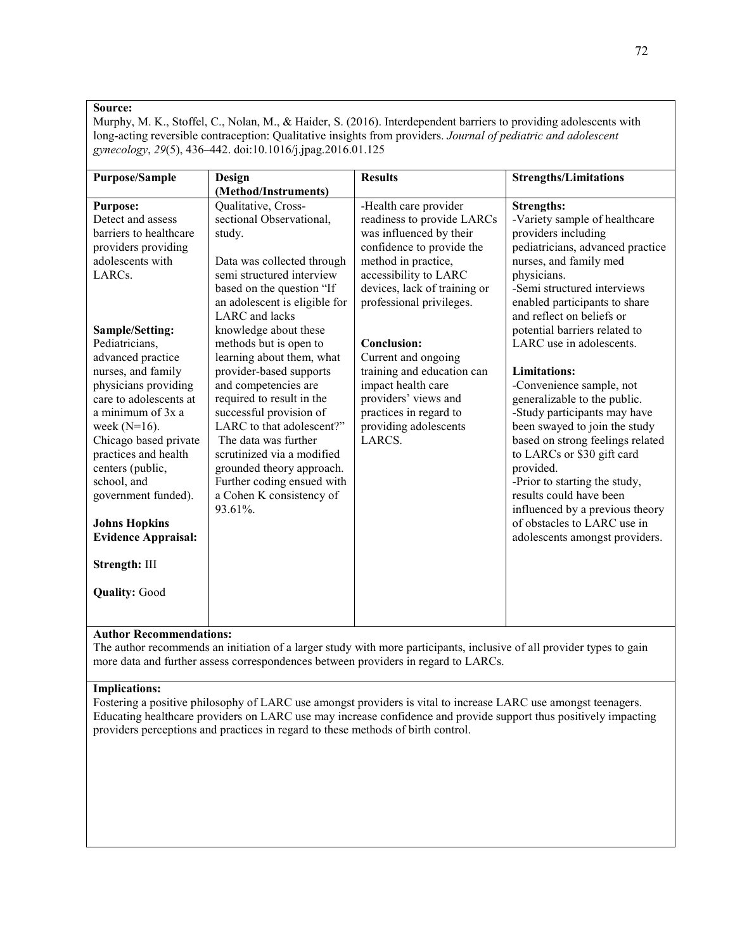Murphy, M. K., Stoffel, C., Nolan, M., & Haider, S. (2016). Interdependent barriers to providing adolescents with long-acting reversible contraception: Qualitative insights from providers. *Journal of pediatric and adolescent gynecology*, *29*(5), 436–442. doi:10.1016/j.jpag.2016.01.125

| <b>Purpose/Sample</b>      | Design                        | <b>Results</b>               | <b>Strengths/Limitations</b>     |
|----------------------------|-------------------------------|------------------------------|----------------------------------|
|                            | (Method/Instruments)          |                              |                                  |
| <b>Purpose:</b>            | Qualitative, Cross-           | -Health care provider        | <b>Strengths:</b>                |
| Detect and assess          | sectional Observational,      | readiness to provide LARCs   | -Variety sample of healthcare    |
| barriers to healthcare     | study.                        | was influenced by their      | providers including              |
| providers providing        |                               | confidence to provide the    | pediatricians, advanced practice |
| adolescents with           | Data was collected through    | method in practice,          | nurses, and family med           |
| LARC <sub>s</sub> .        | semi structured interview     | accessibility to LARC        | physicians.                      |
|                            | based on the question "If     | devices, lack of training or | -Semi structured interviews      |
|                            | an adolescent is eligible for | professional privileges.     | enabled participants to share    |
|                            | LARC and lacks                |                              | and reflect on beliefs or        |
| Sample/Setting:            | knowledge about these         |                              | potential barriers related to    |
| Pediatricians,             | methods but is open to        | Conclusion:                  | LARC use in adolescents.         |
| advanced practice          | learning about them, what     | Current and ongoing          |                                  |
| nurses, and family         | provider-based supports       | training and education can   | Limitations:                     |
| physicians providing       | and competencies are          | impact health care           | -Convenience sample, not         |
| care to adolescents at     | required to result in the     | providers' views and         | generalizable to the public.     |
| a minimum of 3x a          | successful provision of       | practices in regard to       | -Study participants may have     |
| week $(N=16)$ .            | LARC to that adolescent?"     | providing adolescents        | been swayed to join the study    |
| Chicago based private      | The data was further          | LARCS.                       | based on strong feelings related |
| practices and health       | scrutinized via a modified    |                              | to LARCs or \$30 gift card       |
| centers (public,           | grounded theory approach.     |                              | provided.                        |
| school, and                | Further coding ensued with    |                              | -Prior to starting the study,    |
| government funded).        | a Cohen K consistency of      |                              | results could have been          |
|                            | 93.61%.                       |                              | influenced by a previous theory  |
| <b>Johns Hopkins</b>       |                               |                              | of obstacles to LARC use in      |
| <b>Evidence Appraisal:</b> |                               |                              | adolescents amongst providers.   |
|                            |                               |                              |                                  |
| Strength: III              |                               |                              |                                  |
|                            |                               |                              |                                  |
| <b>Quality: Good</b>       |                               |                              |                                  |
|                            |                               |                              |                                  |
|                            |                               |                              |                                  |

# **Author Recommendations:**

The author recommends an initiation of a larger study with more participants, inclusive of all provider types to gain more data and further assess correspondences between providers in regard to LARCs.

### **Implications:**

Fostering a positive philosophy of LARC use amongst providers is vital to increase LARC use amongst teenagers. Educating healthcare providers on LARC use may increase confidence and provide support thus positively impacting providers perceptions and practices in regard to these methods of birth control.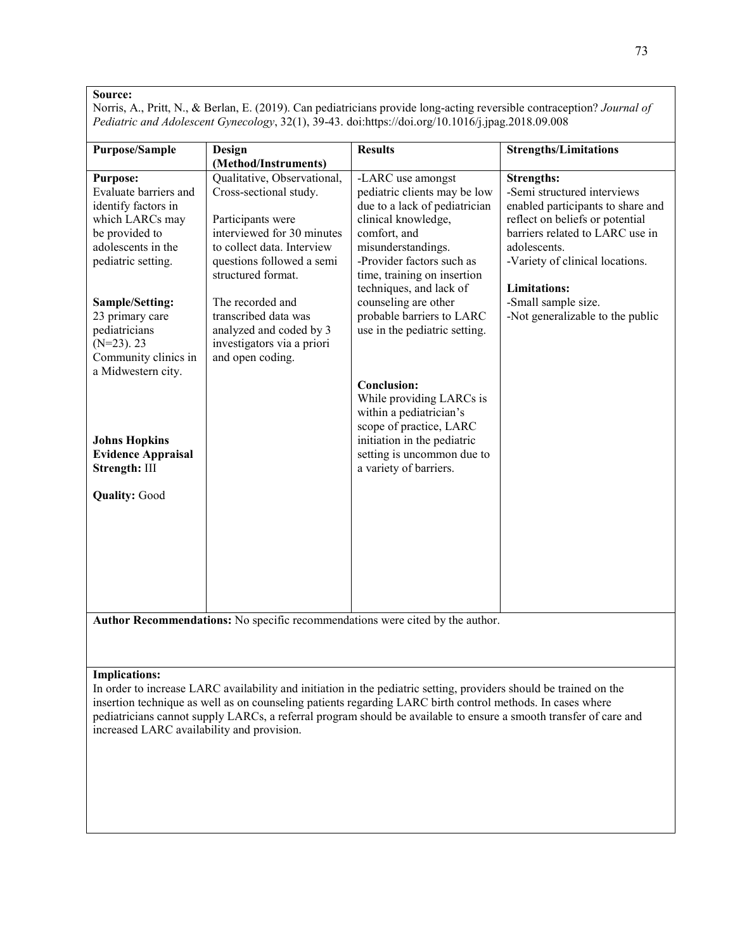Norris, A., Pritt, N., & Berlan, E. (2019). Can pediatricians provide long-acting reversible contraception? *Journal of Pediatric and Adolescent Gynecology*, 32(1), 39-43. doi:https://doi.org/10.1016/j.jpag.2018.09.008

| <b>Purpose/Sample</b>                                                                                                                            | Design                                                                                                                                                                                    | <b>Results</b>                                                                                                                                                                                                                         | <b>Strengths/Limitations</b>                                                                                                                                                                                                          |  |  |
|--------------------------------------------------------------------------------------------------------------------------------------------------|-------------------------------------------------------------------------------------------------------------------------------------------------------------------------------------------|----------------------------------------------------------------------------------------------------------------------------------------------------------------------------------------------------------------------------------------|---------------------------------------------------------------------------------------------------------------------------------------------------------------------------------------------------------------------------------------|--|--|
|                                                                                                                                                  | (Method/Instruments)                                                                                                                                                                      |                                                                                                                                                                                                                                        |                                                                                                                                                                                                                                       |  |  |
| <b>Purpose:</b><br>Evaluate barriers and<br>identify factors in<br>which LARCs may<br>be provided to<br>adolescents in the<br>pediatric setting. | Qualitative, Observational,<br>Cross-sectional study.<br>Participants were<br>interviewed for 30 minutes<br>to collect data. Interview<br>questions followed a semi<br>structured format. | -LARC use amongst<br>pediatric clients may be low<br>due to a lack of pediatrician<br>clinical knowledge,<br>comfort, and<br>misunderstandings.<br>-Provider factors such as<br>time, training on insertion<br>techniques, and lack of | <b>Strengths:</b><br>-Semi structured interviews<br>enabled participants to share and<br>reflect on beliefs or potential<br>barriers related to LARC use in<br>adolescents.<br>-Variety of clinical locations.<br><b>Limitations:</b> |  |  |
| Sample/Setting:<br>23 primary care<br>pediatricians<br>$(N=23)$ . 23<br>Community clinics in<br>a Midwestern city.                               | The recorded and<br>transcribed data was<br>analyzed and coded by 3<br>investigators via a priori<br>and open coding.                                                                     | counseling are other<br>probable barriers to LARC<br>use in the pediatric setting.                                                                                                                                                     | -Small sample size.<br>-Not generalizable to the public                                                                                                                                                                               |  |  |
| <b>Johns Hopkins</b><br><b>Evidence Appraisal</b><br>Strength: III                                                                               |                                                                                                                                                                                           | Conclusion:<br>While providing LARCs is<br>within a pediatrician's<br>scope of practice, LARC<br>initiation in the pediatric<br>setting is uncommon due to<br>a variety of barriers.                                                   |                                                                                                                                                                                                                                       |  |  |
| <b>Quality: Good</b>                                                                                                                             |                                                                                                                                                                                           |                                                                                                                                                                                                                                        |                                                                                                                                                                                                                                       |  |  |
| Author Recommendations: No specific recommendations were cited by the author.                                                                    |                                                                                                                                                                                           |                                                                                                                                                                                                                                        |                                                                                                                                                                                                                                       |  |  |

#### **Implications:**

In order to increase LARC availability and initiation in the pediatric setting, providers should be trained on the insertion technique as well as on counseling patients regarding LARC birth control methods. In cases where pediatricians cannot supply LARCs, a referral program should be available to ensure a smooth transfer of care and increased LARC availability and provision.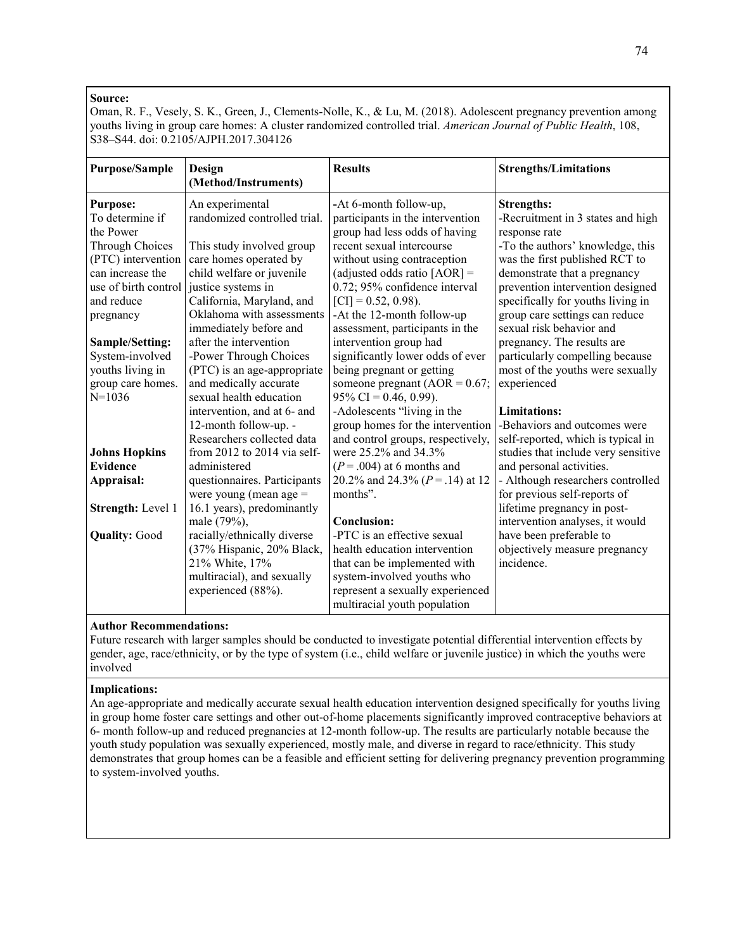Oman, R. F., Vesely, S. K., Green, J., Clements-Nolle, K., & Lu, M. (2018). Adolescent pregnancy prevention among youths living in group care homes: A cluster randomized controlled trial. *American Journal of Public Health*, 108, S38–S44. doi: 0.2105/AJPH.2017.304126

| <b>Purpose/Sample</b>                                                                                                                                           | Design<br>(Method/Instruments)                                                                                                                                                                                      | <b>Results</b>                                                                                                                                                                                                                                                                    | <b>Strengths/Limitations</b>                                                                                                                                                                                                                                                             |
|-----------------------------------------------------------------------------------------------------------------------------------------------------------------|---------------------------------------------------------------------------------------------------------------------------------------------------------------------------------------------------------------------|-----------------------------------------------------------------------------------------------------------------------------------------------------------------------------------------------------------------------------------------------------------------------------------|------------------------------------------------------------------------------------------------------------------------------------------------------------------------------------------------------------------------------------------------------------------------------------------|
| <b>Purpose:</b><br>To determine if<br>the Power<br>Through Choices<br>(PTC) intervention<br>can increase the<br>use of birth control<br>and reduce<br>pregnancy | An experimental<br>randomized controlled trial.<br>This study involved group<br>care homes operated by<br>child welfare or juvenile<br>justice systems in<br>California, Maryland, and<br>Oklahoma with assessments | -At 6-month follow-up,<br>participants in the intervention<br>group had less odds of having<br>recent sexual intercourse<br>without using contraception<br>(adjusted odds ratio $[AOR] =$<br>0.72; 95% confidence interval<br>$[CI] = 0.52, 0.98$ .<br>-At the 12-month follow-up | <b>Strengths:</b><br>-Recruitment in 3 states and high<br>response rate<br>-To the authors' knowledge, this<br>was the first published RCT to<br>demonstrate that a pregnancy<br>prevention intervention designed<br>specifically for youths living in<br>group care settings can reduce |
| Sample/Setting:<br>System-involved<br>youths living in<br>group care homes.<br>$N=1036$                                                                         | immediately before and<br>after the intervention<br>-Power Through Choices<br>(PTC) is an age-appropriate<br>and medically accurate<br>sexual health education                                                      | assessment, participants in the<br>intervention group had<br>significantly lower odds of ever<br>being pregnant or getting<br>someone pregnant ( $AOR = 0.67$ ;<br>$95\%$ CI = 0.46, 0.99).                                                                                       | sexual risk behavior and<br>pregnancy. The results are<br>particularly compelling because<br>most of the youths were sexually<br>experienced                                                                                                                                             |
|                                                                                                                                                                 | intervention, and at 6- and<br>12-month follow-up. -<br>Researchers collected data                                                                                                                                  | -Adolescents "living in the<br>group homes for the intervention<br>and control groups, respectively,                                                                                                                                                                              | <b>Limitations:</b><br>-Behaviors and outcomes were<br>self-reported, which is typical in                                                                                                                                                                                                |
| <b>Johns Hopkins</b><br><b>Evidence</b><br>Appraisal:                                                                                                           | from $2012$ to $2014$ via self-<br>administered<br>questionnaires. Participants<br>were young (mean age $=$                                                                                                         | were 25.2% and 34.3%<br>$(P=.004)$ at 6 months and<br>20.2% and 24.3% ( $P = .14$ ) at 12<br>months".                                                                                                                                                                             | studies that include very sensitive<br>and personal activities.<br>- Although researchers controlled<br>for previous self-reports of                                                                                                                                                     |
| Strength: Level 1                                                                                                                                               | 16.1 years), predominantly<br>male (79%),                                                                                                                                                                           | Conclusion:                                                                                                                                                                                                                                                                       | lifetime pregnancy in post-<br>intervention analyses, it would                                                                                                                                                                                                                           |
| <b>Quality: Good</b>                                                                                                                                            | racially/ethnically diverse<br>(37% Hispanic, 20% Black,<br>21% White, 17%<br>multiracial), and sexually<br>experienced (88%).                                                                                      | -PTC is an effective sexual<br>health education intervention<br>that can be implemented with<br>system-involved youths who<br>represent a sexually experienced<br>multiracial youth population                                                                                    | have been preferable to<br>objectively measure pregnancy<br>incidence.                                                                                                                                                                                                                   |

# **Author Recommendations:**

Future research with larger samples should be conducted to investigate potential differential intervention effects by gender, age, race/ethnicity, or by the type of system (i.e., child welfare or juvenile justice) in which the youths were involved

#### **Implications:**

An age-appropriate and medically accurate sexual health education intervention designed specifically for youths living in group home foster care settings and other out-of-home placements significantly improved contraceptive behaviors at 6- month follow-up and reduced pregnancies at 12-month follow-up. The results are particularly notable because the youth study population was sexually experienced, mostly male, and diverse in regard to race/ethnicity. This study demonstrates that group homes can be a feasible and efficient setting for delivering pregnancy prevention programming to system-involved youths.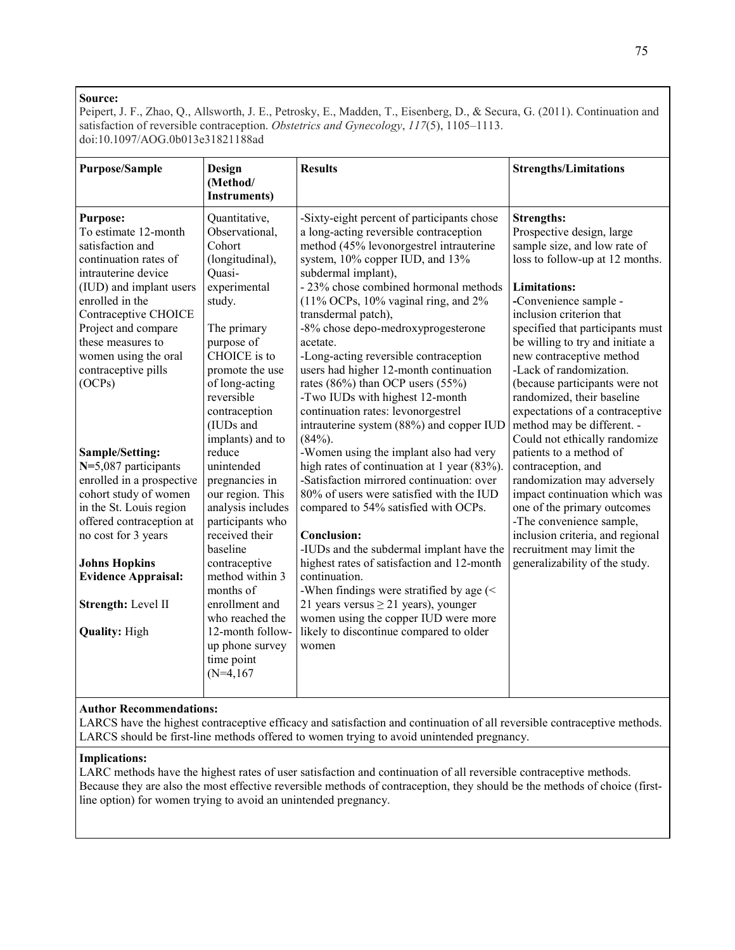Peipert, J. F., Zhao, Q., Allsworth, J. E., Petrosky, E., Madden, T., Eisenberg, D., & Secura, G. (2011). Continuation and satisfaction of reversible contraception. *Obstetrics and Gynecology*, *117*(5), 1105–1113. doi:10.1097/AOG.0b013e31821188ad

| <b>Purpose/Sample</b>                                                                                                                                                                                                                                                                  | Design<br>(Method/<br><b>Instruments</b> )                                                                                                                                                                                                                                                                      | <b>Results</b>                                                                                                                                                                                                                                                                                                                                                                                                                                                                                                                                                                                        | <b>Strengths/Limitations</b>                                                                                                                                                                                                                                                                                                                                                                                                                                  |
|----------------------------------------------------------------------------------------------------------------------------------------------------------------------------------------------------------------------------------------------------------------------------------------|-----------------------------------------------------------------------------------------------------------------------------------------------------------------------------------------------------------------------------------------------------------------------------------------------------------------|-------------------------------------------------------------------------------------------------------------------------------------------------------------------------------------------------------------------------------------------------------------------------------------------------------------------------------------------------------------------------------------------------------------------------------------------------------------------------------------------------------------------------------------------------------------------------------------------------------|---------------------------------------------------------------------------------------------------------------------------------------------------------------------------------------------------------------------------------------------------------------------------------------------------------------------------------------------------------------------------------------------------------------------------------------------------------------|
| <b>Purpose:</b><br>To estimate 12-month<br>satisfaction and<br>continuation rates of<br>intrauterine device<br>(IUD) and implant users<br>enrolled in the<br>Contraceptive CHOICE<br>Project and compare<br>these measures to<br>women using the oral<br>contraceptive pills<br>(OCPs) | Quantitative,<br>Observational,<br>Cohort<br>(longitudinal),<br>Quasi-<br>experimental<br>study.<br>The primary<br>purpose of<br>CHOICE is to<br>promote the use<br>of long-acting<br>reversible<br>contraception<br>(IUDs and                                                                                  | -Sixty-eight percent of participants chose<br>a long-acting reversible contraception<br>method (45% levonorgestrel intrauterine<br>system, 10% copper IUD, and 13%<br>subdermal implant),<br>- 23% chose combined hormonal methods<br>(11% OCPs, 10% vaginal ring, and 2%<br>transdermal patch),<br>-8% chose depo-medroxyprogesterone<br>acetate.<br>-Long-acting reversible contraception<br>users had higher 12-month continuation<br>rates (86%) than OCP users (55%)<br>-Two IUDs with highest 12-month<br>continuation rates: levonorgestrel                                                    | <b>Strengths:</b><br>Prospective design, large<br>sample size, and low rate of<br>loss to follow-up at 12 months.<br><b>Limitations:</b><br>-Convenience sample -<br>inclusion criterion that<br>specified that participants must<br>be willing to try and initiate a<br>new contraceptive method<br>-Lack of randomization.<br>(because participants were not<br>randomized, their baseline<br>expectations of a contraceptive<br>method may be different. - |
| Sample/Setting:<br>N=5,087 participants<br>enrolled in a prospective<br>cohort study of women<br>in the St. Louis region<br>offered contraception at<br>no cost for 3 years<br><b>Johns Hopkins</b><br><b>Evidence Appraisal:</b><br>Strength: Level II<br><b>Quality: High</b>        | implants) and to<br>reduce<br>unintended<br>pregnancies in<br>our region. This<br>analysis includes<br>participants who<br>received their<br>baseline<br>contraceptive<br>method within 3<br>months of<br>enrollment and<br>who reached the<br>12-month follow-<br>up phone survey<br>time point<br>$(N=4,167)$ | intrauterine system (88%) and copper IUD<br>$(84%)$ .<br>-Women using the implant also had very<br>high rates of continuation at 1 year (83%).<br>-Satisfaction mirrored continuation: over<br>80% of users were satisfied with the IUD<br>compared to 54% satisfied with OCPs.<br><b>Conclusion:</b><br>-IUDs and the subdermal implant have the<br>highest rates of satisfaction and 12-month<br>continuation.<br>-When findings were stratified by age (<<br>21 years versus $\geq$ 21 years), younger<br>women using the copper IUD were more<br>likely to discontinue compared to older<br>women | Could not ethically randomize<br>patients to a method of<br>contraception, and<br>randomization may adversely<br>impact continuation which was<br>one of the primary outcomes<br>-The convenience sample,<br>inclusion criteria, and regional<br>recruitment may limit the<br>generalizability of the study.                                                                                                                                                  |

# **Author Recommendations:**

LARCS have the highest contraceptive efficacy and satisfaction and continuation of all reversible contraceptive methods. LARCS should be first-line methods offered to women trying to avoid unintended pregnancy.

#### **Implications:**

LARC methods have the highest rates of user satisfaction and continuation of all reversible contraceptive methods. Because they are also the most effective reversible methods of contraception, they should be the methods of choice (firstline option) for women trying to avoid an unintended pregnancy.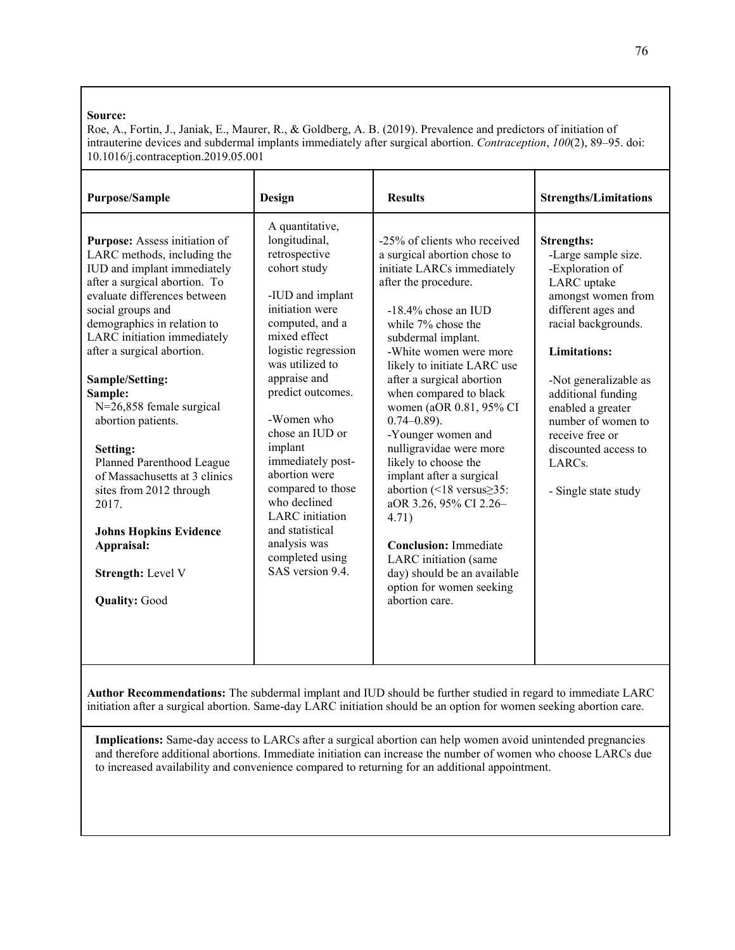Roe, A., Fortin, J., Janiak, E., Maurer, R., & Goldberg, A. B. (2019). Prevalence and predictors of initiation of intrauterine devices and subdermal implants immediately after surgical abortion. *Contraception*, *100*(2), 89–95. doi: 10.1016/j.contraception.2019.05.001

| <b>Purpose/Sample</b>                                                                                                                                                                                                                                                                                                                                                                                                                                                                                                                                                          | <b>Design</b>                                                                                                                                                                                                                                                                                                                                                                                                                                         | <b>Results</b>                                                                                                                                                                                                                                                                                                                                                                                                                                                                                                                                                                                                                                                    | <b>Strengths/Limitations</b>                                                                                                                                                                                                                                                                                                                             |
|--------------------------------------------------------------------------------------------------------------------------------------------------------------------------------------------------------------------------------------------------------------------------------------------------------------------------------------------------------------------------------------------------------------------------------------------------------------------------------------------------------------------------------------------------------------------------------|-------------------------------------------------------------------------------------------------------------------------------------------------------------------------------------------------------------------------------------------------------------------------------------------------------------------------------------------------------------------------------------------------------------------------------------------------------|-------------------------------------------------------------------------------------------------------------------------------------------------------------------------------------------------------------------------------------------------------------------------------------------------------------------------------------------------------------------------------------------------------------------------------------------------------------------------------------------------------------------------------------------------------------------------------------------------------------------------------------------------------------------|----------------------------------------------------------------------------------------------------------------------------------------------------------------------------------------------------------------------------------------------------------------------------------------------------------------------------------------------------------|
| Purpose: Assess initiation of<br>LARC methods, including the<br>IUD and implant immediately<br>after a surgical abortion. To<br>evaluate differences between<br>social groups and<br>demographics in relation to<br>LARC initiation immediately<br>after a surgical abortion.<br>Sample/Setting:<br>Sample:<br>N=26,858 female surgical<br>abortion patients.<br>Setting:<br>Planned Parenthood League<br>of Massachusetts at 3 clinics<br>sites from 2012 through<br>2017.<br><b>Johns Hopkins Evidence</b><br>Appraisal:<br><b>Strength: Level V</b><br><b>Quality: Good</b> | A quantitative,<br>longitudinal,<br>retrospective<br>cohort study<br>-IUD and implant<br>initiation were<br>computed, and a<br>mixed effect<br>logistic regression<br>was utilized to<br>appraise and<br>predict outcomes.<br>-Women who<br>chose an IUD or<br>implant<br>immediately post-<br>abortion were<br>compared to those<br>who declined<br><b>LARC</b> initiation<br>and statistical<br>analysis was<br>completed using<br>SAS version 9.4. | -25% of clients who received<br>a surgical abortion chose to<br>initiate LARCs immediately<br>after the procedure.<br>$-18.4\%$ chose an IUD<br>while 7% chose the<br>subdermal implant.<br>-White women were more<br>likely to initiate LARC use<br>after a surgical abortion<br>when compared to black<br>women (aOR 0.81, 95% CI<br>$0.74 - 0.89$ ).<br>-Younger women and<br>nulligravidae were more<br>likely to choose the<br>implant after a surgical<br>abortion (<18 versus≥35:<br>aOR 3.26, 95% CI 2.26-<br>4.71)<br><b>Conclusion:</b> Immediate<br>LARC initiation (same<br>day) should be an available<br>option for women seeking<br>abortion care. | <b>Strengths:</b><br>-Large sample size.<br>-Exploration of<br>LARC uptake<br>amongst women from<br>different ages and<br>racial backgrounds.<br><b>Limitations:</b><br>-Not generalizable as<br>additional funding<br>enabled a greater<br>number of women to<br>receive free or<br>discounted access to<br>LARC <sub>s</sub> .<br>- Single state study |

**Author Recommendations:** The subdermal implant and IUD should be further studied in regard to immediate LARC initiation after a surgical abortion. Same-day LARC initiation should be an option for women seeking abortion care.

**Implications:** Same-day access to LARCs after a surgical abortion can help women avoid unintended pregnancies and therefore additional abortions. Immediate initiation can increase the number of women who choose LARCs due to increased availability and convenience compared to returning for an additional appointment.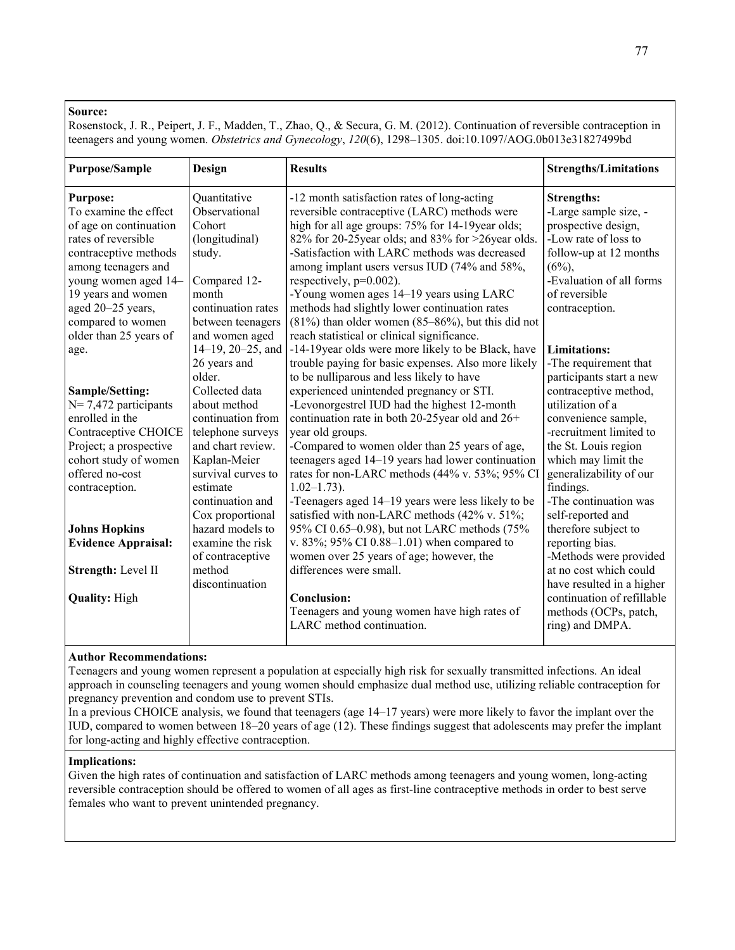Rosenstock, J. R., Peipert, J. F., Madden, T., Zhao, Q., & Secura, G. M. (2012). Continuation of reversible contraception in teenagers and young women. *Obstetrics and Gynecology*, *120*(6), 1298–1305. doi:10.1097/AOG.0b013e31827499bd

| <b>Purpose/Sample</b>      | Design                  | <b>Results</b>                                           | <b>Strengths/Limitations</b> |
|----------------------------|-------------------------|----------------------------------------------------------|------------------------------|
| <b>Purpose:</b>            | Quantitative            | -12 month satisfaction rates of long-acting              | <b>Strengths:</b>            |
| To examine the effect      | Observational           | reversible contraceptive (LARC) methods were             | -Large sample size, -        |
| of age on continuation     | Cohort                  | high for all age groups: 75% for 14-19year olds;         | prospective design,          |
| rates of reversible        | (longitudinal)          | 82% for 20-25year olds; and 83% for >26year olds.        | -Low rate of loss to         |
| contraceptive methods      | study.                  | -Satisfaction with LARC methods was decreased            | follow-up at 12 months       |
| among teenagers and        |                         | among implant users versus IUD (74% and 58%,             | $(6\%)$                      |
| young women aged 14-       | Compared 12-            | respectively, $p=0.002$ ).                               | -Evaluation of all forms     |
| 19 years and women         | month                   | -Young women ages 14–19 years using LARC                 | of reversible                |
| aged 20-25 years,          | continuation rates      | methods had slightly lower continuation rates            | contraception.               |
| compared to women          | between teenagers       | $(81\%)$ than older women $(85-86\%)$ , but this did not |                              |
| older than 25 years of     | and women aged          | reach statistical or clinical significance.              |                              |
| age.                       | $14-19$ , $20-25$ , and | -14-19 year olds were more likely to be Black, have      | <b>Limitations:</b>          |
|                            | 26 years and            | trouble paying for basic expenses. Also more likely      | -The requirement that        |
|                            | older.                  | to be nulliparous and less likely to have                | participants start a new     |
| Sample/Setting:            | Collected data          | experienced unintended pregnancy or STI.                 | contraceptive method,        |
| $N=7,472$ participants     | about method            | -Levonorgestrel IUD had the highest 12-month             | utilization of a             |
| enrolled in the            | continuation from       | continuation rate in both 20-25 year old and 26+         | convenience sample,          |
| Contraceptive CHOICE       | telephone surveys       | year old groups.                                         | -recruitment limited to      |
| Project; a prospective     | and chart review.       | -Compared to women older than 25 years of age,           | the St. Louis region         |
| cohort study of women      | Kaplan-Meier            | teenagers aged 14–19 years had lower continuation        | which may limit the          |
| offered no-cost            | survival curves to      | rates for non-LARC methods (44% v. 53%; 95% CI           | generalizability of our      |
| contraception.             | estimate                | $1.02 - 1.73$ ).                                         | findings.                    |
|                            | continuation and        | -Teenagers aged 14–19 years were less likely to be       | -The continuation was        |
|                            | Cox proportional        | satisfied with non-LARC methods (42% v. 51%;             | self-reported and            |
| <b>Johns Hopkins</b>       | hazard models to        | 95% CI 0.65-0.98), but not LARC methods (75%             | therefore subject to         |
| <b>Evidence Appraisal:</b> | examine the risk        | v. 83%; 95% CI 0.88-1.01) when compared to               | reporting bias.              |
|                            | of contraceptive        | women over 25 years of age; however, the                 | -Methods were provided       |
| Strength: Level II         | method                  | differences were small.                                  | at no cost which could       |
|                            | discontinuation         |                                                          | have resulted in a higher    |
| <b>Quality: High</b>       |                         | Conclusion:                                              | continuation of refillable   |
|                            |                         | Teenagers and young women have high rates of             | methods (OCPs, patch,        |
|                            |                         | LARC method continuation.                                | ring) and DMPA.              |
|                            |                         |                                                          |                              |

#### **Author Recommendations:**

Teenagers and young women represent a population at especially high risk for sexually transmitted infections. An ideal approach in counseling teenagers and young women should emphasize dual method use, utilizing reliable contraception for pregnancy prevention and condom use to prevent STIs.

In a previous CHOICE analysis, we found that teenagers (age 14–17 years) were more likely to favor the implant over the IUD, compared to women between 18–20 years of age (12). These findings suggest that adolescents may prefer the implant for long-acting and highly effective contraception.

### **Implications:**

Given the high rates of continuation and satisfaction of LARC methods among teenagers and young women, long-acting reversible contraception should be offered to women of all ages as first-line contraceptive methods in order to best serve females who want to prevent unintended pregnancy.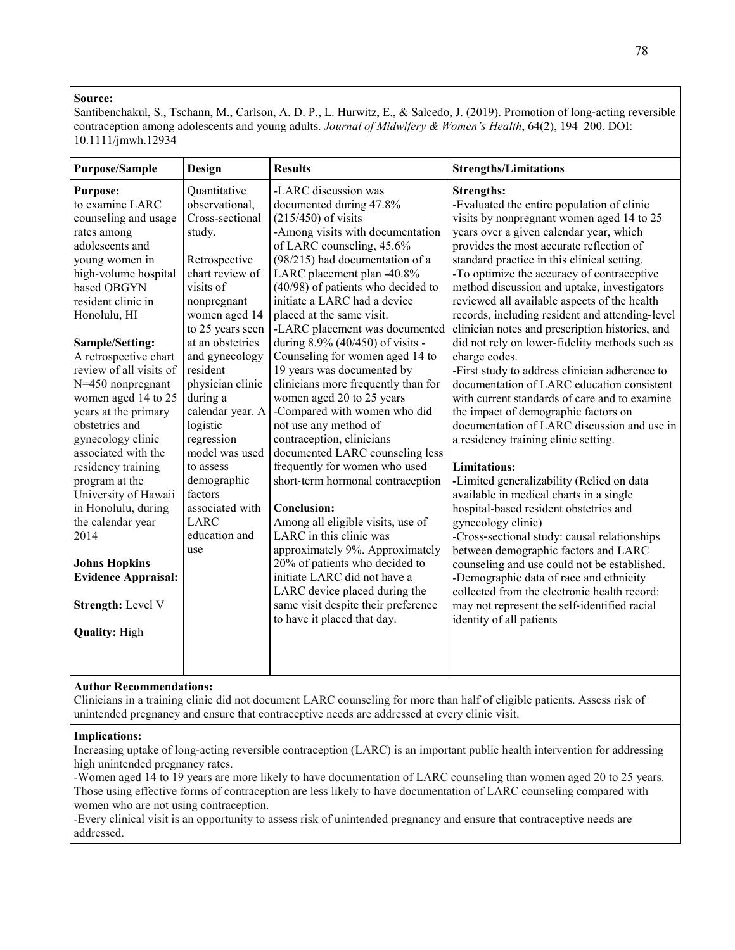Santibenchakul, S., Tschann, M., Carlson, A. D. P., L. Hurwitz, E., & Salcedo, J. (2019). Promotion of long-acting reversible contraception among adolescents and young adults. *Journal of Midwifery & Women's Health*, 64(2), 194–200. DOI: 10.1111/jmwh.12934

| <b>Purpose/Sample</b>                                                                                                                                                                                                                                                                                                                                                                                                                                                                                                                                                                                                         | Design                                                                                                                                                                                                                                                                                                                                                                                                              | <b>Results</b>                                                                                                                                                                                                                                                                                                                                                                                                                                                                                                                                                                                                                                                                                                                                                                                                                                                                                                                                                                                                            | <b>Strengths/Limitations</b>                                                                                                                                                                                                                                                                                                                                                                                                                                                                                                                                                                                                                                                                                                                                                                                                                                                                                                                                                                                                                                                                                                                                                                                                                                                                                                                           |
|-------------------------------------------------------------------------------------------------------------------------------------------------------------------------------------------------------------------------------------------------------------------------------------------------------------------------------------------------------------------------------------------------------------------------------------------------------------------------------------------------------------------------------------------------------------------------------------------------------------------------------|---------------------------------------------------------------------------------------------------------------------------------------------------------------------------------------------------------------------------------------------------------------------------------------------------------------------------------------------------------------------------------------------------------------------|---------------------------------------------------------------------------------------------------------------------------------------------------------------------------------------------------------------------------------------------------------------------------------------------------------------------------------------------------------------------------------------------------------------------------------------------------------------------------------------------------------------------------------------------------------------------------------------------------------------------------------------------------------------------------------------------------------------------------------------------------------------------------------------------------------------------------------------------------------------------------------------------------------------------------------------------------------------------------------------------------------------------------|--------------------------------------------------------------------------------------------------------------------------------------------------------------------------------------------------------------------------------------------------------------------------------------------------------------------------------------------------------------------------------------------------------------------------------------------------------------------------------------------------------------------------------------------------------------------------------------------------------------------------------------------------------------------------------------------------------------------------------------------------------------------------------------------------------------------------------------------------------------------------------------------------------------------------------------------------------------------------------------------------------------------------------------------------------------------------------------------------------------------------------------------------------------------------------------------------------------------------------------------------------------------------------------------------------------------------------------------------------|
| <b>Purpose:</b><br>to examine LARC<br>counseling and usage<br>rates among<br>adolescents and<br>young women in<br>high-volume hospital<br>based OBGYN<br>resident clinic in<br>Honolulu, HI<br>Sample/Setting:<br>A retrospective chart<br>review of all visits of<br>$N=450$ nonpregnant<br>women aged 14 to 25<br>years at the primary<br>obstetrics and<br>gynecology clinic<br>associated with the<br>residency training<br>program at the<br>University of Hawaii<br>in Honolulu, during<br>the calendar year<br>2014<br><b>Johns Hopkins</b><br><b>Evidence Appraisal:</b><br>Strength: Level V<br><b>Quality: High</b> | Quantitative<br>observational,<br>Cross-sectional<br>study.<br>Retrospective<br>chart review of<br>visits of<br>nonpregnant<br>women aged 14<br>to 25 years seen<br>at an obstetrics<br>and gynecology<br>resident<br>physician clinic<br>during a<br>calendar year. A<br>logistic<br>regression<br>model was used<br>to assess<br>demographic<br>factors<br>associated with<br><b>LARC</b><br>education and<br>use | -LARC discussion was<br>documented during 47.8%<br>$(215/450)$ of visits<br>-Among visits with documentation<br>of LARC counseling, 45.6%<br>(98/215) had documentation of a<br>LARC placement plan -40.8%<br>(40/98) of patients who decided to<br>initiate a LARC had a device<br>placed at the same visit.<br>-LARC placement was documented<br>during 8.9% (40/450) of visits -<br>Counseling for women aged 14 to<br>19 years was documented by<br>clinicians more frequently than for<br>women aged 20 to 25 years<br>-Compared with women who did<br>not use any method of<br>contraception, clinicians<br>documented LARC counseling less<br>frequently for women who used<br>short-term hormonal contraception<br><b>Conclusion:</b><br>Among all eligible visits, use of<br>LARC in this clinic was<br>approximately 9%. Approximately<br>20% of patients who decided to<br>initiate LARC did not have a<br>LARC device placed during the<br>same visit despite their preference<br>to have it placed that day. | <b>Strengths:</b><br>-Evaluated the entire population of clinic<br>visits by nonpregnant women aged 14 to 25<br>years over a given calendar year, which<br>provides the most accurate reflection of<br>standard practice in this clinical setting.<br>-To optimize the accuracy of contraceptive<br>method discussion and uptake, investigators<br>reviewed all available aspects of the health<br>records, including resident and attending-level<br>clinician notes and prescription histories, and<br>did not rely on lower-fidelity methods such as<br>charge codes.<br>-First study to address clinician adherence to<br>documentation of LARC education consistent<br>with current standards of care and to examine<br>the impact of demographic factors on<br>documentation of LARC discussion and use in<br>a residency training clinic setting.<br><b>Limitations:</b><br>-Limited generalizability (Relied on data<br>available in medical charts in a single<br>hospital-based resident obstetrics and<br>gynecology clinic)<br>-Cross-sectional study: causal relationships<br>between demographic factors and LARC<br>counseling and use could not be established.<br>-Demographic data of race and ethnicity<br>collected from the electronic health record:<br>may not represent the self-identified racial<br>identity of all patients |
|                                                                                                                                                                                                                                                                                                                                                                                                                                                                                                                                                                                                                               |                                                                                                                                                                                                                                                                                                                                                                                                                     |                                                                                                                                                                                                                                                                                                                                                                                                                                                                                                                                                                                                                                                                                                                                                                                                                                                                                                                                                                                                                           |                                                                                                                                                                                                                                                                                                                                                                                                                                                                                                                                                                                                                                                                                                                                                                                                                                                                                                                                                                                                                                                                                                                                                                                                                                                                                                                                                        |

# **Author Recommendations:**

Clinicians in a training clinic did not document LARC counseling for more than half of eligible patients. Assess risk of unintended pregnancy and ensure that contraceptive needs are addressed at every clinic visit.

### **Implications:**

Increasing uptake of long-acting reversible contraception (LARC) is an important public health intervention for addressing high unintended pregnancy rates.

-Women aged 14 to 19 years are more likely to have documentation of LARC counseling than women aged 20 to 25 years. Those using effective forms of contraception are less likely to have documentation of LARC counseling compared with women who are not using contraception.

-Every clinical visit is an opportunity to assess risk of unintended pregnancy and ensure that contraceptive needs are addressed.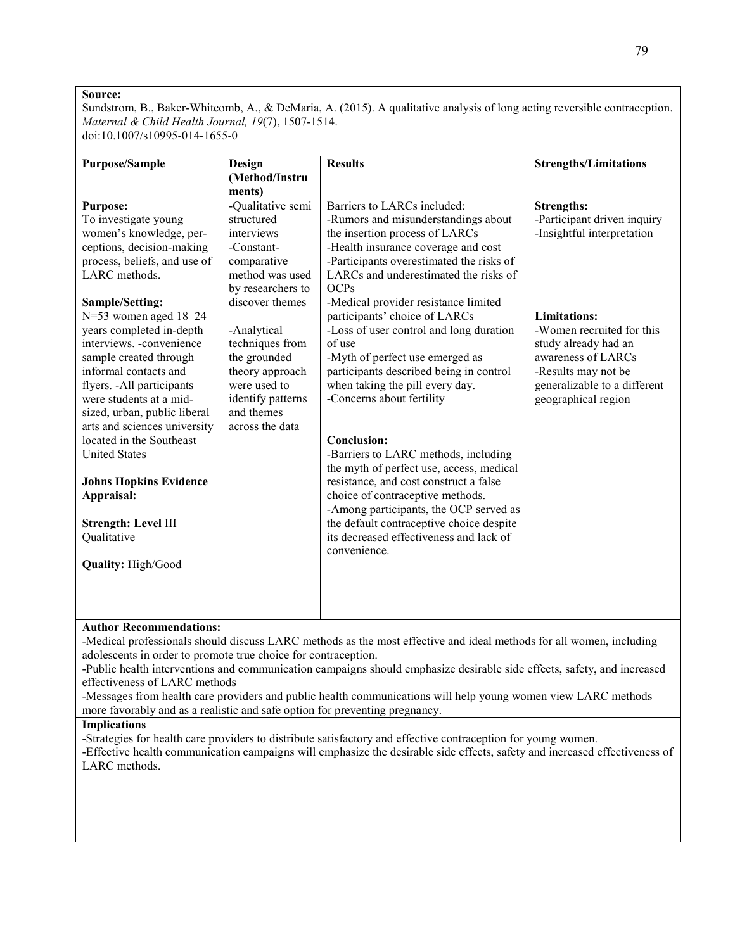Sundstrom, B., Baker-Whitcomb, A., & DeMaria, A. (2015). A qualitative analysis of long acting reversible contraception. *Maternal & Child Health Journal, 19*(7), 1507-1514. doi:10.1007/s10995-014-1655-0

| Purpose/Sample                | Design            | <b>Results</b>                           | <b>Strengths/Limitations</b> |
|-------------------------------|-------------------|------------------------------------------|------------------------------|
|                               | (Method/Instru    |                                          |                              |
|                               | ments)            |                                          |                              |
| <b>Purpose:</b>               | -Qualitative semi | Barriers to LARCs included:              | <b>Strengths:</b>            |
| To investigate young          | structured        | -Rumors and misunderstandings about      | -Participant driven inquiry  |
| women's knowledge, per-       | interviews        | the insertion process of LARCs           | -Insightful interpretation   |
| ceptions, decision-making     | -Constant-        | -Health insurance coverage and cost      |                              |
| process, beliefs, and use of  | comparative       | -Participants overestimated the risks of |                              |
| LARC methods.                 | method was used   | LARCs and underestimated the risks of    |                              |
|                               | by researchers to | <b>OCPs</b>                              |                              |
| Sample/Setting:               | discover themes   | -Medical provider resistance limited     |                              |
| $N=53$ women aged $18-24$     |                   | participants' choice of LARCs            | <b>Limitations:</b>          |
| years completed in-depth      | -Analytical       | -Loss of user control and long duration  | -Women recruited for this    |
| interviews. -convenience      | techniques from   | of use                                   | study already had an         |
| sample created through        | the grounded      | -Myth of perfect use emerged as          | awareness of LARCs           |
| informal contacts and         | theory approach   | participants described being in control  | -Results may not be          |
| flyers. - All participants    | were used to      | when taking the pill every day.          | generalizable to a different |
| were students at a mid-       | identify patterns | -Concerns about fertility                | geographical region          |
| sized, urban, public liberal  | and themes        |                                          |                              |
| arts and sciences university  | across the data   |                                          |                              |
| located in the Southeast      |                   | Conclusion:                              |                              |
| <b>United States</b>          |                   | -Barriers to LARC methods, including     |                              |
|                               |                   | the myth of perfect use, access, medical |                              |
| <b>Johns Hopkins Evidence</b> |                   | resistance, and cost construct a false   |                              |
| Appraisal:                    |                   | choice of contraceptive methods.         |                              |
|                               |                   | -Among participants, the OCP served as   |                              |
| Strength: Level III           |                   | the default contraceptive choice despite |                              |
| Qualitative                   |                   | its decreased effectiveness and lack of  |                              |
|                               |                   | convenience.                             |                              |
| <b>Quality: High/Good</b>     |                   |                                          |                              |
|                               |                   |                                          |                              |
|                               |                   |                                          |                              |
|                               |                   |                                          |                              |
|                               |                   |                                          |                              |

# **Author Recommendations:**

-Medical professionals should discuss LARC methods as the most effective and ideal methods for all women, including adolescents in order to promote true choice for contraception.

-Public health interventions and communication campaigns should emphasize desirable side effects, safety, and increased effectiveness of LARC methods

-Messages from health care providers and public health communications will help young women view LARC methods more favorably and as a realistic and safe option for preventing pregnancy.

#### **Implications**

-Strategies for health care providers to distribute satisfactory and effective contraception for young women.

-Effective health communication campaigns will emphasize the desirable side effects, safety and increased effectiveness of LARC methods.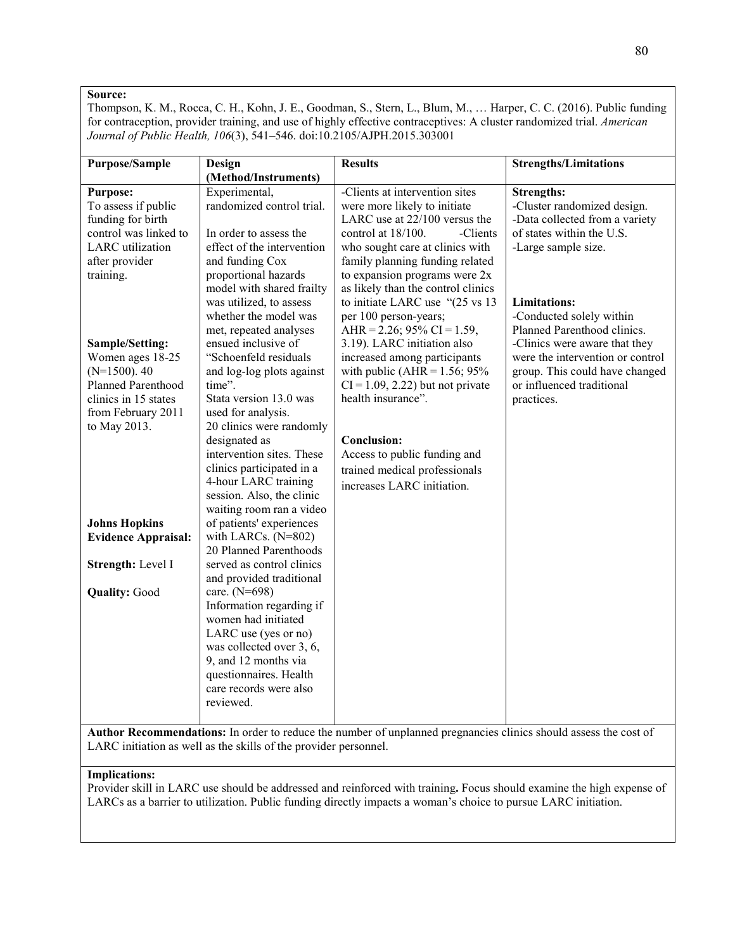Thompson, K. M., Rocca, C. H., Kohn, J. E., Goodman, S., Stern, L., Blum, M., … Harper, C. C. (2016). Public funding for contraception, provider training, and use of highly effective contraceptives: A cluster randomized trial. *American Journal of Public Health, 106*(3), 541–546. doi:10.2105/AJPH.2015.303001

| <b>Purpose/Sample</b>      | Design                     | <b>Results</b>                      | <b>Strengths/Limitations</b>     |
|----------------------------|----------------------------|-------------------------------------|----------------------------------|
|                            | (Method/Instruments)       |                                     |                                  |
| <b>Purpose:</b>            | Experimental,              | -Clients at intervention sites      | <b>Strengths:</b>                |
| To assess if public        | randomized control trial.  | were more likely to initiate        | -Cluster randomized design.      |
| funding for birth          |                            | LARC use at 22/100 versus the       | -Data collected from a variety   |
| control was linked to      | In order to assess the     | control at 18/100.<br>-Clients      | of states within the U.S.        |
| <b>LARC</b> utilization    | effect of the intervention | who sought care at clinics with     | -Large sample size.              |
| after provider             | and funding Cox            | family planning funding related     |                                  |
| training.                  | proportional hazards       | to expansion programs were 2x       |                                  |
|                            | model with shared frailty  | as likely than the control clinics  |                                  |
|                            | was utilized, to assess    | to initiate LARC use "(25 vs 13     | <b>Limitations:</b>              |
|                            | whether the model was      | per 100 person-years;               | -Conducted solely within         |
|                            | met, repeated analyses     | AHR = 2.26; 95% CI = 1.59,          | Planned Parenthood clinics.      |
| Sample/Setting:            | ensued inclusive of        | 3.19). LARC initiation also         | -Clinics were aware that they    |
| Women ages 18-25           | "Schoenfeld residuals      | increased among participants        | were the intervention or control |
| $(N=1500)$ . 40            |                            | with public (AHR = $1.56$ ; 95%     | group. This could have changed   |
| Planned Parenthood         | and log-log plots against  |                                     |                                  |
|                            | time".                     | $CI = 1.09, 2.22$ ) but not private | or influenced traditional        |
| clinics in 15 states       | Stata version 13.0 was     | health insurance".                  | practices.                       |
| from February 2011         | used for analysis.         |                                     |                                  |
| to May 2013.               | 20 clinics were randomly   |                                     |                                  |
|                            | designated as              | <b>Conclusion:</b>                  |                                  |
|                            | intervention sites. These  | Access to public funding and        |                                  |
|                            | clinics participated in a  | trained medical professionals       |                                  |
|                            | 4-hour LARC training       | increases LARC initiation.          |                                  |
|                            | session. Also, the clinic  |                                     |                                  |
|                            | waiting room ran a video   |                                     |                                  |
| <b>Johns Hopkins</b>       | of patients' experiences   |                                     |                                  |
| <b>Evidence Appraisal:</b> | with LARCs. (N=802)        |                                     |                                  |
|                            | 20 Planned Parenthoods     |                                     |                                  |
| Strength: Level I          | served as control clinics  |                                     |                                  |
|                            | and provided traditional   |                                     |                                  |
| <b>Quality: Good</b>       | care. (N=698)              |                                     |                                  |
|                            | Information regarding if   |                                     |                                  |
|                            | women had initiated        |                                     |                                  |
|                            | LARC use (yes or no)       |                                     |                                  |
|                            | was collected over 3, 6,   |                                     |                                  |
|                            | 9, and 12 months via       |                                     |                                  |
|                            | questionnaires. Health     |                                     |                                  |
|                            | care records were also     |                                     |                                  |
|                            | reviewed.                  |                                     |                                  |
|                            |                            |                                     |                                  |
|                            |                            |                                     |                                  |

**Author Recommendations:** In order to reduce the number of unplanned pregnancies clinics should assess the cost of LARC initiation as well as the skills of the provider personnel.

#### **Implications:**

Provider skill in LARC use should be addressed and reinforced with training**.** Focus should examine the high expense of LARCs as a barrier to utilization. Public funding directly impacts a woman's choice to pursue LARC initiation.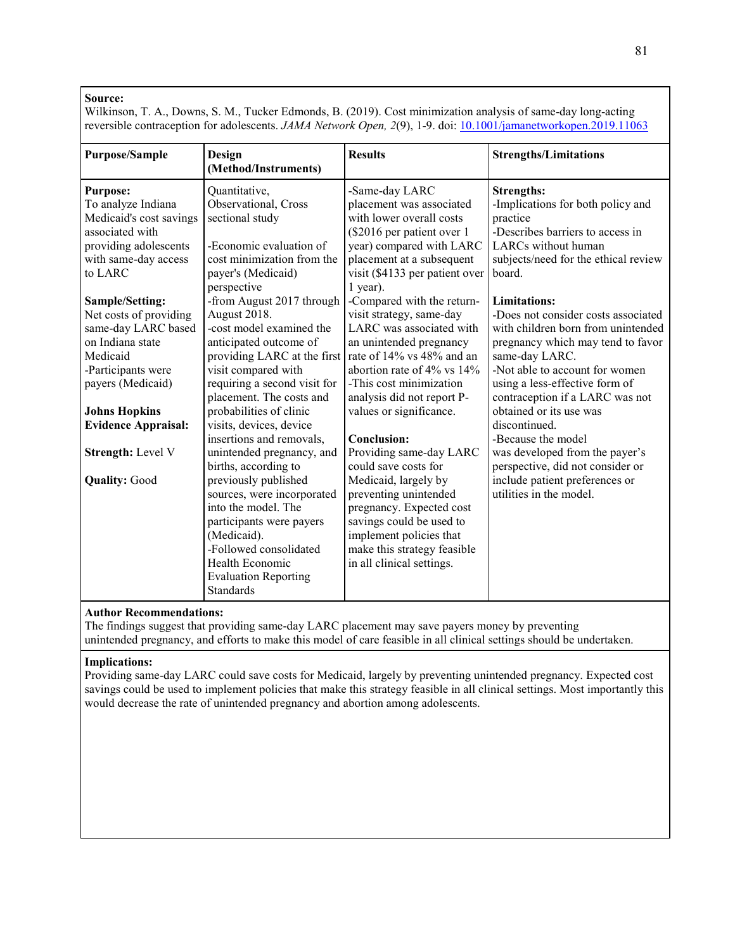Wilkinson, T. A., Downs, S. M., Tucker Edmonds, B. (2019). Cost minimization analysis of same-day long-acting reversible contraception for adolescents. *JAMA Network Open, 2*(9), 1-9. doi: [10.1001/jamanetworkopen.2019.11063](https://doi.org/10.1001/jamanetworkopen.2019.11063)

| <b>Purpose/Sample</b>                                                                                                                           | Design<br>(Method/Instruments)                                                                                                                                                                                       | <b>Results</b>                                                                                                                                                                                                                    | <b>Strengths/Limitations</b>                                                                                                                                                                                                                                   |
|-------------------------------------------------------------------------------------------------------------------------------------------------|----------------------------------------------------------------------------------------------------------------------------------------------------------------------------------------------------------------------|-----------------------------------------------------------------------------------------------------------------------------------------------------------------------------------------------------------------------------------|----------------------------------------------------------------------------------------------------------------------------------------------------------------------------------------------------------------------------------------------------------------|
| <b>Purpose:</b><br>To analyze Indiana<br>Medicaid's cost savings<br>associated with<br>providing adolescents<br>with same-day access<br>to LARC | Quantitative,<br>Observational, Cross<br>sectional study<br>-Economic evaluation of<br>cost minimization from the<br>payer's (Medicaid)<br>perspective                                                               | -Same-day LARC<br>placement was associated<br>with lower overall costs<br>(\$2016 per patient over 1<br>year) compared with LARC<br>placement at a subsequent<br>visit (\$4133 per patient over<br>$1$ year).                     | <b>Strengths:</b><br>-Implications for both policy and<br>practice<br>-Describes barriers to access in<br>LARCs without human<br>subjects/need for the ethical review<br>board.                                                                                |
| Sample/Setting:<br>Net costs of providing<br>same-day LARC based<br>on Indiana state<br>Medicaid<br>-Participants were<br>payers (Medicaid)     | -from August 2017 through<br>August 2018.<br>-cost model examined the<br>anticipated outcome of<br>providing LARC at the first<br>visit compared with<br>requiring a second visit for<br>placement. The costs and    | -Compared with the return-<br>visit strategy, same-day<br>LARC was associated with<br>an unintended pregnancy<br>rate of 14% vs 48% and an<br>abortion rate of 4% vs 14%<br>-This cost minimization<br>analysis did not report P- | <b>Limitations:</b><br>-Does not consider costs associated<br>with children born from unintended<br>pregnancy which may tend to favor<br>same-day LARC.<br>-Not able to account for women<br>using a less-effective form of<br>contraception if a LARC was not |
| <b>Johns Hopkins</b><br><b>Evidence Appraisal:</b>                                                                                              | probabilities of clinic<br>visits, devices, device<br>insertions and removals,                                                                                                                                       | values or significance.<br>Conclusion:                                                                                                                                                                                            | obtained or its use was<br>discontinued.<br>-Because the model                                                                                                                                                                                                 |
| <b>Strength:</b> Level V                                                                                                                        | unintended pregnancy, and<br>births, according to                                                                                                                                                                    | Providing same-day LARC<br>could save costs for                                                                                                                                                                                   | was developed from the payer's<br>perspective, did not consider or                                                                                                                                                                                             |
| <b>Quality: Good</b>                                                                                                                            | previously published<br>sources, were incorporated<br>into the model. The<br>participants were payers<br>(Medicaid).<br>-Followed consolidated<br>Health Economic<br><b>Evaluation Reporting</b><br><b>Standards</b> | Medicaid, largely by<br>preventing unintended<br>pregnancy. Expected cost<br>savings could be used to<br>implement policies that<br>make this strategy feasible<br>in all clinical settings.                                      | include patient preferences or<br>utilities in the model.                                                                                                                                                                                                      |

# **Author Recommendations:**

The findings suggest that providing same-day LARC placement may save payers money by preventing unintended pregnancy, and efforts to make this model of care feasible in all clinical settings should be undertaken.

# **Implications:**

Providing same-day LARC could save costs for Medicaid, largely by preventing unintended pregnancy. Expected cost savings could be used to implement policies that make this strategy feasible in all clinical settings. Most importantly this would decrease the rate of unintended pregnancy and abortion among adolescents.